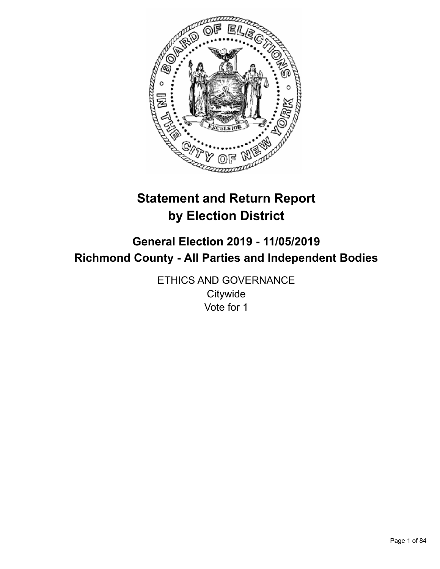

# **Statement and Return Report by Election District**

# **General Election 2019 - 11/05/2019 Richmond County - All Parties and Independent Bodies**

ETHICS AND GOVERNANCE **Citywide** Vote for 1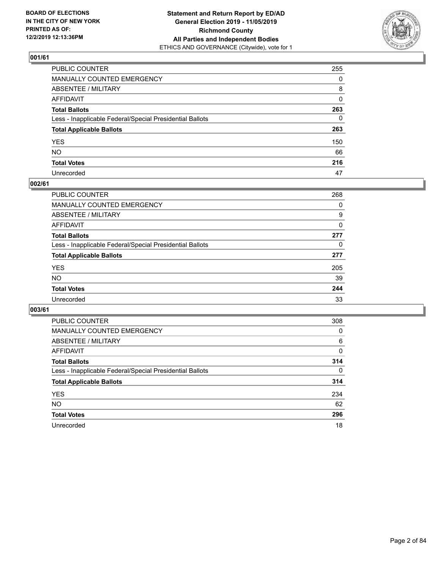

| PUBLIC COUNTER                                           | 255          |
|----------------------------------------------------------|--------------|
| MANUALLY COUNTED EMERGENCY                               | $\Omega$     |
| ABSENTEE / MILITARY                                      | 8            |
| AFFIDAVIT                                                | $\mathbf{0}$ |
| Total Ballots                                            | 263          |
| Less - Inapplicable Federal/Special Presidential Ballots | $\mathbf{0}$ |
| <b>Total Applicable Ballots</b>                          | 263          |
| YES                                                      | 150          |
| NO.                                                      | 66           |
| <b>Total Votes</b>                                       | 216          |
| Unrecorded                                               | 47           |

# **002/61**

| PUBLIC COUNTER                                           | 268 |
|----------------------------------------------------------|-----|
| MANUALLY COUNTED EMERGENCY                               | 0   |
| ABSENTEE / MILITARY                                      | 9   |
| AFFIDAVIT                                                | 0   |
| <b>Total Ballots</b>                                     | 277 |
| Less - Inapplicable Federal/Special Presidential Ballots | 0   |
| <b>Total Applicable Ballots</b>                          | 277 |
| <b>YES</b>                                               | 205 |
| <b>NO</b>                                                | 39  |
| <b>Total Votes</b>                                       | 244 |
| Unrecorded                                               | 33  |

| <b>PUBLIC COUNTER</b>                                    | 308      |
|----------------------------------------------------------|----------|
| MANUALLY COUNTED EMERGENCY                               | 0        |
| ABSENTEE / MILITARY                                      | 6        |
| AFFIDAVIT                                                | 0        |
| <b>Total Ballots</b>                                     | 314      |
| Less - Inapplicable Federal/Special Presidential Ballots | $\Omega$ |
| <b>Total Applicable Ballots</b>                          | 314      |
| <b>YES</b>                                               | 234      |
| <b>NO</b>                                                | 62       |
| <b>Total Votes</b>                                       | 296      |
| Unrecorded                                               | 18       |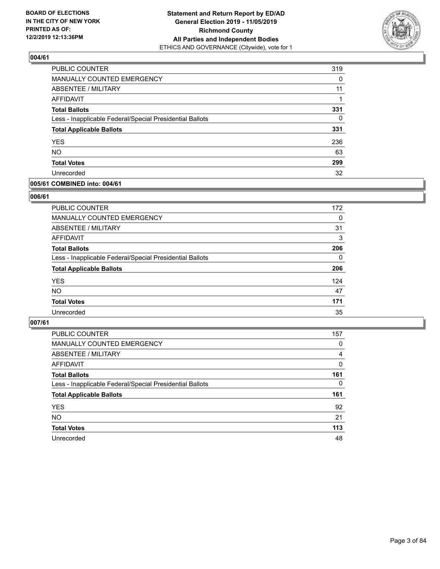

| <b>PUBLIC COUNTER</b>                                    | 319      |
|----------------------------------------------------------|----------|
| MANUALLY COUNTED EMERGENCY                               | $\Omega$ |
| <b>ABSENTEE / MILITARY</b>                               | 11       |
| AFFIDAVIT                                                |          |
| <b>Total Ballots</b>                                     | 331      |
| Less - Inapplicable Federal/Special Presidential Ballots | $\Omega$ |
| <b>Total Applicable Ballots</b>                          | 331      |
| <b>YES</b>                                               | 236      |
| <b>NO</b>                                                | 63       |
| <b>Total Votes</b>                                       | 299      |
| Unrecorded                                               | 32       |

# **005/61 COMBINED into: 004/61**

# **006/61**

| <b>PUBLIC COUNTER</b>                                    | 172      |
|----------------------------------------------------------|----------|
| <b>MANUALLY COUNTED EMERGENCY</b>                        | $\Omega$ |
| ABSENTEE / MILITARY                                      | 31       |
| AFFIDAVIT                                                | 3        |
| <b>Total Ballots</b>                                     | 206      |
| Less - Inapplicable Federal/Special Presidential Ballots | $\Omega$ |
| <b>Total Applicable Ballots</b>                          | 206      |
| <b>YES</b>                                               | 124      |
| <b>NO</b>                                                | 47       |
| <b>Total Votes</b>                                       | 171      |
| Unrecorded                                               | 35       |
|                                                          |          |

| <b>PUBLIC COUNTER</b>                                    | 157      |
|----------------------------------------------------------|----------|
| MANUALLY COUNTED EMERGENCY                               | 0        |
| ABSENTEE / MILITARY                                      | 4        |
| AFFIDAVIT                                                | $\Omega$ |
| <b>Total Ballots</b>                                     | 161      |
| Less - Inapplicable Federal/Special Presidential Ballots | $\Omega$ |
| <b>Total Applicable Ballots</b>                          | 161      |
| <b>YES</b>                                               | 92       |
| <b>NO</b>                                                | 21       |
| <b>Total Votes</b>                                       | 113      |
| Unrecorded                                               | 48       |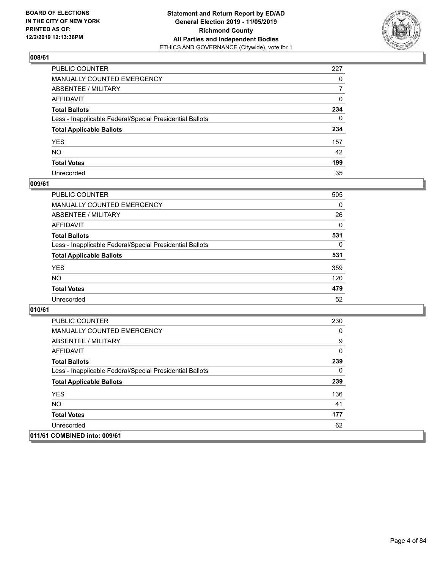

| PUBLIC COUNTER                                           | 227          |
|----------------------------------------------------------|--------------|
| MANUALLY COUNTED EMERGENCY                               | $\mathbf{0}$ |
| ABSENTEE / MILITARY                                      | 7            |
| AFFIDAVIT                                                | 0            |
| Total Ballots                                            | 234          |
| Less - Inapplicable Federal/Special Presidential Ballots | 0            |
| <b>Total Applicable Ballots</b>                          | 234          |
| YES                                                      | 157          |
| NO.                                                      | 42           |
| <b>Total Votes</b>                                       | 199          |
| Unrecorded                                               | 35           |

# **009/61**

| <b>PUBLIC COUNTER</b>                                    | 505      |
|----------------------------------------------------------|----------|
| <b>MANUALLY COUNTED EMERGENCY</b>                        | $\Omega$ |
| ABSENTEE / MILITARY                                      | 26       |
| <b>AFFIDAVIT</b>                                         | $\Omega$ |
| <b>Total Ballots</b>                                     | 531      |
| Less - Inapplicable Federal/Special Presidential Ballots | 0        |
| <b>Total Applicable Ballots</b>                          | 531      |
| <b>YES</b>                                               | 359      |
| <b>NO</b>                                                | 120      |
| <b>Total Votes</b>                                       | 479      |
| Unrecorded                                               | 52       |

| <b>PUBLIC COUNTER</b>                                    | 230      |
|----------------------------------------------------------|----------|
| <b>MANUALLY COUNTED EMERGENCY</b>                        | 0        |
| ABSENTEE / MILITARY                                      | 9        |
| AFFIDAVIT                                                | 0        |
| <b>Total Ballots</b>                                     | 239      |
| Less - Inapplicable Federal/Special Presidential Ballots | $\Omega$ |
| <b>Total Applicable Ballots</b>                          | 239      |
| <b>YES</b>                                               | 136      |
| NO.                                                      | 41       |
| <b>Total Votes</b>                                       | 177      |
| Unrecorded                                               | 62       |
| 011/61 COMBINED into: 009/61                             |          |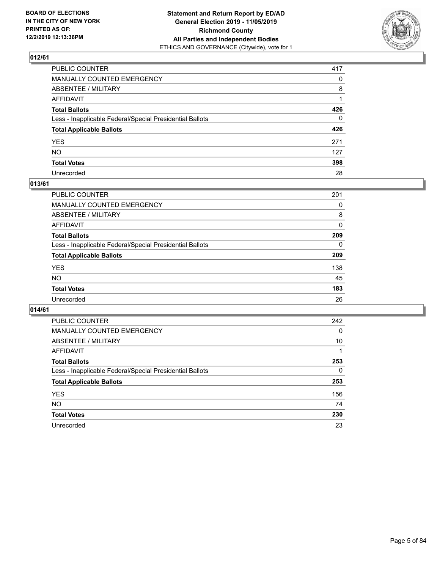

| PUBLIC COUNTER                                           | 417          |
|----------------------------------------------------------|--------------|
| MANUALLY COUNTED EMERGENCY                               | $\mathbf{0}$ |
| ABSENTEE / MILITARY                                      | 8            |
| AFFIDAVIT                                                |              |
| Total Ballots                                            | 426          |
| Less - Inapplicable Federal/Special Presidential Ballots | 0            |
| <b>Total Applicable Ballots</b>                          | 426          |
| YES                                                      | 271          |
| NO.                                                      | 127          |
| <b>Total Votes</b>                                       | 398          |
| Unrecorded                                               | 28           |

# **013/61**

| <b>PUBLIC COUNTER</b>                                    | 201      |
|----------------------------------------------------------|----------|
| <b>MANUALLY COUNTED EMERGENCY</b>                        | 0        |
| ABSENTEE / MILITARY                                      | 8        |
| AFFIDAVIT                                                | $\Omega$ |
| <b>Total Ballots</b>                                     | 209      |
| Less - Inapplicable Federal/Special Presidential Ballots | $\Omega$ |
| <b>Total Applicable Ballots</b>                          | 209      |
| <b>YES</b>                                               | 138      |
| <b>NO</b>                                                | 45       |
| <b>Total Votes</b>                                       | 183      |
| Unrecorded                                               | 26       |

| <b>PUBLIC COUNTER</b>                                    | 242 |
|----------------------------------------------------------|-----|
| <b>MANUALLY COUNTED EMERGENCY</b>                        | 0   |
| ABSENTEE / MILITARY                                      | 10  |
| AFFIDAVIT                                                |     |
| <b>Total Ballots</b>                                     | 253 |
| Less - Inapplicable Federal/Special Presidential Ballots | 0   |
| <b>Total Applicable Ballots</b>                          | 253 |
| <b>YES</b>                                               | 156 |
| NO.                                                      | 74  |
| <b>Total Votes</b>                                       | 230 |
| Unrecorded                                               | 23  |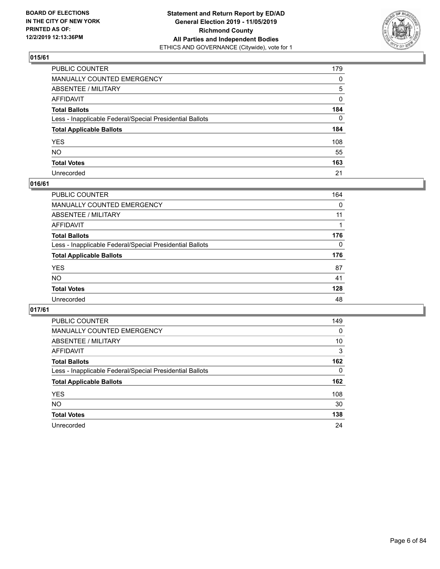

| PUBLIC COUNTER                                           | 179      |
|----------------------------------------------------------|----------|
| MANUALLY COUNTED EMERGENCY                               | 0        |
| ABSENTEE / MILITARY                                      | 5        |
| AFFIDAVIT                                                | 0        |
| Total Ballots                                            | 184      |
| Less - Inapplicable Federal/Special Presidential Ballots | $\Omega$ |
| <b>Total Applicable Ballots</b>                          | 184      |
| YES                                                      | 108      |
| NO.                                                      | 55       |
| <b>Total Votes</b>                                       | 163      |
| Unrecorded                                               | 21       |

# **016/61**

| PUBLIC COUNTER                                           | 164      |
|----------------------------------------------------------|----------|
| MANUALLY COUNTED EMERGENCY                               | 0        |
| ABSENTEE / MILITARY                                      | 11       |
| AFFIDAVIT                                                |          |
| <b>Total Ballots</b>                                     | 176      |
| Less - Inapplicable Federal/Special Presidential Ballots | $\Omega$ |
| <b>Total Applicable Ballots</b>                          | 176      |
| <b>YES</b>                                               | 87       |
| <b>NO</b>                                                | 41       |
| <b>Total Votes</b>                                       | 128      |
| Unrecorded                                               | 48       |

| <b>PUBLIC COUNTER</b>                                    | 149 |
|----------------------------------------------------------|-----|
| MANUALLY COUNTED EMERGENCY                               | 0   |
| ABSENTEE / MILITARY                                      | 10  |
| AFFIDAVIT                                                | 3   |
| <b>Total Ballots</b>                                     | 162 |
| Less - Inapplicable Federal/Special Presidential Ballots | 0   |
| <b>Total Applicable Ballots</b>                          | 162 |
| <b>YES</b>                                               | 108 |
| NO.                                                      | 30  |
| <b>Total Votes</b>                                       | 138 |
| Unrecorded                                               | 24  |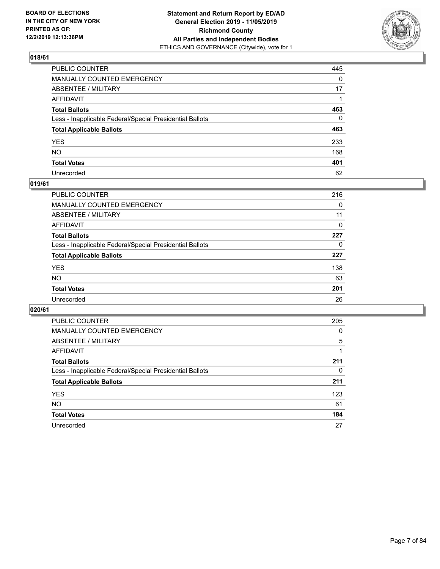

| PUBLIC COUNTER                                           | 445          |
|----------------------------------------------------------|--------------|
| MANUALLY COUNTED EMERGENCY                               | $\Omega$     |
| ABSENTEE / MILITARY                                      | 17           |
| AFFIDAVIT                                                |              |
| Total Ballots                                            | 463          |
| Less - Inapplicable Federal/Special Presidential Ballots | $\mathbf{0}$ |
| <b>Total Applicable Ballots</b>                          | 463          |
| YES                                                      | 233          |
| NO.                                                      | 168          |
| <b>Total Votes</b>                                       | 401          |
| Unrecorded                                               | 62           |

# **019/61**

| PUBLIC COUNTER                                           | 216 |
|----------------------------------------------------------|-----|
| <b>MANUALLY COUNTED EMERGENCY</b>                        | 0   |
| ABSENTEE / MILITARY                                      | 11  |
| AFFIDAVIT                                                | 0   |
| <b>Total Ballots</b>                                     | 227 |
| Less - Inapplicable Federal/Special Presidential Ballots | 0   |
| <b>Total Applicable Ballots</b>                          | 227 |
| <b>YES</b>                                               | 138 |
| <b>NO</b>                                                | 63  |
| <b>Total Votes</b>                                       | 201 |
| Unrecorded                                               | 26  |

| <b>PUBLIC COUNTER</b>                                    | 205      |
|----------------------------------------------------------|----------|
| MANUALLY COUNTED EMERGENCY                               | $\Omega$ |
| ABSENTEE / MILITARY                                      | 5        |
| AFFIDAVIT                                                |          |
| <b>Total Ballots</b>                                     | 211      |
| Less - Inapplicable Federal/Special Presidential Ballots | 0        |
| <b>Total Applicable Ballots</b>                          | 211      |
| <b>YES</b>                                               | 123      |
| NO.                                                      | 61       |
| <b>Total Votes</b>                                       | 184      |
| Unrecorded                                               | 27       |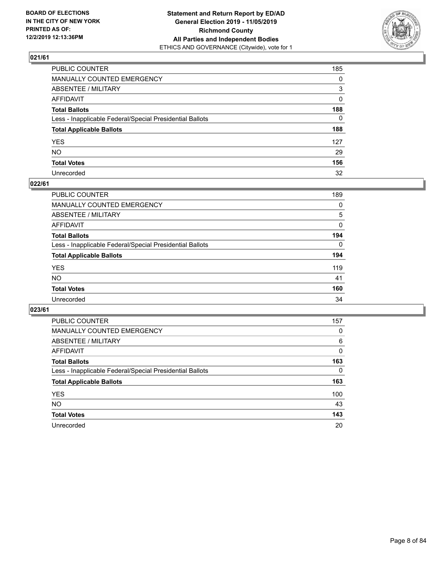

| PUBLIC COUNTER                                           | 185          |
|----------------------------------------------------------|--------------|
| MANUALLY COUNTED EMERGENCY                               | $\mathbf{0}$ |
| ABSENTEE / MILITARY                                      | 3            |
| AFFIDAVIT                                                | $\mathbf{0}$ |
| Total Ballots                                            | 188          |
| Less - Inapplicable Federal/Special Presidential Ballots | $\mathbf{0}$ |
| <b>Total Applicable Ballots</b>                          | 188          |
| YES                                                      | 127          |
| NO.                                                      | 29           |
| <b>Total Votes</b>                                       | 156          |
| Unrecorded                                               | 32           |

# **022/61**

| <b>PUBLIC COUNTER</b>                                    | 189      |
|----------------------------------------------------------|----------|
| MANUALLY COUNTED EMERGENCY                               | 0        |
| ABSENTEE / MILITARY                                      | 5        |
| AFFIDAVIT                                                | 0        |
| <b>Total Ballots</b>                                     | 194      |
| Less - Inapplicable Federal/Special Presidential Ballots | $\Omega$ |
| <b>Total Applicable Ballots</b>                          | 194      |
| <b>YES</b>                                               | 119      |
| <b>NO</b>                                                | 41       |
| <b>Total Votes</b>                                       | 160      |
| Unrecorded                                               | 34       |

| <b>PUBLIC COUNTER</b>                                    | 157 |
|----------------------------------------------------------|-----|
| MANUALLY COUNTED EMERGENCY                               | 0   |
| ABSENTEE / MILITARY                                      | 6   |
| AFFIDAVIT                                                | 0   |
| <b>Total Ballots</b>                                     | 163 |
| Less - Inapplicable Federal/Special Presidential Ballots | 0   |
| <b>Total Applicable Ballots</b>                          | 163 |
| <b>YES</b>                                               | 100 |
| NO.                                                      | 43  |
| <b>Total Votes</b>                                       | 143 |
| Unrecorded                                               | 20  |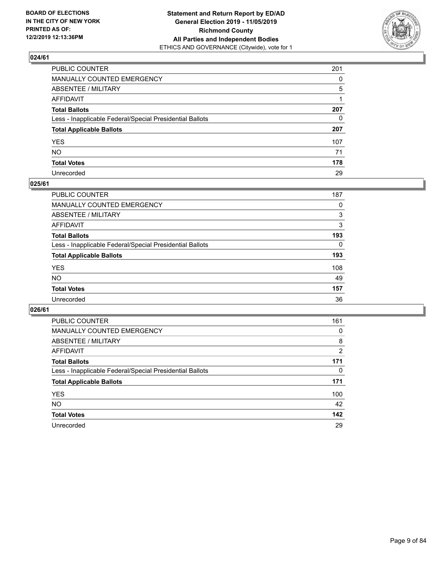

| PUBLIC COUNTER                                           | 201          |
|----------------------------------------------------------|--------------|
| MANUALLY COUNTED EMERGENCY                               | $\Omega$     |
| ABSENTEE / MILITARY                                      | 5            |
| AFFIDAVIT                                                |              |
| Total Ballots                                            | 207          |
| Less - Inapplicable Federal/Special Presidential Ballots | $\mathbf{0}$ |
| <b>Total Applicable Ballots</b>                          | 207          |
| YES                                                      | 107          |
| NO.                                                      | 71           |
| <b>Total Votes</b>                                       | 178          |
| Unrecorded                                               | 29           |

# **025/61**

| <b>PUBLIC COUNTER</b>                                    | 187      |
|----------------------------------------------------------|----------|
| MANUALLY COUNTED EMERGENCY                               | 0        |
| ABSENTEE / MILITARY                                      | 3        |
| AFFIDAVIT                                                | 3        |
| <b>Total Ballots</b>                                     | 193      |
| Less - Inapplicable Federal/Special Presidential Ballots | $\Omega$ |
| <b>Total Applicable Ballots</b>                          | 193      |
| <b>YES</b>                                               | 108      |
| <b>NO</b>                                                | 49       |
| <b>Total Votes</b>                                       | 157      |
| Unrecorded                                               | 36       |

| <b>PUBLIC COUNTER</b>                                    | 161 |
|----------------------------------------------------------|-----|
| MANUALLY COUNTED EMERGENCY                               | 0   |
| ABSENTEE / MILITARY                                      | 8   |
| AFFIDAVIT                                                | 2   |
| <b>Total Ballots</b>                                     | 171 |
| Less - Inapplicable Federal/Special Presidential Ballots | 0   |
| <b>Total Applicable Ballots</b>                          | 171 |
| <b>YES</b>                                               | 100 |
| NO.                                                      | 42  |
| <b>Total Votes</b>                                       | 142 |
| Unrecorded                                               | 29  |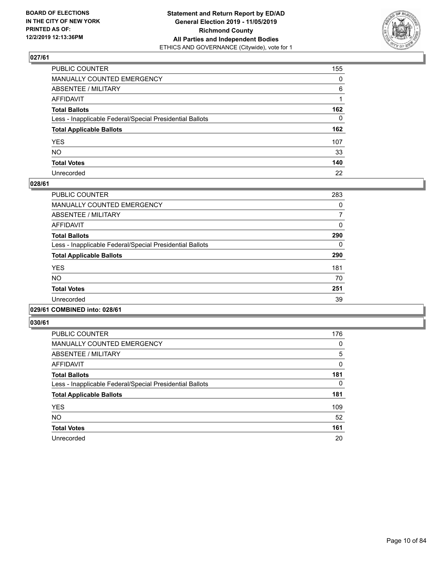

| PUBLIC COUNTER                                           | 155          |
|----------------------------------------------------------|--------------|
| MANUALLY COUNTED EMERGENCY                               | $\mathbf{0}$ |
| ABSENTEE / MILITARY                                      | 6            |
| AFFIDAVIT                                                |              |
| Total Ballots                                            | 162          |
| Less - Inapplicable Federal/Special Presidential Ballots | $\mathbf{0}$ |
| <b>Total Applicable Ballots</b>                          | 162          |
| YES                                                      | 107          |
| NO.                                                      | 33           |
| <b>Total Votes</b>                                       | 140          |
| Unrecorded                                               | 22           |

# **028/61**

| PUBLIC COUNTER                                           | 283      |
|----------------------------------------------------------|----------|
| <b>MANUALLY COUNTED EMERGENCY</b>                        | $\Omega$ |
| ABSENTEE / MILITARY                                      | 7        |
| <b>AFFIDAVIT</b>                                         | 0        |
| <b>Total Ballots</b>                                     | 290      |
| Less - Inapplicable Federal/Special Presidential Ballots | 0        |
| <b>Total Applicable Ballots</b>                          | 290      |
| <b>YES</b>                                               | 181      |
| <b>NO</b>                                                | 70       |
| <b>Total Votes</b>                                       | 251      |
| Unrecorded                                               | 39       |
|                                                          |          |

#### **029/61 COMBINED into: 028/61**

| <b>PUBLIC COUNTER</b>                                    | 176          |
|----------------------------------------------------------|--------------|
| <b>MANUALLY COUNTED EMERGENCY</b>                        | 0            |
| ABSENTEE / MILITARY                                      | 5            |
| <b>AFFIDAVIT</b>                                         | $\mathbf{0}$ |
| <b>Total Ballots</b>                                     | 181          |
| Less - Inapplicable Federal/Special Presidential Ballots | 0            |
| <b>Total Applicable Ballots</b>                          | 181          |
| <b>YES</b>                                               | 109          |
| <b>NO</b>                                                | 52           |
| <b>Total Votes</b>                                       | 161          |
| Unrecorded                                               | 20           |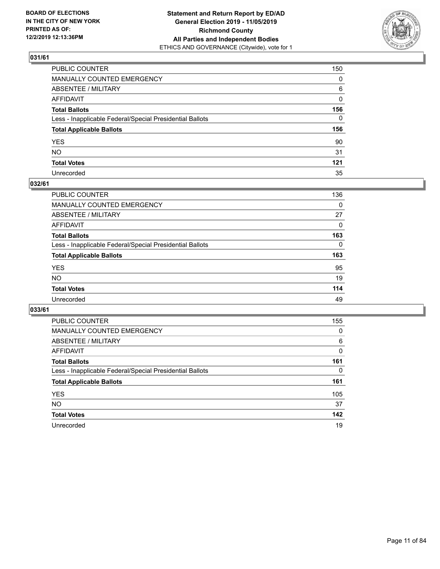

| PUBLIC COUNTER                                           | 150          |
|----------------------------------------------------------|--------------|
| MANUALLY COUNTED EMERGENCY                               | 0            |
| ABSENTEE / MILITARY                                      | 6            |
| AFFIDAVIT                                                | $\mathbf{0}$ |
| Total Ballots                                            | 156          |
| Less - Inapplicable Federal/Special Presidential Ballots | $\mathbf{0}$ |
| <b>Total Applicable Ballots</b>                          | 156          |
| YES                                                      | 90           |
| NO.                                                      | 31           |
| <b>Total Votes</b>                                       | 121          |
| Unrecorded                                               | 35           |

# **032/61**

| <b>PUBLIC COUNTER</b>                                    | 136      |
|----------------------------------------------------------|----------|
| <b>MANUALLY COUNTED EMERGENCY</b>                        | $\Omega$ |
| ABSENTEE / MILITARY                                      | 27       |
| AFFIDAVIT                                                | $\Omega$ |
| <b>Total Ballots</b>                                     | 163      |
| Less - Inapplicable Federal/Special Presidential Ballots | $\Omega$ |
| <b>Total Applicable Ballots</b>                          | 163      |
| <b>YES</b>                                               | 95       |
| <b>NO</b>                                                | 19       |
| <b>Total Votes</b>                                       | 114      |
| Unrecorded                                               | 49       |

| <b>PUBLIC COUNTER</b>                                    | 155      |
|----------------------------------------------------------|----------|
| <b>MANUALLY COUNTED EMERGENCY</b>                        | 0        |
| ABSENTEE / MILITARY                                      | 6        |
| AFFIDAVIT                                                | 0        |
| <b>Total Ballots</b>                                     | 161      |
| Less - Inapplicable Federal/Special Presidential Ballots | $\Omega$ |
| <b>Total Applicable Ballots</b>                          | 161      |
| <b>YES</b>                                               | 105      |
| <b>NO</b>                                                | 37       |
| <b>Total Votes</b>                                       | 142      |
| Unrecorded                                               | 19       |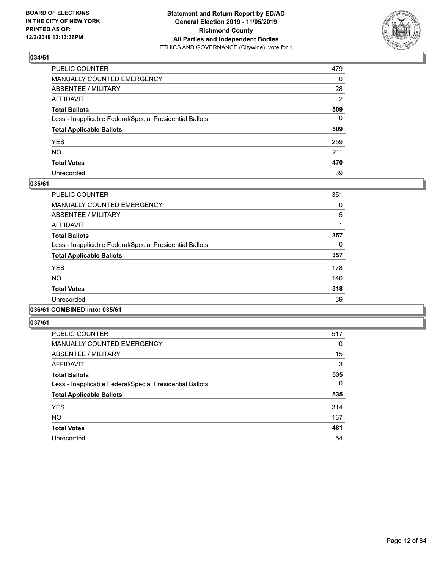

| PUBLIC COUNTER                                           | 479          |
|----------------------------------------------------------|--------------|
| MANUALLY COUNTED EMERGENCY                               | $\mathbf{0}$ |
| ABSENTEE / MILITARY                                      | 28           |
| AFFIDAVIT                                                | 2            |
| Total Ballots                                            | 509          |
| Less - Inapplicable Federal/Special Presidential Ballots | $\Omega$     |
| <b>Total Applicable Ballots</b>                          | 509          |
| YES                                                      | 259          |
| NO.                                                      | 211          |
| <b>Total Votes</b>                                       | 470          |
| Unrecorded                                               | 39           |

# **035/61**

| <b>PUBLIC COUNTER</b>                                    | 351 |
|----------------------------------------------------------|-----|
| <b>MANUALLY COUNTED EMERGENCY</b>                        | 0   |
| ABSENTEE / MILITARY                                      | 5   |
| <b>AFFIDAVIT</b>                                         |     |
| <b>Total Ballots</b>                                     | 357 |
| Less - Inapplicable Federal/Special Presidential Ballots | 0   |
| <b>Total Applicable Ballots</b>                          | 357 |
| <b>YES</b>                                               | 178 |
| N <sub>O</sub>                                           | 140 |
| <b>Total Votes</b>                                       | 318 |
| Unrecorded                                               | 39  |
|                                                          |     |

# **036/61 COMBINED into: 035/61**

| <b>PUBLIC COUNTER</b>                                    | 517 |
|----------------------------------------------------------|-----|
| <b>MANUALLY COUNTED EMERGENCY</b>                        | 0   |
| ABSENTEE / MILITARY                                      | 15  |
| <b>AFFIDAVIT</b>                                         | 3   |
| <b>Total Ballots</b>                                     | 535 |
| Less - Inapplicable Federal/Special Presidential Ballots | 0   |
| <b>Total Applicable Ballots</b>                          | 535 |
| <b>YES</b>                                               | 314 |
| <b>NO</b>                                                | 167 |
| <b>Total Votes</b>                                       | 481 |
| Unrecorded                                               | 54  |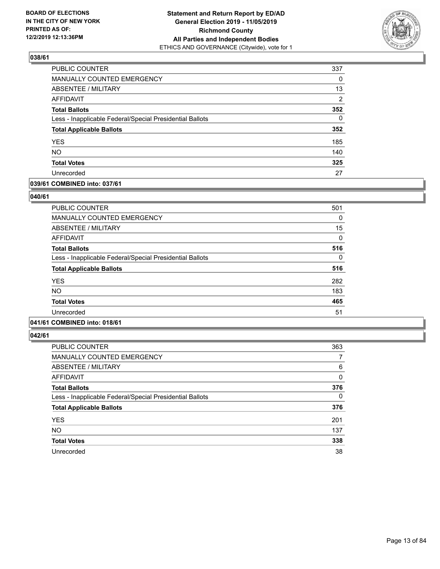

| PUBLIC COUNTER                                           | 337            |
|----------------------------------------------------------|----------------|
| MANUALLY COUNTED EMERGENCY                               | 0              |
| ABSENTEE / MILITARY                                      | 13             |
| AFFIDAVIT                                                | $\overline{2}$ |
| <b>Total Ballots</b>                                     | 352            |
| Less - Inapplicable Federal/Special Presidential Ballots | $\Omega$       |
| <b>Total Applicable Ballots</b>                          | 352            |
| <b>YES</b>                                               | 185            |
| <b>NO</b>                                                | 140            |
| <b>Total Votes</b>                                       | 325            |
| Unrecorded                                               | 27             |

# **039/61 COMBINED into: 037/61**

# **040/61**

| <b>PUBLIC COUNTER</b>                                    | 501 |
|----------------------------------------------------------|-----|
| <b>MANUALLY COUNTED EMERGENCY</b>                        | 0   |
| ABSENTEE / MILITARY                                      | 15  |
| <b>AFFIDAVIT</b>                                         | 0   |
| <b>Total Ballots</b>                                     | 516 |
| Less - Inapplicable Federal/Special Presidential Ballots | 0   |
| <b>Total Applicable Ballots</b>                          | 516 |
| <b>YES</b>                                               | 282 |
| <b>NO</b>                                                | 183 |
| <b>Total Votes</b>                                       | 465 |
| Unrecorded                                               | 51  |
|                                                          |     |

# **041/61 COMBINED into: 018/61**

| <b>PUBLIC COUNTER</b>                                    | 363      |
|----------------------------------------------------------|----------|
| <b>MANUALLY COUNTED EMERGENCY</b>                        | 7        |
| ABSENTEE / MILITARY                                      | 6        |
| <b>AFFIDAVIT</b>                                         | 0        |
| <b>Total Ballots</b>                                     | 376      |
| Less - Inapplicable Federal/Special Presidential Ballots | $\Omega$ |
| <b>Total Applicable Ballots</b>                          | 376      |
| <b>YES</b>                                               | 201      |
| <b>NO</b>                                                | 137      |
| <b>Total Votes</b>                                       | 338      |
| Unrecorded                                               | 38       |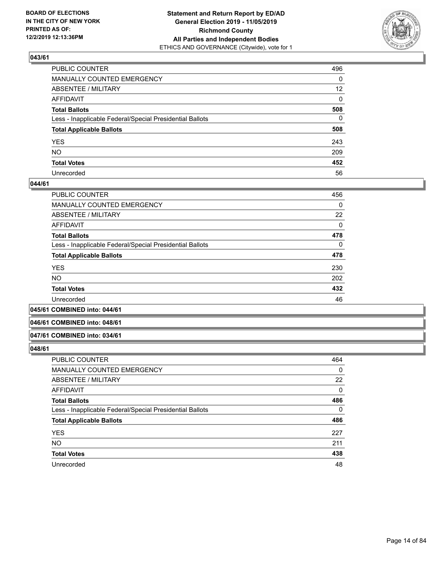

| PUBLIC COUNTER                                           | 496             |
|----------------------------------------------------------|-----------------|
| MANUALLY COUNTED EMERGENCY                               | $\mathbf{0}$    |
| ABSENTEE / MILITARY                                      | 12 <sup>2</sup> |
| AFFIDAVIT                                                | $\mathbf{0}$    |
| Total Ballots                                            | 508             |
| Less - Inapplicable Federal/Special Presidential Ballots | $\Omega$        |
| <b>Total Applicable Ballots</b>                          | 508             |
| YES                                                      | 243             |
| NO.                                                      | 209             |
| <b>Total Votes</b>                                       | 452             |
| Unrecorded                                               | 56              |

# **044/61**

| <b>PUBLIC COUNTER</b>                                    | 456      |
|----------------------------------------------------------|----------|
| MANUALLY COUNTED EMERGENCY                               | $\Omega$ |
| ABSENTEE / MILITARY                                      | 22       |
| AFFIDAVIT                                                | $\Omega$ |
| <b>Total Ballots</b>                                     | 478      |
| Less - Inapplicable Federal/Special Presidential Ballots | $\Omega$ |
| <b>Total Applicable Ballots</b>                          | 478      |
| <b>YES</b>                                               | 230      |
| <b>NO</b>                                                | 202      |
| <b>Total Votes</b>                                       | 432      |
| Unrecorded                                               | 46       |
|                                                          |          |

# **045/61 COMBINED into: 044/61**

#### **046/61 COMBINED into: 048/61**

#### **047/61 COMBINED into: 034/61**

| <b>PUBLIC COUNTER</b>                                    | 464 |
|----------------------------------------------------------|-----|
| <b>MANUALLY COUNTED EMERGENCY</b>                        | 0   |
| ABSENTEE / MILITARY                                      | 22  |
| AFFIDAVIT                                                | 0   |
| <b>Total Ballots</b>                                     | 486 |
| Less - Inapplicable Federal/Special Presidential Ballots | 0   |
| <b>Total Applicable Ballots</b>                          | 486 |
| <b>YES</b>                                               | 227 |
| <b>NO</b>                                                | 211 |
| <b>Total Votes</b>                                       | 438 |
| Unrecorded                                               | 48  |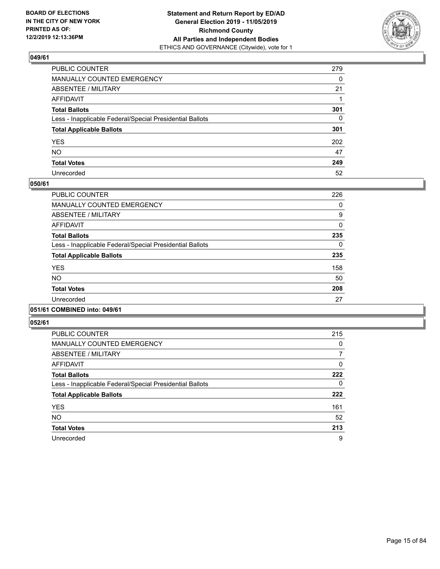

| PUBLIC COUNTER                                           | 279          |
|----------------------------------------------------------|--------------|
| MANUALLY COUNTED EMERGENCY                               | $\mathbf{0}$ |
| ABSENTEE / MILITARY                                      | 21           |
| AFFIDAVIT                                                |              |
| Total Ballots                                            | 301          |
| Less - Inapplicable Federal/Special Presidential Ballots | $\mathbf{0}$ |
| <b>Total Applicable Ballots</b>                          | 301          |
| YES                                                      | 202          |
| NO.                                                      | 47           |
| <b>Total Votes</b>                                       | 249          |
| Unrecorded                                               | 52           |

# **050/61**

| PUBLIC COUNTER                                           | 226      |
|----------------------------------------------------------|----------|
| <b>MANUALLY COUNTED EMERGENCY</b>                        | 0        |
| ABSENTEE / MILITARY                                      | 9        |
| <b>AFFIDAVIT</b>                                         | $\Omega$ |
| <b>Total Ballots</b>                                     | 235      |
| Less - Inapplicable Federal/Special Presidential Ballots | $\Omega$ |
| <b>Total Applicable Ballots</b>                          | 235      |
| <b>YES</b>                                               | 158      |
| NO.                                                      | 50       |
| <b>Total Votes</b>                                       | 208      |
| Unrecorded                                               | 27       |
|                                                          |          |

# **051/61 COMBINED into: 049/61**

| <b>PUBLIC COUNTER</b>                                    | 215 |
|----------------------------------------------------------|-----|
| <b>MANUALLY COUNTED EMERGENCY</b>                        | 0   |
| ABSENTEE / MILITARY                                      | 7   |
| <b>AFFIDAVIT</b>                                         | 0   |
| <b>Total Ballots</b>                                     | 222 |
| Less - Inapplicable Federal/Special Presidential Ballots | 0   |
| <b>Total Applicable Ballots</b>                          | 222 |
| <b>YES</b>                                               | 161 |
| NO.                                                      | 52  |
| <b>Total Votes</b>                                       | 213 |
| Unrecorded                                               | 9   |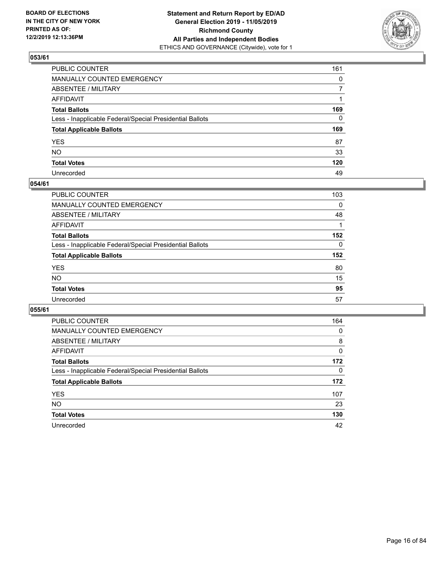

| PUBLIC COUNTER                                           | 161          |
|----------------------------------------------------------|--------------|
| MANUALLY COUNTED EMERGENCY                               | $\mathbf{0}$ |
| ABSENTEE / MILITARY                                      | 7            |
| AFFIDAVIT                                                |              |
| Total Ballots                                            | 169          |
| Less - Inapplicable Federal/Special Presidential Ballots | 0            |
| <b>Total Applicable Ballots</b>                          | 169          |
| YES                                                      | 87           |
| NO.                                                      | 33           |
| <b>Total Votes</b>                                       | 120          |
| Unrecorded                                               | 49           |

# **054/61**

| <b>PUBLIC COUNTER</b>                                    | 103      |
|----------------------------------------------------------|----------|
| <b>MANUALLY COUNTED EMERGENCY</b>                        | 0        |
| ABSENTEE / MILITARY                                      | 48       |
| AFFIDAVIT                                                |          |
| <b>Total Ballots</b>                                     | 152      |
| Less - Inapplicable Federal/Special Presidential Ballots | $\Omega$ |
| <b>Total Applicable Ballots</b>                          | 152      |
| <b>YES</b>                                               | 80       |
| <b>NO</b>                                                | 15       |
| <b>Total Votes</b>                                       | 95       |
| Unrecorded                                               | 57       |

| PUBLIC COUNTER                                           | 164      |
|----------------------------------------------------------|----------|
| <b>MANUALLY COUNTED EMERGENCY</b>                        | $\Omega$ |
| ABSENTEE / MILITARY                                      | 8        |
| AFFIDAVIT                                                | 0        |
| <b>Total Ballots</b>                                     | 172      |
| Less - Inapplicable Federal/Special Presidential Ballots | $\Omega$ |
| <b>Total Applicable Ballots</b>                          | 172      |
| <b>YES</b>                                               | 107      |
| <b>NO</b>                                                | 23       |
| <b>Total Votes</b>                                       | 130      |
| Unrecorded                                               | 42       |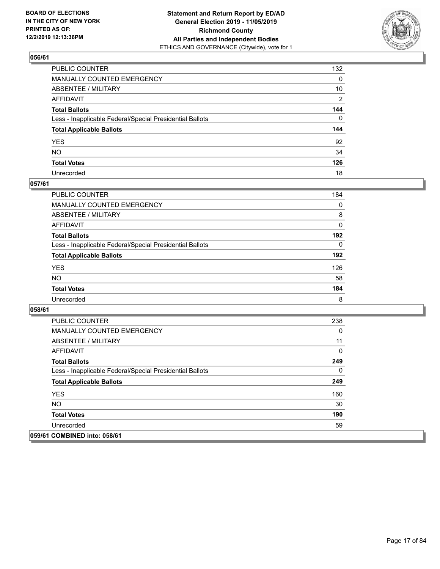

| PUBLIC COUNTER                                           | 132            |
|----------------------------------------------------------|----------------|
| MANUALLY COUNTED EMERGENCY                               | $\mathbf{0}$   |
| ABSENTEE / MILITARY                                      | 10             |
| AFFIDAVIT                                                | $\overline{2}$ |
| Total Ballots                                            | 144            |
| Less - Inapplicable Federal/Special Presidential Ballots | $\Omega$       |
| <b>Total Applicable Ballots</b>                          | 144            |
| YES                                                      | 92             |
| NO.                                                      | 34             |
| <b>Total Votes</b>                                       | 126            |
| Unrecorded                                               | 18             |

# **057/61**

| PUBLIC COUNTER                                           | 184      |
|----------------------------------------------------------|----------|
| <b>MANUALLY COUNTED EMERGENCY</b>                        | $\Omega$ |
| ABSENTEE / MILITARY                                      | 8        |
| AFFIDAVIT                                                | $\Omega$ |
| <b>Total Ballots</b>                                     | 192      |
| Less - Inapplicable Federal/Special Presidential Ballots | 0        |
| <b>Total Applicable Ballots</b>                          | 192      |
| <b>YES</b>                                               | 126      |
| <b>NO</b>                                                | 58       |
| <b>Total Votes</b>                                       | 184      |
| Unrecorded                                               | 8        |

| <b>PUBLIC COUNTER</b>                                    | 238 |
|----------------------------------------------------------|-----|
| <b>MANUALLY COUNTED EMERGENCY</b>                        | 0   |
| ABSENTEE / MILITARY                                      | 11  |
| AFFIDAVIT                                                | 0   |
| <b>Total Ballots</b>                                     | 249 |
| Less - Inapplicable Federal/Special Presidential Ballots | 0   |
| <b>Total Applicable Ballots</b>                          | 249 |
| <b>YES</b>                                               | 160 |
| <b>NO</b>                                                | 30  |
| <b>Total Votes</b>                                       | 190 |
| Unrecorded                                               | 59  |
| 059/61 COMBINED into: 058/61                             |     |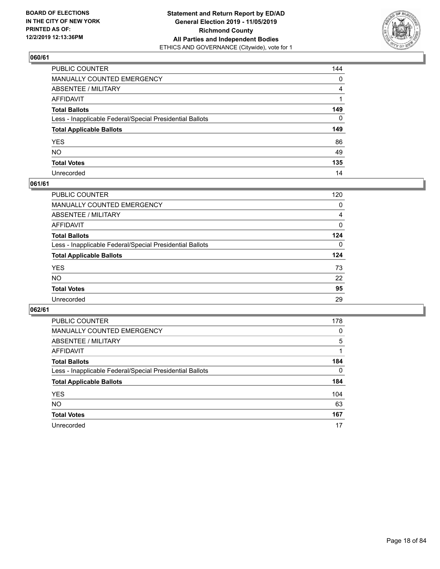

| PUBLIC COUNTER                                           | 144            |
|----------------------------------------------------------|----------------|
| MANUALLY COUNTED EMERGENCY                               | $\mathbf{0}$   |
| ABSENTEE / MILITARY                                      | $\overline{4}$ |
| AFFIDAVIT                                                |                |
| Total Ballots                                            | 149            |
| Less - Inapplicable Federal/Special Presidential Ballots | $\mathbf{0}$   |
| <b>Total Applicable Ballots</b>                          | 149            |
| YES                                                      | 86             |
| NO.                                                      | 49             |
| <b>Total Votes</b>                                       | 135            |
| Unrecorded                                               | 14             |

# **061/61**

| PUBLIC COUNTER                                           | 120      |
|----------------------------------------------------------|----------|
| MANUALLY COUNTED EMERGENCY                               | 0        |
| ABSENTEE / MILITARY                                      | 4        |
| AFFIDAVIT                                                | $\Omega$ |
| <b>Total Ballots</b>                                     | 124      |
| Less - Inapplicable Federal/Special Presidential Ballots | $\Omega$ |
| <b>Total Applicable Ballots</b>                          | 124      |
| <b>YES</b>                                               | 73       |
| <b>NO</b>                                                | 22       |
| <b>Total Votes</b>                                       | 95       |
| Unrecorded                                               | 29       |

| <b>PUBLIC COUNTER</b>                                    | 178      |
|----------------------------------------------------------|----------|
| <b>MANUALLY COUNTED EMERGENCY</b>                        | $\Omega$ |
| ABSENTEE / MILITARY                                      | 5        |
| AFFIDAVIT                                                |          |
| <b>Total Ballots</b>                                     | 184      |
| Less - Inapplicable Federal/Special Presidential Ballots | $\Omega$ |
| <b>Total Applicable Ballots</b>                          | 184      |
| <b>YES</b>                                               | 104      |
| <b>NO</b>                                                | 63       |
| <b>Total Votes</b>                                       | 167      |
| Unrecorded                                               | 17       |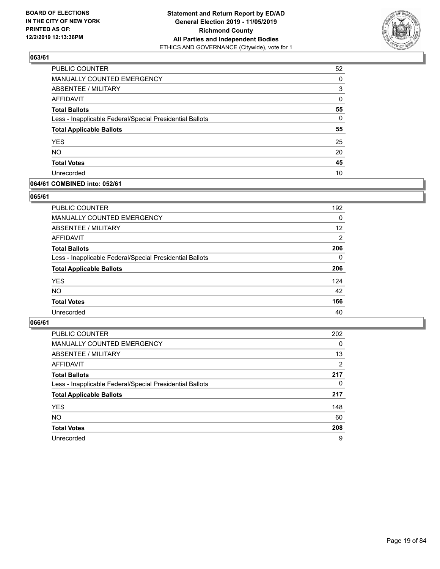

| PUBLIC COUNTER                                           | 52       |
|----------------------------------------------------------|----------|
| MANUALLY COUNTED EMERGENCY                               | 0        |
| ABSENTEE / MILITARY                                      | 3        |
| <b>AFFIDAVIT</b>                                         | 0        |
| <b>Total Ballots</b>                                     | 55       |
| Less - Inapplicable Federal/Special Presidential Ballots | $\Omega$ |
| <b>Total Applicable Ballots</b>                          | 55       |
| <b>YES</b>                                               | 25       |
| <b>NO</b>                                                | 20       |
| <b>Total Votes</b>                                       | 45       |
| Unrecorded                                               | 10       |

# **064/61 COMBINED into: 052/61**

#### **065/61**

| <b>PUBLIC COUNTER</b>                                    | 192               |
|----------------------------------------------------------|-------------------|
| <b>MANUALLY COUNTED EMERGENCY</b>                        | 0                 |
| ABSENTEE / MILITARY                                      | $12 \overline{ }$ |
| AFFIDAVIT                                                | $\overline{2}$    |
| <b>Total Ballots</b>                                     | 206               |
| Less - Inapplicable Federal/Special Presidential Ballots | $\Omega$          |
| <b>Total Applicable Ballots</b>                          | 206               |
| <b>YES</b>                                               | 124               |
| <b>NO</b>                                                | 42                |
| <b>Total Votes</b>                                       | 166               |
| Unrecorded                                               | 40                |

| <b>PUBLIC COUNTER</b>                                    | 202      |
|----------------------------------------------------------|----------|
| <b>MANUALLY COUNTED EMERGENCY</b>                        | $\Omega$ |
| ABSENTEE / MILITARY                                      | 13       |
| AFFIDAVIT                                                | 2        |
| <b>Total Ballots</b>                                     | 217      |
| Less - Inapplicable Federal/Special Presidential Ballots | $\Omega$ |
| <b>Total Applicable Ballots</b>                          | 217      |
| <b>YES</b>                                               | 148      |
| <b>NO</b>                                                | 60       |
| <b>Total Votes</b>                                       | 208      |
| Unrecorded                                               | 9        |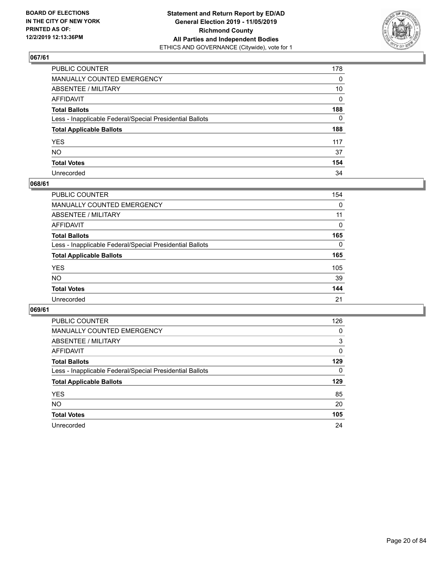

| PUBLIC COUNTER                                           | 178          |
|----------------------------------------------------------|--------------|
| MANUALLY COUNTED EMERGENCY                               | $\mathbf{0}$ |
| ABSENTEE / MILITARY                                      | 10           |
| AFFIDAVIT                                                | $\mathbf{0}$ |
| Total Ballots                                            | 188          |
| Less - Inapplicable Federal/Special Presidential Ballots | $\Omega$     |
| <b>Total Applicable Ballots</b>                          | 188          |
| YES                                                      | 117          |
| NΟ                                                       | 37           |
| <b>Total Votes</b>                                       | 154          |
| Unrecorded                                               | 34           |

# **068/61**

| <b>PUBLIC COUNTER</b>                                    | 154      |
|----------------------------------------------------------|----------|
| <b>MANUALLY COUNTED EMERGENCY</b>                        | 0        |
| ABSENTEE / MILITARY                                      | 11       |
| AFFIDAVIT                                                | $\Omega$ |
| <b>Total Ballots</b>                                     | 165      |
| Less - Inapplicable Federal/Special Presidential Ballots | $\Omega$ |
| <b>Total Applicable Ballots</b>                          | 165      |
| <b>YES</b>                                               | 105      |
| <b>NO</b>                                                | 39       |
| <b>Total Votes</b>                                       | 144      |
| Unrecorded                                               | 21       |

| <b>PUBLIC COUNTER</b>                                    | 126      |
|----------------------------------------------------------|----------|
| MANUALLY COUNTED EMERGENCY                               | 0        |
| ABSENTEE / MILITARY                                      | 3        |
| AFFIDAVIT                                                | $\Omega$ |
| <b>Total Ballots</b>                                     | 129      |
| Less - Inapplicable Federal/Special Presidential Ballots | $\Omega$ |
| <b>Total Applicable Ballots</b>                          | 129      |
| <b>YES</b>                                               | 85       |
| <b>NO</b>                                                | 20       |
| <b>Total Votes</b>                                       | 105      |
|                                                          |          |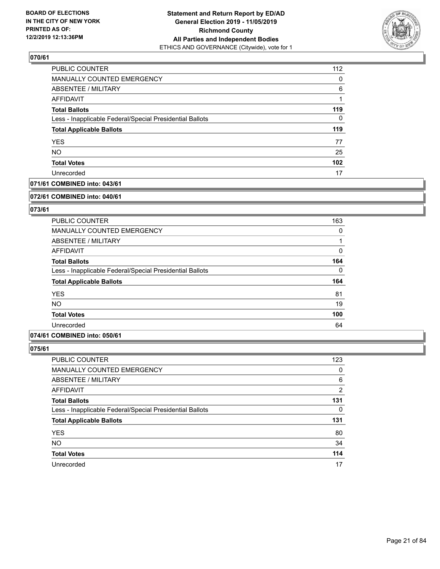

| PUBLIC COUNTER                                           | 112 |
|----------------------------------------------------------|-----|
| MANUALLY COUNTED EMERGENCY                               | 0   |
| ABSENTEE / MILITARY                                      | 6   |
| AFFIDAVIT                                                |     |
| <b>Total Ballots</b>                                     | 119 |
| Less - Inapplicable Federal/Special Presidential Ballots | 0   |
| <b>Total Applicable Ballots</b>                          | 119 |
| <b>YES</b>                                               | 77  |
| <b>NO</b>                                                | 25  |
| <b>Total Votes</b>                                       | 102 |
| Unrecorded                                               | 17  |

# **071/61 COMBINED into: 043/61**

#### **072/61 COMBINED into: 040/61**

# **073/61**

| <b>PUBLIC COUNTER</b>                                    | 163      |
|----------------------------------------------------------|----------|
| MANUALLY COUNTED EMERGENCY                               | 0        |
| ABSENTEE / MILITARY                                      |          |
| AFFIDAVIT                                                | 0        |
| <b>Total Ballots</b>                                     | 164      |
| Less - Inapplicable Federal/Special Presidential Ballots | $\Omega$ |
| <b>Total Applicable Ballots</b>                          | 164      |
| <b>YES</b>                                               | 81       |
| <b>NO</b>                                                | 19       |
| <b>Total Votes</b>                                       | 100      |
| Unrecorded                                               | 64       |

# **074/61 COMBINED into: 050/61**

| <b>PUBLIC COUNTER</b>                                    | 123      |
|----------------------------------------------------------|----------|
| MANUALLY COUNTED EMERGENCY                               | 0        |
| ABSENTEE / MILITARY                                      | 6        |
| AFFIDAVIT                                                | 2        |
| <b>Total Ballots</b>                                     | 131      |
| Less - Inapplicable Federal/Special Presidential Ballots | $\Omega$ |
| <b>Total Applicable Ballots</b>                          | 131      |
| <b>YES</b>                                               | 80       |
| <b>NO</b>                                                | 34       |
| <b>Total Votes</b>                                       | 114      |
| Unrecorded                                               | 17       |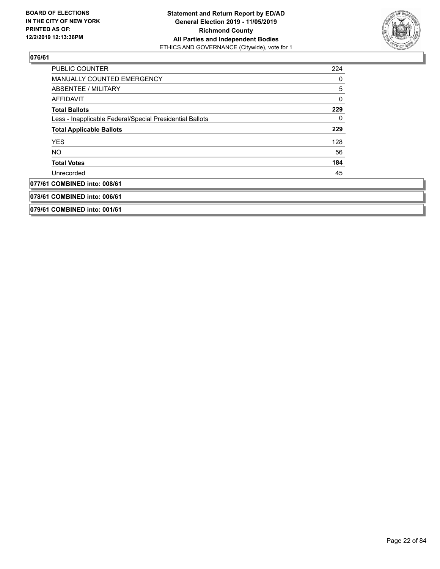

| <b>PUBLIC COUNTER</b>                                    | 224 |
|----------------------------------------------------------|-----|
| <b>MANUALLY COUNTED EMERGENCY</b>                        | 0   |
| ABSENTEE / MILITARY                                      | 5   |
| <b>AFFIDAVIT</b>                                         | 0   |
| <b>Total Ballots</b>                                     | 229 |
| Less - Inapplicable Federal/Special Presidential Ballots | 0   |
| <b>Total Applicable Ballots</b>                          | 229 |
| <b>YES</b>                                               | 128 |
| NO.                                                      | 56  |
| <b>Total Votes</b>                                       | 184 |
| Unrecorded                                               | 45  |
| 077/61 COMBINED into: 008/61                             |     |
| 078/61 COMBINED into: 006/61                             |     |
| 079/61 COMBINED into: 001/61                             |     |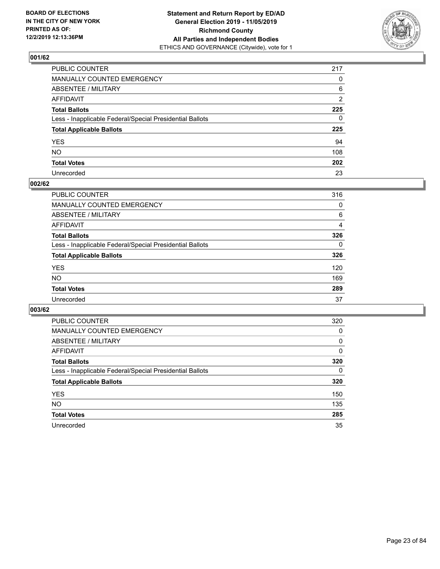

| PUBLIC COUNTER                                           | 217            |
|----------------------------------------------------------|----------------|
| MANUALLY COUNTED EMERGENCY                               | $\mathbf{0}$   |
| ABSENTEE / MILITARY                                      | 6              |
| AFFIDAVIT                                                | $\overline{2}$ |
| Total Ballots                                            | 225            |
| Less - Inapplicable Federal/Special Presidential Ballots | $\Omega$       |
| <b>Total Applicable Ballots</b>                          | 225            |
| YES                                                      | 94             |
| NO.                                                      | 108            |
| <b>Total Votes</b>                                       | 202            |
| Unrecorded                                               | 23             |

# **002/62**

| <b>PUBLIC COUNTER</b>                                    | 316      |
|----------------------------------------------------------|----------|
| MANUALLY COUNTED EMERGENCY                               | 0        |
| ABSENTEE / MILITARY                                      | 6        |
| AFFIDAVIT                                                | 4        |
| <b>Total Ballots</b>                                     | 326      |
| Less - Inapplicable Federal/Special Presidential Ballots | $\Omega$ |
| <b>Total Applicable Ballots</b>                          | 326      |
| <b>YES</b>                                               | 120      |
| <b>NO</b>                                                | 169      |
| <b>Total Votes</b>                                       | 289      |
| Unrecorded                                               | 37       |

| <b>PUBLIC COUNTER</b>                                    | 320      |
|----------------------------------------------------------|----------|
| <b>MANUALLY COUNTED EMERGENCY</b>                        | 0        |
| ABSENTEE / MILITARY                                      | 0        |
| AFFIDAVIT                                                | $\Omega$ |
| <b>Total Ballots</b>                                     | 320      |
| Less - Inapplicable Federal/Special Presidential Ballots | $\Omega$ |
| <b>Total Applicable Ballots</b>                          | 320      |
| <b>YES</b>                                               | 150      |
| <b>NO</b>                                                | 135      |
| <b>Total Votes</b>                                       | 285      |
| Unrecorded                                               | 35       |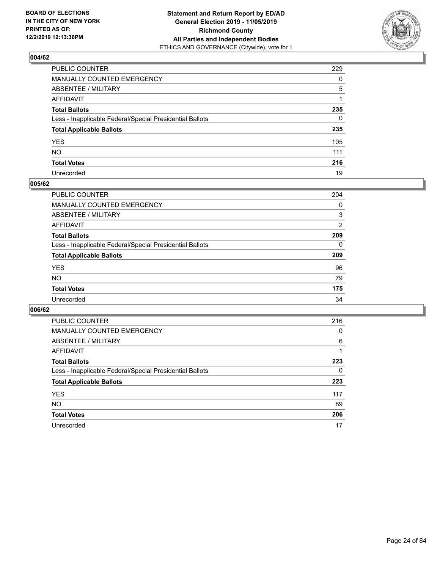

| PUBLIC COUNTER                                           | 229          |
|----------------------------------------------------------|--------------|
| MANUALLY COUNTED EMERGENCY                               | $\mathbf{0}$ |
| ABSENTEE / MILITARY                                      | 5            |
| AFFIDAVIT                                                |              |
| Total Ballots                                            | 235          |
| Less - Inapplicable Federal/Special Presidential Ballots | $\mathbf{0}$ |
| <b>Total Applicable Ballots</b>                          | 235          |
| YES                                                      | 105          |
| NO.                                                      | 111          |
| <b>Total Votes</b>                                       | 216          |
| Unrecorded                                               | 19           |

# **005/62**

| PUBLIC COUNTER                                           | 204      |
|----------------------------------------------------------|----------|
| MANUALLY COUNTED EMERGENCY                               | 0        |
| ABSENTEE / MILITARY                                      | 3        |
| AFFIDAVIT                                                | 2        |
| <b>Total Ballots</b>                                     | 209      |
| Less - Inapplicable Federal/Special Presidential Ballots | $\Omega$ |
| <b>Total Applicable Ballots</b>                          | 209      |
| <b>YES</b>                                               | 96       |
| <b>NO</b>                                                | 79       |
| <b>Total Votes</b>                                       | 175      |
| Unrecorded                                               | 34       |

| <b>PUBLIC COUNTER</b>                                    | 216 |
|----------------------------------------------------------|-----|
| <b>MANUALLY COUNTED EMERGENCY</b>                        | 0   |
| ABSENTEE / MILITARY                                      | 6   |
| AFFIDAVIT                                                |     |
| <b>Total Ballots</b>                                     | 223 |
| Less - Inapplicable Federal/Special Presidential Ballots | 0   |
| <b>Total Applicable Ballots</b>                          | 223 |
| <b>YES</b>                                               | 117 |
| NO.                                                      | 89  |
| <b>Total Votes</b>                                       | 206 |
| Unrecorded                                               | 17  |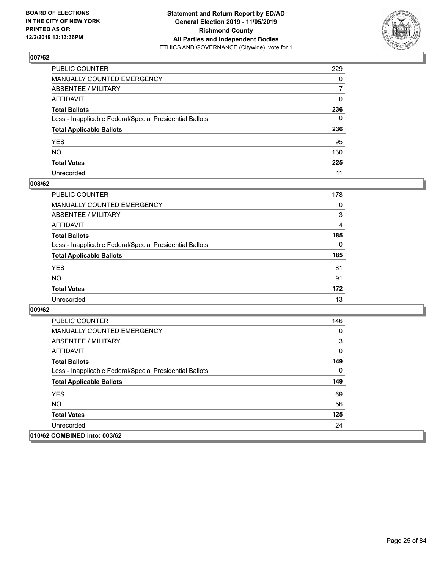

| PUBLIC COUNTER                                           | 229          |
|----------------------------------------------------------|--------------|
| MANUALLY COUNTED EMERGENCY                               | $\Omega$     |
| ABSENTEE / MILITARY                                      | 7            |
| AFFIDAVIT                                                | $\Omega$     |
| Total Ballots                                            | 236          |
| Less - Inapplicable Federal/Special Presidential Ballots | $\mathbf{0}$ |
| <b>Total Applicable Ballots</b>                          | 236          |
| YES                                                      | 95           |
| NO.                                                      | 130          |
| <b>Total Votes</b>                                       | 225          |
| Unrecorded                                               | 11           |

# **008/62**

| <b>PUBLIC COUNTER</b>                                    | 178      |
|----------------------------------------------------------|----------|
| MANUALLY COUNTED EMERGENCY                               | 0        |
| ABSENTEE / MILITARY                                      | 3        |
| AFFIDAVIT                                                | 4        |
| <b>Total Ballots</b>                                     | 185      |
| Less - Inapplicable Federal/Special Presidential Ballots | $\Omega$ |
| <b>Total Applicable Ballots</b>                          | 185      |
| <b>YES</b>                                               | 81       |
| <b>NO</b>                                                | 91       |
| <b>Total Votes</b>                                       | 172      |
| Unrecorded                                               | 13       |

| <b>PUBLIC COUNTER</b>                                    | 146 |
|----------------------------------------------------------|-----|
| <b>MANUALLY COUNTED EMERGENCY</b>                        | 0   |
| ABSENTEE / MILITARY                                      | 3   |
| AFFIDAVIT                                                | 0   |
| <b>Total Ballots</b>                                     | 149 |
| Less - Inapplicable Federal/Special Presidential Ballots | 0   |
| <b>Total Applicable Ballots</b>                          | 149 |
| <b>YES</b>                                               | 69  |
| NO.                                                      | 56  |
| <b>Total Votes</b>                                       | 125 |
| Unrecorded                                               | 24  |
| 010/62 COMBINED into: 003/62                             |     |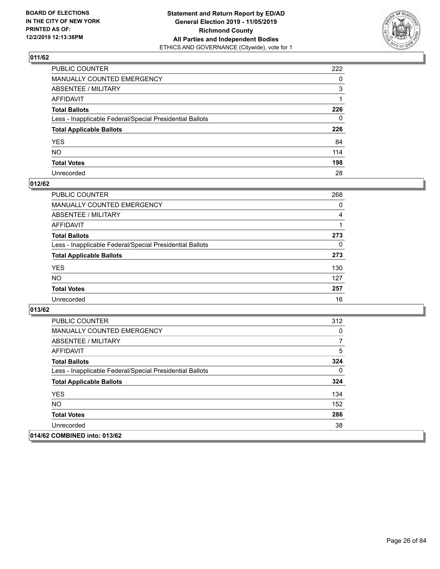

| PUBLIC COUNTER                                           | 222          |
|----------------------------------------------------------|--------------|
| MANUALLY COUNTED EMERGENCY                               | 0            |
| ABSENTEE / MILITARY                                      | 3            |
| AFFIDAVIT                                                |              |
| Total Ballots                                            | 226          |
| Less - Inapplicable Federal/Special Presidential Ballots | $\mathbf{0}$ |
| <b>Total Applicable Ballots</b>                          | 226          |
| YES                                                      | 84           |
| NO.                                                      | 114          |
| <b>Total Votes</b>                                       | 198          |
| Unrecorded                                               | 28           |

# **012/62**

| <b>PUBLIC COUNTER</b>                                    | 268      |
|----------------------------------------------------------|----------|
| <b>MANUALLY COUNTED EMERGENCY</b>                        | $\Omega$ |
| ABSENTEE / MILITARY                                      | 4        |
| AFFIDAVIT                                                |          |
| <b>Total Ballots</b>                                     | 273      |
| Less - Inapplicable Federal/Special Presidential Ballots | $\Omega$ |
| <b>Total Applicable Ballots</b>                          | 273      |
| <b>YES</b>                                               | 130      |
| <b>NO</b>                                                | 127      |
| <b>Total Votes</b>                                       | 257      |
| Unrecorded                                               | 16       |

| <b>PUBLIC COUNTER</b>                                    | 312 |
|----------------------------------------------------------|-----|
| <b>MANUALLY COUNTED EMERGENCY</b>                        | 0   |
| ABSENTEE / MILITARY                                      | 7   |
| AFFIDAVIT                                                | 5   |
| <b>Total Ballots</b>                                     | 324 |
| Less - Inapplicable Federal/Special Presidential Ballots | 0   |
| <b>Total Applicable Ballots</b>                          | 324 |
| <b>YES</b>                                               | 134 |
| NO.                                                      | 152 |
| <b>Total Votes</b>                                       | 286 |
| Unrecorded                                               | 38  |
| 014/62 COMBINED into: 013/62                             |     |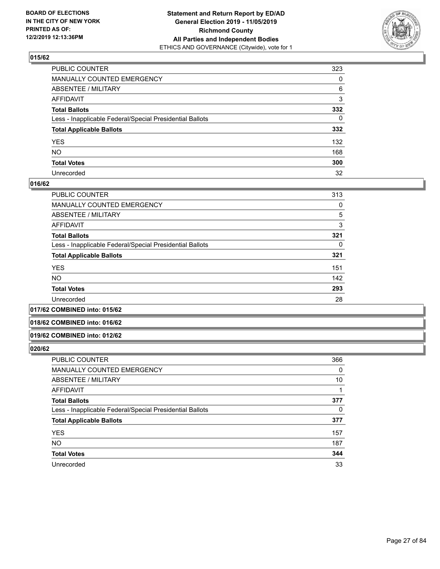

| PUBLIC COUNTER                                           | 323          |
|----------------------------------------------------------|--------------|
| MANUALLY COUNTED EMERGENCY                               | 0            |
| ABSENTEE / MILITARY                                      | 6            |
| AFFIDAVIT                                                | 3            |
| Total Ballots                                            | 332          |
| Less - Inapplicable Federal/Special Presidential Ballots | $\mathbf{0}$ |
| <b>Total Applicable Ballots</b>                          | 332          |
| YES                                                      | 132          |
| NO.                                                      | 168          |
| <b>Total Votes</b>                                       | 300          |
| Unrecorded                                               | 32           |

# **016/62**

| PUBLIC COUNTER                                           | 313 |
|----------------------------------------------------------|-----|
| MANUALLY COUNTED EMERGENCY                               | 0   |
| ABSENTEE / MILITARY                                      | 5   |
| AFFIDAVIT                                                | 3   |
| <b>Total Ballots</b>                                     | 321 |
| Less - Inapplicable Federal/Special Presidential Ballots | 0   |
| <b>Total Applicable Ballots</b>                          | 321 |
| <b>YES</b>                                               | 151 |
| <b>NO</b>                                                | 142 |
| <b>Total Votes</b>                                       | 293 |
| Unrecorded                                               | 28  |
|                                                          |     |

# **017/62 COMBINED into: 015/62**

#### **018/62 COMBINED into: 016/62**

#### **019/62 COMBINED into: 012/62**

| <b>PUBLIC COUNTER</b>                                    | 366 |
|----------------------------------------------------------|-----|
| <b>MANUALLY COUNTED EMERGENCY</b>                        | 0   |
| ABSENTEE / MILITARY                                      | 10  |
| AFFIDAVIT                                                |     |
| <b>Total Ballots</b>                                     | 377 |
| Less - Inapplicable Federal/Special Presidential Ballots | 0   |
| <b>Total Applicable Ballots</b>                          | 377 |
| <b>YES</b>                                               | 157 |
| <b>NO</b>                                                | 187 |
| <b>Total Votes</b>                                       | 344 |
| Unrecorded                                               | 33  |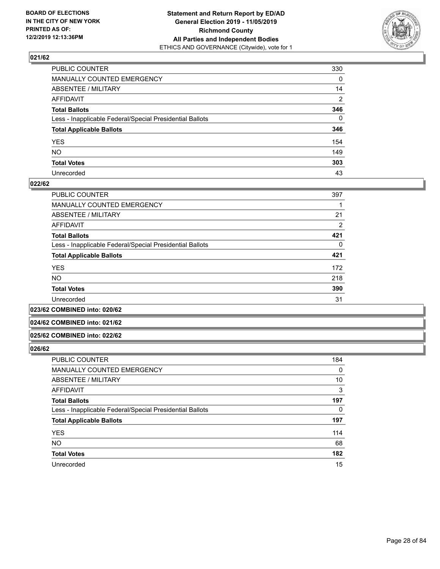

| PUBLIC COUNTER                                           | 330      |
|----------------------------------------------------------|----------|
| MANUALLY COUNTED EMERGENCY                               | 0        |
| ABSENTEE / MILITARY                                      | 14       |
| AFFIDAVIT                                                | 2        |
| Total Ballots                                            | 346      |
| Less - Inapplicable Federal/Special Presidential Ballots | $\Omega$ |
| <b>Total Applicable Ballots</b>                          | 346      |
| YES                                                      | 154      |
| NO.                                                      | 149      |
| <b>Total Votes</b>                                       | 303      |
| Unrecorded                                               | 43       |

# **022/62**

| <b>PUBLIC COUNTER</b>                                    | 397 |
|----------------------------------------------------------|-----|
| MANUALLY COUNTED EMERGENCY                               |     |
| ABSENTEE / MILITARY                                      | 21  |
| AFFIDAVIT                                                | 2   |
| <b>Total Ballots</b>                                     | 421 |
| Less - Inapplicable Federal/Special Presidential Ballots | 0   |
| <b>Total Applicable Ballots</b>                          | 421 |
| <b>YES</b>                                               | 172 |
| <b>NO</b>                                                | 218 |
| <b>Total Votes</b>                                       | 390 |
| Unrecorded                                               | 31  |
|                                                          |     |

**023/62 COMBINED into: 020/62**

# **024/62 COMBINED into: 021/62**

#### **025/62 COMBINED into: 022/62**

| <b>PUBLIC COUNTER</b>                                    | 184 |
|----------------------------------------------------------|-----|
| <b>MANUALLY COUNTED EMERGENCY</b>                        | 0   |
| ABSENTEE / MILITARY                                      | 10  |
| AFFIDAVIT                                                | 3   |
| <b>Total Ballots</b>                                     | 197 |
| Less - Inapplicable Federal/Special Presidential Ballots | 0   |
| <b>Total Applicable Ballots</b>                          | 197 |
| <b>YES</b>                                               | 114 |
| <b>NO</b>                                                | 68  |
| <b>Total Votes</b>                                       | 182 |
| Unrecorded                                               | 15  |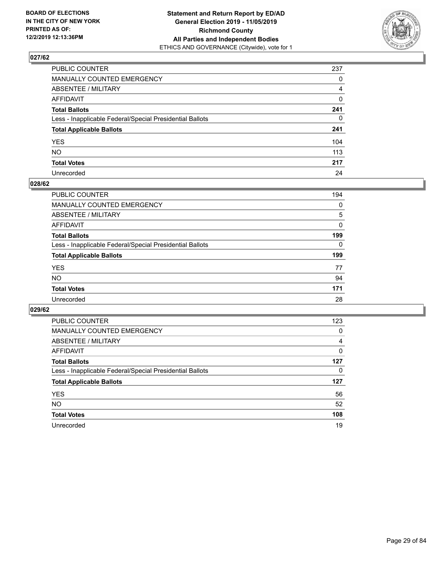

| PUBLIC COUNTER                                           | 237          |
|----------------------------------------------------------|--------------|
| MANUALLY COUNTED EMERGENCY                               | $\mathbf{0}$ |
| ABSENTEE / MILITARY                                      | 4            |
| AFFIDAVIT                                                | $\mathbf 0$  |
| Total Ballots                                            | 241          |
| Less - Inapplicable Federal/Special Presidential Ballots | $\mathbf{0}$ |
| <b>Total Applicable Ballots</b>                          | 241          |
| YES                                                      | 104          |
| NO.                                                      | 113          |
| <b>Total Votes</b>                                       | 217          |
| Unrecorded                                               | 24           |

# **028/62**

| <b>PUBLIC COUNTER</b>                                    | 194      |
|----------------------------------------------------------|----------|
| <b>MANUALLY COUNTED EMERGENCY</b>                        | 0        |
| ABSENTEE / MILITARY                                      | 5        |
| AFFIDAVIT                                                | 0        |
| <b>Total Ballots</b>                                     | 199      |
| Less - Inapplicable Federal/Special Presidential Ballots | $\Omega$ |
| <b>Total Applicable Ballots</b>                          | 199      |
| <b>YES</b>                                               | 77       |
| <b>NO</b>                                                | 94       |
| <b>Total Votes</b>                                       | 171      |
| Unrecorded                                               | 28       |

| <b>PUBLIC COUNTER</b>                                    | 123      |
|----------------------------------------------------------|----------|
| <b>MANUALLY COUNTED EMERGENCY</b>                        | 0        |
| ABSENTEE / MILITARY                                      | 4        |
| AFFIDAVIT                                                | $\Omega$ |
| <b>Total Ballots</b>                                     | 127      |
| Less - Inapplicable Federal/Special Presidential Ballots | 0        |
| <b>Total Applicable Ballots</b>                          | 127      |
| <b>YES</b>                                               | 56       |
| <b>NO</b>                                                | 52       |
| <b>Total Votes</b>                                       | 108      |
| Unrecorded                                               | 19       |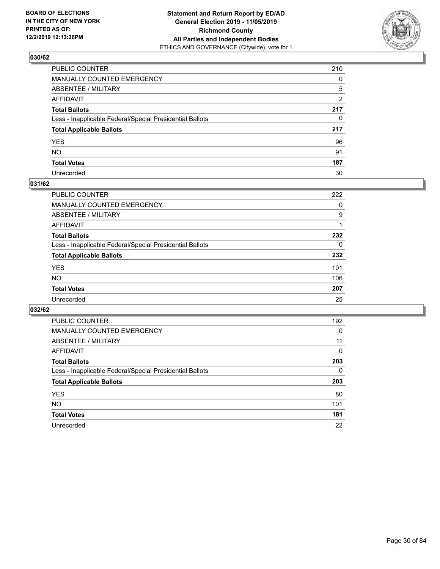

| PUBLIC COUNTER                                           | 210            |
|----------------------------------------------------------|----------------|
| MANUALLY COUNTED EMERGENCY                               | $\mathbf{0}$   |
| ABSENTEE / MILITARY                                      | 5              |
| AFFIDAVIT                                                | $\overline{2}$ |
| Total Ballots                                            | 217            |
| Less - Inapplicable Federal/Special Presidential Ballots | $\mathbf{0}$   |
| <b>Total Applicable Ballots</b>                          | 217            |
| YES                                                      | 96             |
| NO.                                                      | 91             |
| <b>Total Votes</b>                                       | 187            |
| Unrecorded                                               | 30             |

# **031/62**

| <b>PUBLIC COUNTER</b>                                    | 222      |
|----------------------------------------------------------|----------|
| MANUALLY COUNTED EMERGENCY                               | 0        |
| ABSENTEE / MILITARY                                      | 9        |
| AFFIDAVIT                                                |          |
| <b>Total Ballots</b>                                     | 232      |
| Less - Inapplicable Federal/Special Presidential Ballots | $\Omega$ |
| <b>Total Applicable Ballots</b>                          | 232      |
| <b>YES</b>                                               | 101      |
| <b>NO</b>                                                | 106      |
| <b>Total Votes</b>                                       | 207      |
| Unrecorded                                               | 25       |

| <b>PUBLIC COUNTER</b>                                    | 192      |
|----------------------------------------------------------|----------|
| MANUALLY COUNTED EMERGENCY                               | 0        |
| ABSENTEE / MILITARY                                      | 11       |
| AFFIDAVIT                                                | $\Omega$ |
| <b>Total Ballots</b>                                     | 203      |
| Less - Inapplicable Federal/Special Presidential Ballots | $\Omega$ |
| <b>Total Applicable Ballots</b>                          | 203      |
| <b>YES</b>                                               | 80       |
| NO.                                                      | 101      |
| <b>Total Votes</b>                                       | 181      |
| Unrecorded                                               | 22       |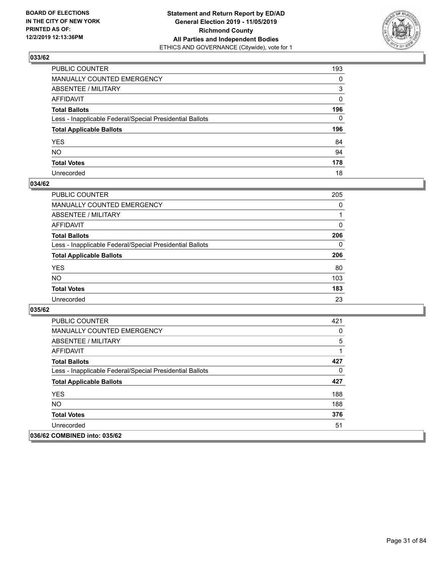

| PUBLIC COUNTER                                           | 193          |
|----------------------------------------------------------|--------------|
| MANUALLY COUNTED EMERGENCY                               | $\mathbf{0}$ |
| ABSENTEE / MILITARY                                      | 3            |
| AFFIDAVIT                                                | $\mathbf{0}$ |
| Total Ballots                                            | 196          |
| Less - Inapplicable Federal/Special Presidential Ballots | $\Omega$     |
| <b>Total Applicable Ballots</b>                          | 196          |
| YES                                                      | 84           |
| NO.                                                      | 94           |
| <b>Total Votes</b>                                       | 178          |
| Unrecorded                                               | 18           |

# **034/62**

| <b>PUBLIC COUNTER</b>                                    | 205      |
|----------------------------------------------------------|----------|
| <b>MANUALLY COUNTED EMERGENCY</b>                        | $\Omega$ |
| ABSENTEE / MILITARY                                      |          |
| AFFIDAVIT                                                | $\Omega$ |
| <b>Total Ballots</b>                                     | 206      |
| Less - Inapplicable Federal/Special Presidential Ballots | $\Omega$ |
| <b>Total Applicable Ballots</b>                          | 206      |
| <b>YES</b>                                               | 80       |
| <b>NO</b>                                                | 103      |
| <b>Total Votes</b>                                       | 183      |
| Unrecorded                                               | 23       |

| <b>PUBLIC COUNTER</b>                                    | 421      |
|----------------------------------------------------------|----------|
| <b>MANUALLY COUNTED EMERGENCY</b>                        | 0        |
| ABSENTEE / MILITARY                                      | 5        |
| AFFIDAVIT                                                |          |
| <b>Total Ballots</b>                                     | 427      |
| Less - Inapplicable Federal/Special Presidential Ballots | $\Omega$ |
| <b>Total Applicable Ballots</b>                          | 427      |
| <b>YES</b>                                               | 188      |
| NO.                                                      | 188      |
| <b>Total Votes</b>                                       | 376      |
| Unrecorded                                               | 51       |
| 036/62 COMBINED into: 035/62                             |          |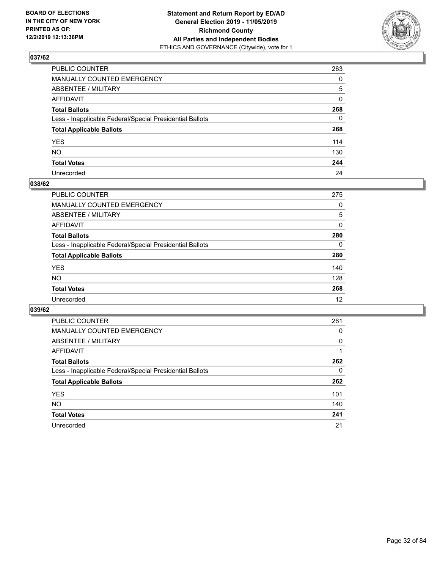

| PUBLIC COUNTER                                           | 263          |
|----------------------------------------------------------|--------------|
| MANUALLY COUNTED EMERGENCY                               | $\Omega$     |
| ABSENTEE / MILITARY                                      | 5            |
| AFFIDAVIT                                                | $\mathbf{0}$ |
| Total Ballots                                            | 268          |
| Less - Inapplicable Federal/Special Presidential Ballots | $\mathbf{0}$ |
| <b>Total Applicable Ballots</b>                          | 268          |
| YES                                                      | 114          |
| NΟ                                                       | 130          |
| <b>Total Votes</b>                                       | 244          |
| Unrecorded                                               | 24           |

# **038/62**

| <b>PUBLIC COUNTER</b>                                    | 275      |
|----------------------------------------------------------|----------|
| <b>MANUALLY COUNTED EMERGENCY</b>                        | 0        |
| ABSENTEE / MILITARY                                      | 5        |
| AFFIDAVIT                                                | 0        |
| <b>Total Ballots</b>                                     | 280      |
| Less - Inapplicable Federal/Special Presidential Ballots | $\Omega$ |
| <b>Total Applicable Ballots</b>                          | 280      |
| <b>YES</b>                                               | 140      |
| <b>NO</b>                                                | 128      |
| <b>Total Votes</b>                                       | 268      |
| Unrecorded                                               | 12       |

| <b>PUBLIC COUNTER</b>                                    | 261      |
|----------------------------------------------------------|----------|
| MANUALLY COUNTED EMERGENCY                               | 0        |
| ABSENTEE / MILITARY                                      | $\Omega$ |
| AFFIDAVIT                                                |          |
| <b>Total Ballots</b>                                     | 262      |
| Less - Inapplicable Federal/Special Presidential Ballots | 0        |
| <b>Total Applicable Ballots</b>                          | 262      |
| <b>YES</b>                                               | 101      |
| NO.                                                      | 140      |
| <b>Total Votes</b>                                       | 241      |
| Unrecorded                                               | 21       |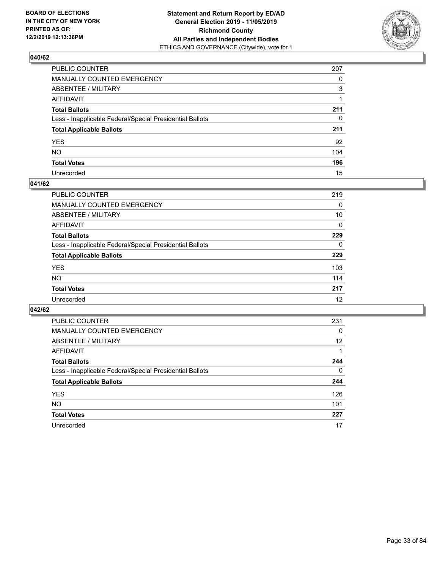

| PUBLIC COUNTER                                           | 207          |
|----------------------------------------------------------|--------------|
| MANUALLY COUNTED EMERGENCY                               | $\Omega$     |
| ABSENTEE / MILITARY                                      | 3            |
| AFFIDAVIT                                                |              |
| Total Ballots                                            | 211          |
| Less - Inapplicable Federal/Special Presidential Ballots | $\mathbf{0}$ |
| <b>Total Applicable Ballots</b>                          | 211          |
| YES                                                      | 92           |
| NO.                                                      | 104          |
| <b>Total Votes</b>                                       | 196          |
| Unrecorded                                               | 15           |

# **041/62**

| <b>PUBLIC COUNTER</b>                                    | 219      |
|----------------------------------------------------------|----------|
| MANUALLY COUNTED EMERGENCY                               | 0        |
| ABSENTEE / MILITARY                                      | 10       |
| AFFIDAVIT                                                | $\Omega$ |
| <b>Total Ballots</b>                                     | 229      |
| Less - Inapplicable Federal/Special Presidential Ballots | $\Omega$ |
| <b>Total Applicable Ballots</b>                          | 229      |
| <b>YES</b>                                               | 103      |
| <b>NO</b>                                                | 114      |
| <b>Total Votes</b>                                       | 217      |
| Unrecorded                                               | 12       |

| <b>PUBLIC COUNTER</b>                                    | 231      |
|----------------------------------------------------------|----------|
| MANUALLY COUNTED EMERGENCY                               | 0        |
| ABSENTEE / MILITARY                                      | 12       |
| AFFIDAVIT                                                |          |
| <b>Total Ballots</b>                                     | 244      |
| Less - Inapplicable Federal/Special Presidential Ballots | $\Omega$ |
| <b>Total Applicable Ballots</b>                          | 244      |
| <b>YES</b>                                               | 126      |
| <b>NO</b>                                                | 101      |
| <b>Total Votes</b>                                       | 227      |
| Unrecorded                                               | 17       |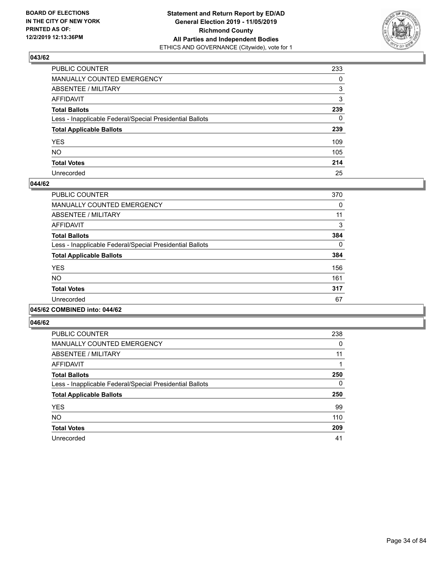

| PUBLIC COUNTER                                           | 233          |
|----------------------------------------------------------|--------------|
| MANUALLY COUNTED EMERGENCY                               | $\Omega$     |
| ABSENTEE / MILITARY                                      | 3            |
| AFFIDAVIT                                                | 3            |
| Total Ballots                                            | 239          |
| Less - Inapplicable Federal/Special Presidential Ballots | $\mathbf{0}$ |
| <b>Total Applicable Ballots</b>                          | 239          |
| YES                                                      | 109          |
| NO.                                                      | 105          |
| <b>Total Votes</b>                                       | 214          |
| Unrecorded                                               | 25           |

# **044/62**

| <b>PUBLIC COUNTER</b>                                    | 370      |
|----------------------------------------------------------|----------|
| MANUALLY COUNTED EMERGENCY                               | 0        |
| ABSENTEE / MILITARY                                      | 11       |
| <b>AFFIDAVIT</b>                                         | 3        |
| <b>Total Ballots</b>                                     | 384      |
| Less - Inapplicable Federal/Special Presidential Ballots | $\Omega$ |
| <b>Total Applicable Ballots</b>                          | 384      |
| <b>YES</b>                                               | 156      |
| <b>NO</b>                                                | 161      |
| <b>Total Votes</b>                                       | 317      |
| Unrecorded                                               | 67       |
|                                                          |          |

#### **045/62 COMBINED into: 044/62**

| <b>PUBLIC COUNTER</b>                                    | 238 |
|----------------------------------------------------------|-----|
| <b>MANUALLY COUNTED EMERGENCY</b>                        | 0   |
| ABSENTEE / MILITARY                                      | 11  |
| AFFIDAVIT                                                |     |
| <b>Total Ballots</b>                                     | 250 |
| Less - Inapplicable Federal/Special Presidential Ballots | 0   |
| <b>Total Applicable Ballots</b>                          | 250 |
| <b>YES</b>                                               | 99  |
| <b>NO</b>                                                | 110 |
| <b>Total Votes</b>                                       | 209 |
| Unrecorded                                               | 41  |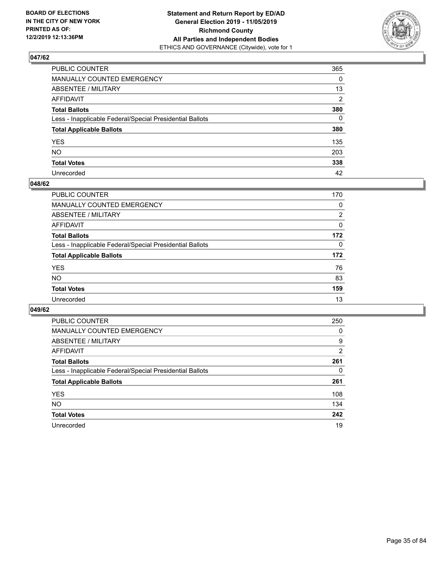

| PUBLIC COUNTER                                           | 365            |
|----------------------------------------------------------|----------------|
| MANUALLY COUNTED EMERGENCY                               | $\mathbf{0}$   |
| ABSENTEE / MILITARY                                      | 13             |
| AFFIDAVIT                                                | $\overline{2}$ |
| Total Ballots                                            | 380            |
| Less - Inapplicable Federal/Special Presidential Ballots | $\Omega$       |
| <b>Total Applicable Ballots</b>                          | 380            |
| YES                                                      | 135            |
| NO.                                                      | 203            |
| <b>Total Votes</b>                                       | 338            |
| Unrecorded                                               | 42             |

# **048/62**

| PUBLIC COUNTER                                           | 170            |
|----------------------------------------------------------|----------------|
| MANUALLY COUNTED EMERGENCY                               | 0              |
| ABSENTEE / MILITARY                                      | $\overline{2}$ |
| AFFIDAVIT                                                | $\Omega$       |
| <b>Total Ballots</b>                                     | 172            |
| Less - Inapplicable Federal/Special Presidential Ballots | 0              |
| <b>Total Applicable Ballots</b>                          | 172            |
| <b>YES</b>                                               | 76             |
| <b>NO</b>                                                | 83             |
| <b>Total Votes</b>                                       | 159            |
| Unrecorded                                               | 13             |

| <b>PUBLIC COUNTER</b>                                    | 250 |
|----------------------------------------------------------|-----|
| <b>MANUALLY COUNTED EMERGENCY</b>                        | 0   |
| ABSENTEE / MILITARY                                      | 9   |
| AFFIDAVIT                                                | 2   |
| <b>Total Ballots</b>                                     | 261 |
| Less - Inapplicable Federal/Special Presidential Ballots | 0   |
| <b>Total Applicable Ballots</b>                          | 261 |
| <b>YES</b>                                               | 108 |
| <b>NO</b>                                                | 134 |
| <b>Total Votes</b>                                       | 242 |
| Unrecorded                                               | 19  |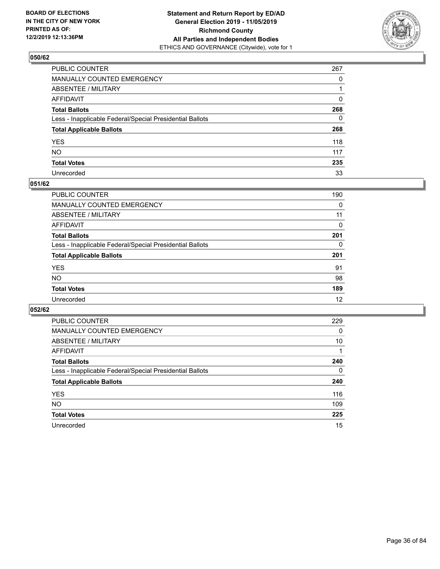

| PUBLIC COUNTER                                           | 267          |
|----------------------------------------------------------|--------------|
| MANUALLY COUNTED EMERGENCY                               | $\Omega$     |
| ABSENTEE / MILITARY                                      |              |
| AFFIDAVIT                                                | $\Omega$     |
| Total Ballots                                            | 268          |
| Less - Inapplicable Federal/Special Presidential Ballots | $\mathbf{0}$ |
| <b>Total Applicable Ballots</b>                          | 268          |
| YES                                                      | 118          |
| NΟ                                                       | 117          |
| <b>Total Votes</b>                                       | 235          |
| Unrecorded                                               | 33           |

# **051/62**

| <b>PUBLIC COUNTER</b>                                    | 190      |
|----------------------------------------------------------|----------|
| MANUALLY COUNTED EMERGENCY                               | 0        |
| ABSENTEE / MILITARY                                      | 11       |
| AFFIDAVIT                                                | 0        |
| <b>Total Ballots</b>                                     | 201      |
| Less - Inapplicable Federal/Special Presidential Ballots | $\Omega$ |
| <b>Total Applicable Ballots</b>                          | 201      |
| <b>YES</b>                                               | 91       |
| <b>NO</b>                                                | 98       |
| <b>Total Votes</b>                                       | 189      |
| Unrecorded                                               | 12       |

| <b>PUBLIC COUNTER</b>                                    | 229 |
|----------------------------------------------------------|-----|
| MANUALLY COUNTED EMERGENCY                               | 0   |
| ABSENTEE / MILITARY                                      | 10  |
| AFFIDAVIT                                                |     |
| <b>Total Ballots</b>                                     | 240 |
| Less - Inapplicable Federal/Special Presidential Ballots | 0   |
| <b>Total Applicable Ballots</b>                          | 240 |
| <b>YES</b>                                               | 116 |
| <b>NO</b>                                                | 109 |
| <b>Total Votes</b>                                       | 225 |
| Unrecorded                                               | 15  |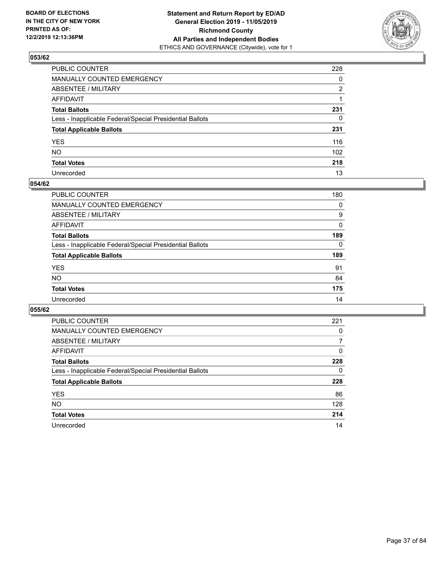

| PUBLIC COUNTER                                           | 228          |
|----------------------------------------------------------|--------------|
| MANUALLY COUNTED EMERGENCY                               | $\mathbf{0}$ |
| ABSENTEE / MILITARY                                      | 2            |
| AFFIDAVIT                                                |              |
| Total Ballots                                            | 231          |
| Less - Inapplicable Federal/Special Presidential Ballots | $\mathbf{0}$ |
| <b>Total Applicable Ballots</b>                          | 231          |
| YES                                                      | 116          |
| NΟ                                                       | 102          |
| <b>Total Votes</b>                                       | 218          |
| Unrecorded                                               | 13           |

#### **054/62**

| PUBLIC COUNTER                                           | 180      |
|----------------------------------------------------------|----------|
| <b>MANUALLY COUNTED EMERGENCY</b>                        | 0        |
| <b>ABSENTEE / MILITARY</b>                               | 9        |
| AFFIDAVIT                                                | $\Omega$ |
| <b>Total Ballots</b>                                     | 189      |
| Less - Inapplicable Federal/Special Presidential Ballots | 0        |
| <b>Total Applicable Ballots</b>                          | 189      |
| <b>YES</b>                                               | 91       |
| <b>NO</b>                                                | 84       |
| <b>Total Votes</b>                                       | 175      |
| Unrecorded                                               | 14       |

| PUBLIC COUNTER                                           | 221      |
|----------------------------------------------------------|----------|
| <b>MANUALLY COUNTED EMERGENCY</b>                        | $\Omega$ |
| ABSENTEE / MILITARY                                      | 7        |
| AFFIDAVIT                                                | $\Omega$ |
| <b>Total Ballots</b>                                     | 228      |
| Less - Inapplicable Federal/Special Presidential Ballots | 0        |
| <b>Total Applicable Ballots</b>                          | 228      |
| <b>YES</b>                                               | 86       |
| <b>NO</b>                                                | 128      |
| <b>Total Votes</b>                                       | 214      |
| Unrecorded                                               | 14       |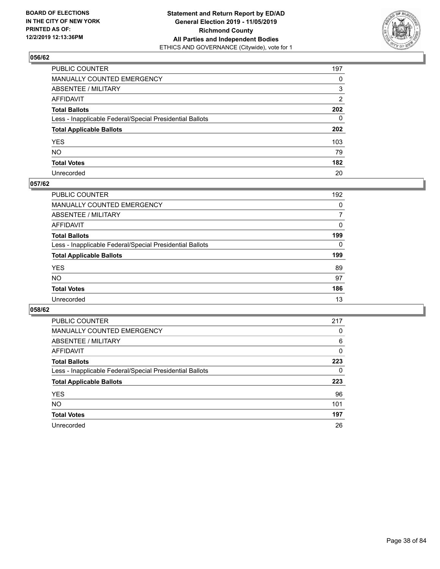

| PUBLIC COUNTER                                           | 197            |
|----------------------------------------------------------|----------------|
| MANUALLY COUNTED EMERGENCY                               | $\mathbf{0}$   |
| ABSENTEE / MILITARY                                      | 3              |
| AFFIDAVIT                                                | $\overline{2}$ |
| Total Ballots                                            | 202            |
| Less - Inapplicable Federal/Special Presidential Ballots | $\Omega$       |
| <b>Total Applicable Ballots</b>                          | 202            |
| YES                                                      | 103            |
| NO.                                                      | 79             |
| <b>Total Votes</b>                                       | 182            |
| Unrecorded                                               | 20             |

#### **057/62**

| <b>PUBLIC COUNTER</b>                                    | 192      |
|----------------------------------------------------------|----------|
| <b>MANUALLY COUNTED EMERGENCY</b>                        | 0        |
| ABSENTEE / MILITARY                                      | 7        |
| AFFIDAVIT                                                | $\Omega$ |
| <b>Total Ballots</b>                                     | 199      |
| Less - Inapplicable Federal/Special Presidential Ballots | $\Omega$ |
| <b>Total Applicable Ballots</b>                          | 199      |
| <b>YES</b>                                               | 89       |
| <b>NO</b>                                                | 97       |
| <b>Total Votes</b>                                       | 186      |
| Unrecorded                                               | 13       |

| PUBLIC COUNTER                                           | 217      |
|----------------------------------------------------------|----------|
| MANUALLY COUNTED EMERGENCY                               | 0        |
| ABSENTEE / MILITARY                                      | 6        |
| AFFIDAVIT                                                | $\Omega$ |
| <b>Total Ballots</b>                                     | 223      |
| Less - Inapplicable Federal/Special Presidential Ballots | 0        |
| <b>Total Applicable Ballots</b>                          | 223      |
| <b>YES</b>                                               | 96       |
| NO.                                                      | 101      |
| <b>Total Votes</b>                                       | 197      |
| Unrecorded                                               | 26       |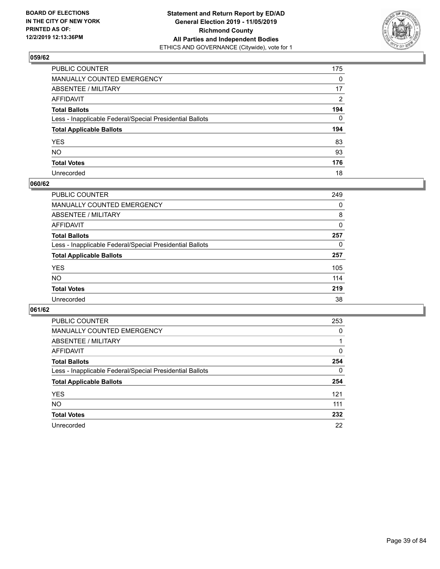

| PUBLIC COUNTER                                           | 175          |
|----------------------------------------------------------|--------------|
| MANUALLY COUNTED EMERGENCY                               | $\mathbf{0}$ |
| ABSENTEE / MILITARY                                      | 17           |
| AFFIDAVIT                                                | 2            |
| Total Ballots                                            | 194          |
| Less - Inapplicable Federal/Special Presidential Ballots | $\Omega$     |
| <b>Total Applicable Ballots</b>                          | 194          |
| YES                                                      | 83           |
| NO.                                                      | 93           |
| <b>Total Votes</b>                                       | 176          |
| Unrecorded                                               | 18           |

#### **060/62**

| <b>PUBLIC COUNTER</b>                                    | 249 |
|----------------------------------------------------------|-----|
| <b>MANUALLY COUNTED EMERGENCY</b>                        | 0   |
| ABSENTEE / MILITARY                                      | 8   |
| AFFIDAVIT                                                | 0   |
| <b>Total Ballots</b>                                     | 257 |
| Less - Inapplicable Federal/Special Presidential Ballots | 0   |
| <b>Total Applicable Ballots</b>                          | 257 |
| <b>YES</b>                                               | 105 |
| <b>NO</b>                                                | 114 |
| <b>Total Votes</b>                                       | 219 |
| Unrecorded                                               | 38  |

| PUBLIC COUNTER                                           | 253      |
|----------------------------------------------------------|----------|
| MANUALLY COUNTED EMERGENCY                               | 0        |
| ABSENTEE / MILITARY                                      |          |
| AFFIDAVIT                                                | 0        |
| <b>Total Ballots</b>                                     | 254      |
| Less - Inapplicable Federal/Special Presidential Ballots | $\Omega$ |
| <b>Total Applicable Ballots</b>                          | 254      |
| <b>YES</b>                                               | 121      |
| NO.                                                      | 111      |
| <b>Total Votes</b>                                       | 232      |
| Unrecorded                                               | 22       |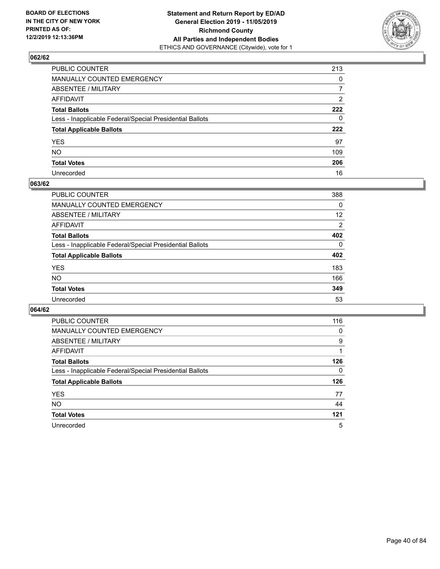

| PUBLIC COUNTER                                           | 213            |
|----------------------------------------------------------|----------------|
| MANUALLY COUNTED EMERGENCY                               | $\mathbf{0}$   |
| ABSENTEE / MILITARY                                      | $\overline{7}$ |
| AFFIDAVIT                                                | 2              |
| Total Ballots                                            | 222            |
| Less - Inapplicable Federal/Special Presidential Ballots | $\mathbf{0}$   |
| <b>Total Applicable Ballots</b>                          | 222            |
| YES                                                      | 97             |
| NO.                                                      | 109            |
| <b>Total Votes</b>                                       | 206            |
| Unrecorded                                               | 16             |

#### **063/62**

| PUBLIC COUNTER                                           | 388      |
|----------------------------------------------------------|----------|
| <b>MANUALLY COUNTED EMERGENCY</b>                        | 0        |
| ABSENTEE / MILITARY                                      | 12       |
| AFFIDAVIT                                                | 2        |
| <b>Total Ballots</b>                                     | 402      |
| Less - Inapplicable Federal/Special Presidential Ballots | $\Omega$ |
| <b>Total Applicable Ballots</b>                          | 402      |
| <b>YES</b>                                               | 183      |
| <b>NO</b>                                                | 166      |
| <b>Total Votes</b>                                       | 349      |
| Unrecorded                                               | 53       |

| PUBLIC COUNTER                                           | 116      |
|----------------------------------------------------------|----------|
| MANUALLY COUNTED EMERGENCY                               | 0        |
| ABSENTEE / MILITARY                                      | 9        |
| AFFIDAVIT                                                |          |
| <b>Total Ballots</b>                                     | 126      |
| Less - Inapplicable Federal/Special Presidential Ballots | $\Omega$ |
| <b>Total Applicable Ballots</b>                          | 126      |
| <b>YES</b>                                               | 77       |
| <b>NO</b>                                                | 44       |
| <b>Total Votes</b>                                       | 121      |
| Unrecorded                                               | 5        |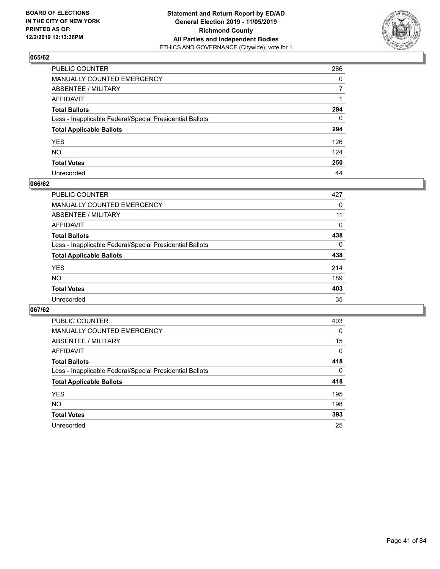

| PUBLIC COUNTER                                           | 286          |
|----------------------------------------------------------|--------------|
| MANUALLY COUNTED EMERGENCY                               | $\mathbf{0}$ |
| ABSENTEE / MILITARY                                      | 7            |
| AFFIDAVIT                                                |              |
| Total Ballots                                            | 294          |
| Less - Inapplicable Federal/Special Presidential Ballots | $\mathbf{0}$ |
| <b>Total Applicable Ballots</b>                          | 294          |
| YES                                                      | 126          |
| NO.                                                      | 124          |
| <b>Total Votes</b>                                       | 250          |
| Unrecorded                                               | 44           |

#### **066/62**

| PUBLIC COUNTER                                           | 427      |
|----------------------------------------------------------|----------|
| MANUALLY COUNTED EMERGENCY                               | 0        |
| ABSENTEE / MILITARY                                      | 11       |
| AFFIDAVIT                                                | $\Omega$ |
| <b>Total Ballots</b>                                     | 438      |
| Less - Inapplicable Federal/Special Presidential Ballots | $\Omega$ |
| <b>Total Applicable Ballots</b>                          | 438      |
| <b>YES</b>                                               | 214      |
| <b>NO</b>                                                | 189      |
| <b>Total Votes</b>                                       | 403      |
| Unrecorded                                               | 35       |

| PUBLIC COUNTER                                           | 403      |
|----------------------------------------------------------|----------|
| <b>MANUALLY COUNTED EMERGENCY</b>                        | $\Omega$ |
| ABSENTEE / MILITARY                                      | 15       |
| AFFIDAVIT                                                | 0        |
| <b>Total Ballots</b>                                     | 418      |
| Less - Inapplicable Federal/Special Presidential Ballots | $\Omega$ |
| <b>Total Applicable Ballots</b>                          | 418      |
| <b>YES</b>                                               | 195      |
| NO.                                                      | 198      |
| <b>Total Votes</b>                                       | 393      |
| Unrecorded                                               | 25       |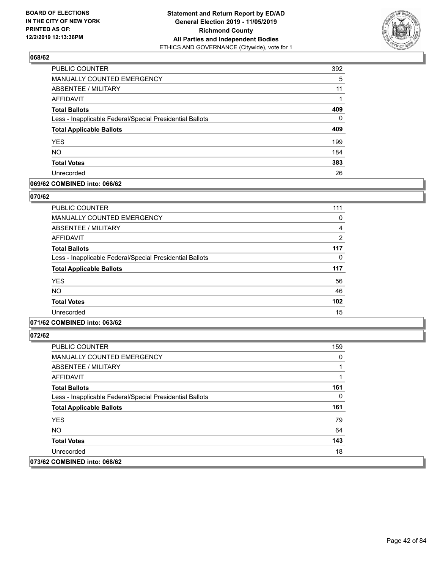

| PUBLIC COUNTER                                           | 392      |
|----------------------------------------------------------|----------|
| <b>MANUALLY COUNTED EMERGENCY</b>                        | 5        |
| <b>ABSENTEE / MILITARY</b>                               | 11       |
| <b>AFFIDAVIT</b>                                         |          |
| <b>Total Ballots</b>                                     | 409      |
| Less - Inapplicable Federal/Special Presidential Ballots | $\Omega$ |
| <b>Total Applicable Ballots</b>                          | 409      |
| <b>YES</b>                                               | 199      |
| <b>NO</b>                                                | 184      |
| <b>Total Votes</b>                                       | 383      |
| Unrecorded                                               | 26       |

### **069/62 COMBINED into: 066/62**

#### **070/62**

| <b>PUBLIC COUNTER</b>                                    | 111            |
|----------------------------------------------------------|----------------|
| MANUALLY COUNTED EMERGENCY                               | 0              |
| ABSENTEE / MILITARY                                      | 4              |
| AFFIDAVIT                                                | $\overline{2}$ |
| <b>Total Ballots</b>                                     | 117            |
| Less - Inapplicable Federal/Special Presidential Ballots | 0              |
| <b>Total Applicable Ballots</b>                          | 117            |
| <b>YES</b>                                               | 56             |
| <b>NO</b>                                                | 46             |
| <b>Total Votes</b>                                       | 102            |
| Unrecorded                                               | 15             |
|                                                          |                |

## **071/62 COMBINED into: 063/62**

| <b>PUBLIC COUNTER</b>                                    | 159 |
|----------------------------------------------------------|-----|
| <b>MANUALLY COUNTED EMERGENCY</b>                        | 0   |
| ABSENTEE / MILITARY                                      |     |
| AFFIDAVIT                                                |     |
| <b>Total Ballots</b>                                     | 161 |
| Less - Inapplicable Federal/Special Presidential Ballots | 0   |
| <b>Total Applicable Ballots</b>                          | 161 |
| <b>YES</b>                                               | 79  |
| <b>NO</b>                                                | 64  |
| <b>Total Votes</b>                                       | 143 |
| Unrecorded                                               | 18  |
| 073/62 COMBINED into: 068/62                             |     |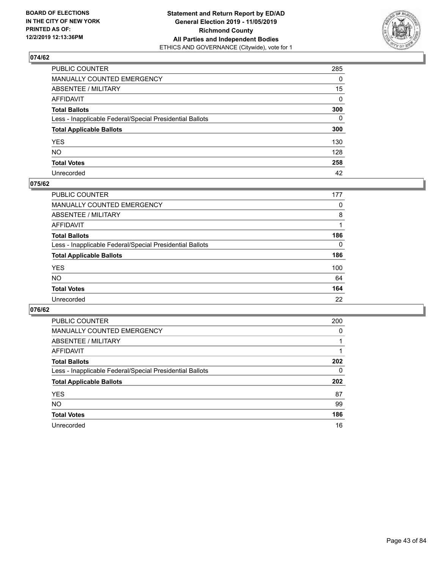

| PUBLIC COUNTER                                           | 285          |
|----------------------------------------------------------|--------------|
| MANUALLY COUNTED EMERGENCY                               | $\mathbf{0}$ |
| ABSENTEE / MILITARY                                      | 15           |
| AFFIDAVIT                                                | $\Omega$     |
| Total Ballots                                            | 300          |
| Less - Inapplicable Federal/Special Presidential Ballots | $\mathbf{0}$ |
| <b>Total Applicable Ballots</b>                          | 300          |
| YES                                                      | 130          |
| NO.                                                      | 128          |
| <b>Total Votes</b>                                       | 258          |
| Unrecorded                                               | 42           |

### **075/62**

| <b>PUBLIC COUNTER</b>                                    | 177      |
|----------------------------------------------------------|----------|
| <b>MANUALLY COUNTED EMERGENCY</b>                        | 0        |
| ABSENTEE / MILITARY                                      | 8        |
| AFFIDAVIT                                                |          |
| <b>Total Ballots</b>                                     | 186      |
| Less - Inapplicable Federal/Special Presidential Ballots | $\Omega$ |
| <b>Total Applicable Ballots</b>                          | 186      |
| <b>YES</b>                                               | 100      |
| <b>NO</b>                                                | 64       |
| <b>Total Votes</b>                                       | 164      |
| Unrecorded                                               | 22       |

| PUBLIC COUNTER                                           | 200      |
|----------------------------------------------------------|----------|
| <b>MANUALLY COUNTED EMERGENCY</b>                        | $\Omega$ |
| ABSENTEE / MILITARY                                      |          |
| AFFIDAVIT                                                |          |
| <b>Total Ballots</b>                                     | 202      |
| Less - Inapplicable Federal/Special Presidential Ballots | 0        |
| <b>Total Applicable Ballots</b>                          | 202      |
| <b>YES</b>                                               | 87       |
| <b>NO</b>                                                | 99       |
| <b>Total Votes</b>                                       | 186      |
| Unrecorded                                               | 16       |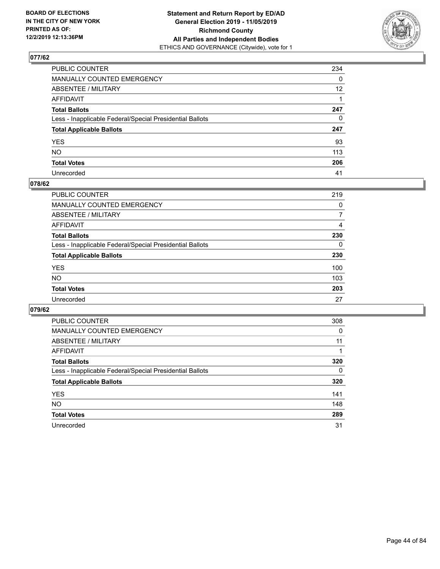

| PUBLIC COUNTER                                           | 234             |
|----------------------------------------------------------|-----------------|
| MANUALLY COUNTED EMERGENCY                               | 0               |
| ABSENTEE / MILITARY                                      | 12 <sup>2</sup> |
| AFFIDAVIT                                                |                 |
| Total Ballots                                            | 247             |
| Less - Inapplicable Federal/Special Presidential Ballots | $\Omega$        |
| <b>Total Applicable Ballots</b>                          | 247             |
| YES                                                      | 93              |
| NO.                                                      | 113             |
| <b>Total Votes</b>                                       | 206             |
| Unrecorded                                               | 41              |

#### **078/62**

| <b>PUBLIC COUNTER</b>                                    | 219      |
|----------------------------------------------------------|----------|
| MANUALLY COUNTED EMERGENCY                               | 0        |
| ABSENTEE / MILITARY                                      | 7        |
| AFFIDAVIT                                                | 4        |
| <b>Total Ballots</b>                                     | 230      |
| Less - Inapplicable Federal/Special Presidential Ballots | $\Omega$ |
| <b>Total Applicable Ballots</b>                          | 230      |
| <b>YES</b>                                               | 100      |
| <b>NO</b>                                                | 103      |
| <b>Total Votes</b>                                       | 203      |
| Unrecorded                                               | 27       |

| PUBLIC COUNTER                                           | 308      |
|----------------------------------------------------------|----------|
| <b>MANUALLY COUNTED EMERGENCY</b>                        | 0        |
| ABSENTEE / MILITARY                                      | 11       |
| AFFIDAVIT                                                |          |
| <b>Total Ballots</b>                                     | 320      |
| Less - Inapplicable Federal/Special Presidential Ballots | $\Omega$ |
| <b>Total Applicable Ballots</b>                          | 320      |
| <b>YES</b>                                               | 141      |
| <b>NO</b>                                                | 148      |
| <b>Total Votes</b>                                       | 289      |
| Unrecorded                                               | 31       |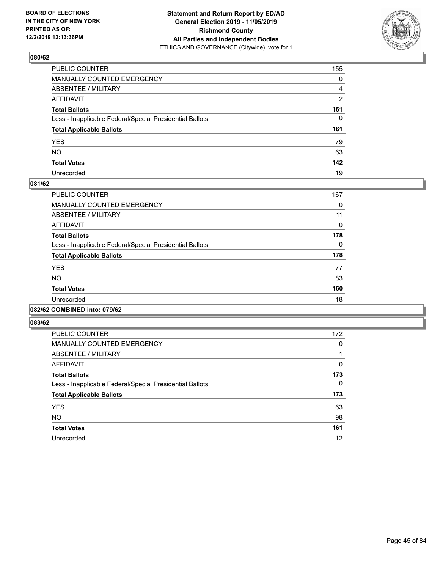

| PUBLIC COUNTER                                           | 155            |
|----------------------------------------------------------|----------------|
| MANUALLY COUNTED EMERGENCY                               | $\mathbf{0}$   |
| ABSENTEE / MILITARY                                      | $\overline{4}$ |
| AFFIDAVIT                                                | $\overline{2}$ |
| Total Ballots                                            | 161            |
| Less - Inapplicable Federal/Special Presidential Ballots | $\mathbf{0}$   |
| <b>Total Applicable Ballots</b>                          | 161            |
| YES                                                      | 79             |
| NO.                                                      | 63             |
| <b>Total Votes</b>                                       | 142            |
| Unrecorded                                               | 19             |

#### **081/62**

| PUBLIC COUNTER                                           | 167      |
|----------------------------------------------------------|----------|
| <b>MANUALLY COUNTED EMERGENCY</b>                        | 0        |
| ABSENTEE / MILITARY                                      | 11       |
| <b>AFFIDAVIT</b>                                         | 0        |
| <b>Total Ballots</b>                                     | 178      |
| Less - Inapplicable Federal/Special Presidential Ballots | $\Omega$ |
| <b>Total Applicable Ballots</b>                          | 178      |
| <b>YES</b>                                               | 77       |
| <b>NO</b>                                                | 83       |
| <b>Total Votes</b>                                       | 160      |
| Unrecorded                                               | 18       |
|                                                          |          |

#### **082/62 COMBINED into: 079/62**

| <b>PUBLIC COUNTER</b>                                    | 172 |
|----------------------------------------------------------|-----|
| <b>MANUALLY COUNTED EMERGENCY</b>                        | 0   |
| ABSENTEE / MILITARY                                      |     |
| AFFIDAVIT                                                | 0   |
| <b>Total Ballots</b>                                     | 173 |
| Less - Inapplicable Federal/Special Presidential Ballots | 0   |
| <b>Total Applicable Ballots</b>                          | 173 |
| <b>YES</b>                                               | 63  |
| <b>NO</b>                                                | 98  |
| <b>Total Votes</b>                                       | 161 |
| Unrecorded                                               | 12  |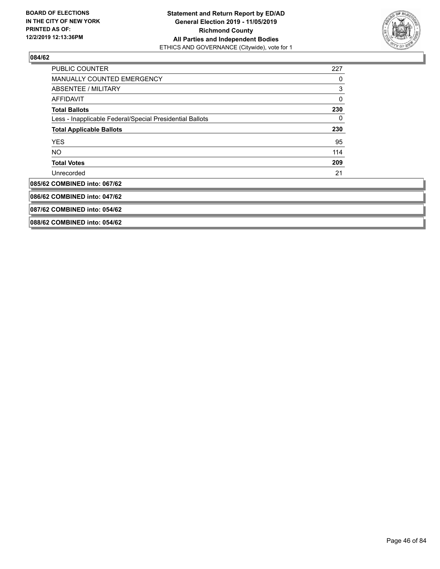

| <b>PUBLIC COUNTER</b>                                    | 227 |
|----------------------------------------------------------|-----|
| <b>MANUALLY COUNTED EMERGENCY</b>                        | 0   |
| ABSENTEE / MILITARY                                      | 3   |
| <b>AFFIDAVIT</b>                                         | 0   |
| <b>Total Ballots</b>                                     | 230 |
| Less - Inapplicable Federal/Special Presidential Ballots | 0   |
| <b>Total Applicable Ballots</b>                          | 230 |
| <b>YES</b>                                               | 95  |
| NO.                                                      | 114 |
| <b>Total Votes</b>                                       | 209 |
| Unrecorded                                               | 21  |
| 085/62 COMBINED into: 067/62                             |     |
| 086/62 COMBINED into: 047/62                             |     |
| 087/62 COMBINED into: 054/62                             |     |
| 088/62 COMBINED into: 054/62                             |     |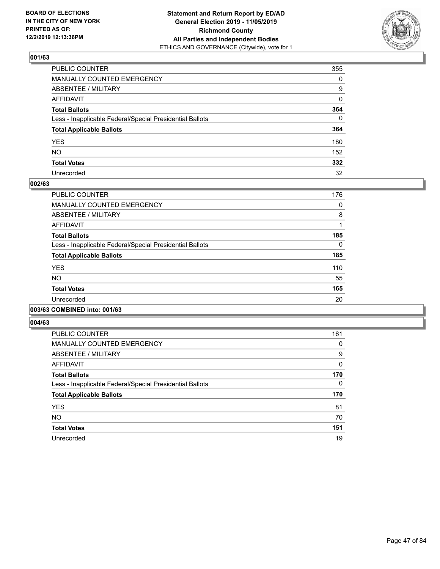

| PUBLIC COUNTER                                           | 355          |
|----------------------------------------------------------|--------------|
| MANUALLY COUNTED EMERGENCY                               | $\mathbf{0}$ |
| ABSENTEE / MILITARY                                      | 9            |
| AFFIDAVIT                                                | $\Omega$     |
| Total Ballots                                            | 364          |
| Less - Inapplicable Federal/Special Presidential Ballots | $\Omega$     |
| <b>Total Applicable Ballots</b>                          | 364          |
| YES                                                      | 180          |
| NO.                                                      | 152          |
| <b>Total Votes</b>                                       | 332          |
| Unrecorded                                               | 32           |

#### **002/63**

| PUBLIC COUNTER                                           | 176      |
|----------------------------------------------------------|----------|
| <b>MANUALLY COUNTED EMERGENCY</b>                        | 0        |
| ABSENTEE / MILITARY                                      | 8        |
| <b>AFFIDAVIT</b>                                         |          |
| <b>Total Ballots</b>                                     | 185      |
| Less - Inapplicable Federal/Special Presidential Ballots | $\Omega$ |
| <b>Total Applicable Ballots</b>                          | 185      |
| <b>YES</b>                                               | 110      |
| <b>NO</b>                                                | 55       |
| <b>Total Votes</b>                                       | 165      |
| Unrecorded                                               | 20       |
|                                                          |          |

### **003/63 COMBINED into: 001/63**

| PUBLIC COUNTER                                           | 161          |
|----------------------------------------------------------|--------------|
| <b>MANUALLY COUNTED EMERGENCY</b>                        | 0            |
| ABSENTEE / MILITARY                                      | 9            |
| <b>AFFIDAVIT</b>                                         | $\mathbf{0}$ |
| <b>Total Ballots</b>                                     | 170          |
| Less - Inapplicable Federal/Special Presidential Ballots | 0            |
| <b>Total Applicable Ballots</b>                          | 170          |
| <b>YES</b>                                               | 81           |
| <b>NO</b>                                                | 70           |
| <b>Total Votes</b>                                       | 151          |
| Unrecorded                                               | 19           |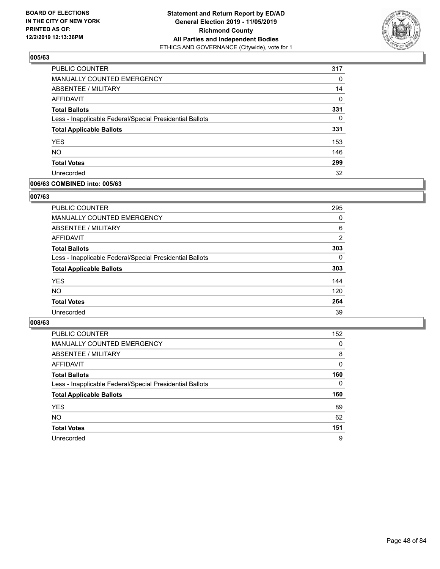

| <b>PUBLIC COUNTER</b>                                    | 317      |
|----------------------------------------------------------|----------|
| MANUALLY COUNTED EMERGENCY                               | $\Omega$ |
| <b>ABSENTEE / MILITARY</b>                               | 14       |
| AFFIDAVIT                                                | $\Omega$ |
| <b>Total Ballots</b>                                     | 331      |
| Less - Inapplicable Federal/Special Presidential Ballots | $\Omega$ |
| <b>Total Applicable Ballots</b>                          | 331      |
| <b>YES</b>                                               | 153      |
| <b>NO</b>                                                | 146      |
| <b>Total Votes</b>                                       | 299      |
| Unrecorded                                               | 32       |

### **006/63 COMBINED into: 005/63**

#### **007/63**

| <b>PUBLIC COUNTER</b>                                    | 295      |
|----------------------------------------------------------|----------|
| MANUALLY COUNTED EMERGENCY                               | 0        |
| ABSENTEE / MILITARY                                      | 6        |
| AFFIDAVIT                                                | 2        |
| <b>Total Ballots</b>                                     | 303      |
| Less - Inapplicable Federal/Special Presidential Ballots | $\Omega$ |
| <b>Total Applicable Ballots</b>                          | 303      |
| <b>YES</b>                                               | 144      |
| <b>NO</b>                                                | 120      |
| <b>Total Votes</b>                                       | 264      |
| Unrecorded                                               | 39       |

| <b>PUBLIC COUNTER</b>                                    | 152      |
|----------------------------------------------------------|----------|
| MANUALLY COUNTED EMERGENCY                               | 0        |
| ABSENTEE / MILITARY                                      | 8        |
| AFFIDAVIT                                                | 0        |
| <b>Total Ballots</b>                                     | 160      |
| Less - Inapplicable Federal/Special Presidential Ballots | $\Omega$ |
| <b>Total Applicable Ballots</b>                          | 160      |
| <b>YES</b>                                               | 89       |
| <b>NO</b>                                                | 62       |
| <b>Total Votes</b>                                       | 151      |
| Unrecorded                                               | 9        |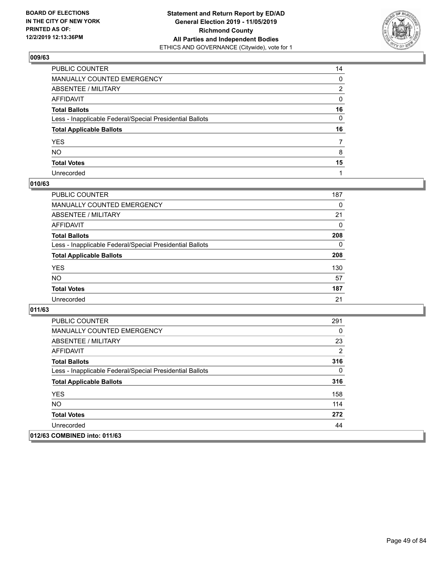

| PUBLIC COUNTER                                           | 14           |
|----------------------------------------------------------|--------------|
| MANUALLY COUNTED EMERGENCY                               | $\mathbf{0}$ |
| ABSENTEE / MILITARY                                      | 2            |
| AFFIDAVIT                                                | $\mathbf{0}$ |
| Total Ballots                                            | 16           |
| Less - Inapplicable Federal/Special Presidential Ballots | $\mathbf{0}$ |
| <b>Total Applicable Ballots</b>                          | 16           |
| YES                                                      | 7            |
| NO.                                                      | 8            |
| <b>Total Votes</b>                                       | 15           |
| Unrecorded                                               |              |

#### **010/63**

| <b>PUBLIC COUNTER</b>                                    | 187      |
|----------------------------------------------------------|----------|
| MANUALLY COUNTED EMERGENCY                               | 0        |
| ABSENTEE / MILITARY                                      | 21       |
| AFFIDAVIT                                                | $\Omega$ |
| <b>Total Ballots</b>                                     | 208      |
| Less - Inapplicable Federal/Special Presidential Ballots | $\Omega$ |
| <b>Total Applicable Ballots</b>                          | 208      |
| <b>YES</b>                                               | 130      |
| <b>NO</b>                                                | 57       |
| <b>Total Votes</b>                                       | 187      |
| Unrecorded                                               | 21       |

| <b>PUBLIC COUNTER</b>                                    | 291      |
|----------------------------------------------------------|----------|
| <b>MANUALLY COUNTED EMERGENCY</b>                        | $\Omega$ |
| ABSENTEE / MILITARY                                      | 23       |
| AFFIDAVIT                                                | 2        |
| <b>Total Ballots</b>                                     | 316      |
| Less - Inapplicable Federal/Special Presidential Ballots | $\Omega$ |
| <b>Total Applicable Ballots</b>                          | 316      |
| <b>YES</b>                                               | 158      |
| <b>NO</b>                                                | 114      |
| <b>Total Votes</b>                                       | 272      |
| Unrecorded                                               | 44       |
| 012/63 COMBINED into: 011/63                             |          |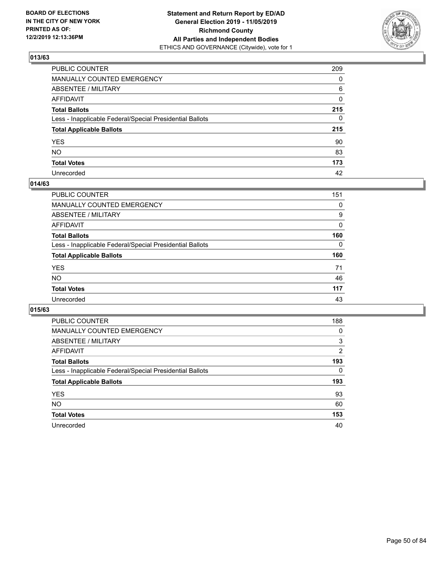

| PUBLIC COUNTER                                           | 209 |
|----------------------------------------------------------|-----|
| MANUALLY COUNTED EMERGENCY                               | 0   |
| ABSENTEE / MILITARY                                      | 6   |
| AFFIDAVIT                                                | 0   |
| Total Ballots                                            | 215 |
| Less - Inapplicable Federal/Special Presidential Ballots | 0   |
| <b>Total Applicable Ballots</b>                          | 215 |
| YES                                                      | 90  |
| NO.                                                      | 83  |
| <b>Total Votes</b>                                       | 173 |
| Unrecorded                                               | 42  |

### **014/63**

| PUBLIC COUNTER                                           | 151      |
|----------------------------------------------------------|----------|
| MANUALLY COUNTED EMERGENCY                               | 0        |
| ABSENTEE / MILITARY                                      | 9        |
| AFFIDAVIT                                                | $\Omega$ |
| <b>Total Ballots</b>                                     | 160      |
| Less - Inapplicable Federal/Special Presidential Ballots | $\Omega$ |
| <b>Total Applicable Ballots</b>                          | 160      |
| <b>YES</b>                                               | 71       |
| <b>NO</b>                                                | 46       |
| <b>Total Votes</b>                                       | 117      |
| Unrecorded                                               | 43       |

| PUBLIC COUNTER                                           | 188      |
|----------------------------------------------------------|----------|
| <b>MANUALLY COUNTED EMERGENCY</b>                        | 0        |
| ABSENTEE / MILITARY                                      | 3        |
| AFFIDAVIT                                                | 2        |
| <b>Total Ballots</b>                                     | 193      |
| Less - Inapplicable Federal/Special Presidential Ballots | $\Omega$ |
| <b>Total Applicable Ballots</b>                          | 193      |
| <b>YES</b>                                               | 93       |
| <b>NO</b>                                                | 60       |
| <b>Total Votes</b>                                       | 153      |
| Unrecorded                                               | 40       |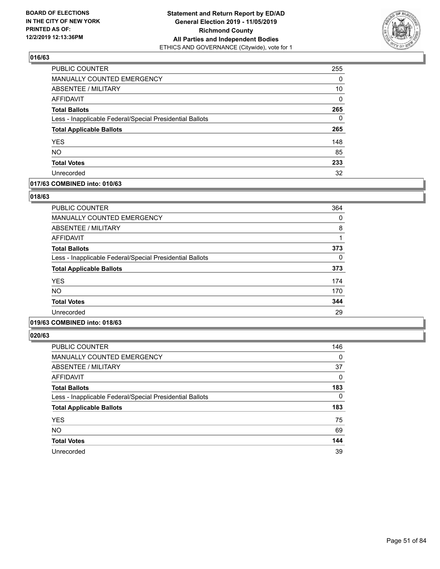

| <b>PUBLIC COUNTER</b>                                    | 255          |
|----------------------------------------------------------|--------------|
| MANUALLY COUNTED EMERGENCY                               | $\Omega$     |
| <b>ABSENTEE / MILITARY</b>                               | 10           |
| AFFIDAVIT                                                | $\mathbf{0}$ |
| <b>Total Ballots</b>                                     | 265          |
| Less - Inapplicable Federal/Special Presidential Ballots | $\Omega$     |
| <b>Total Applicable Ballots</b>                          | 265          |
| <b>YES</b>                                               | 148          |
| <b>NO</b>                                                | 85           |
| <b>Total Votes</b>                                       | 233          |
| Unrecorded                                               | 32           |

#### **017/63 COMBINED into: 010/63**

#### **018/63**

| PUBLIC COUNTER                                           | 364 |
|----------------------------------------------------------|-----|
| <b>MANUALLY COUNTED EMERGENCY</b>                        | 0   |
| <b>ABSENTEE / MILITARY</b>                               | 8   |
| <b>AFFIDAVIT</b>                                         |     |
| <b>Total Ballots</b>                                     | 373 |
| Less - Inapplicable Federal/Special Presidential Ballots | 0   |
| <b>Total Applicable Ballots</b>                          | 373 |
| <b>YES</b>                                               | 174 |
| <b>NO</b>                                                | 170 |
| <b>Total Votes</b>                                       | 344 |
| Unrecorded                                               | 29  |
|                                                          |     |

## **019/63 COMBINED into: 018/63**

| PUBLIC COUNTER                                           | 146      |
|----------------------------------------------------------|----------|
| <b>MANUALLY COUNTED EMERGENCY</b>                        | 0        |
| ABSENTEE / MILITARY                                      | 37       |
| AFFIDAVIT                                                | 0        |
| <b>Total Ballots</b>                                     | 183      |
| Less - Inapplicable Federal/Special Presidential Ballots | $\Omega$ |
| <b>Total Applicable Ballots</b>                          | 183      |
| <b>YES</b>                                               | 75       |
| <b>NO</b>                                                | 69       |
| <b>Total Votes</b>                                       | 144      |
| Unrecorded                                               | 39       |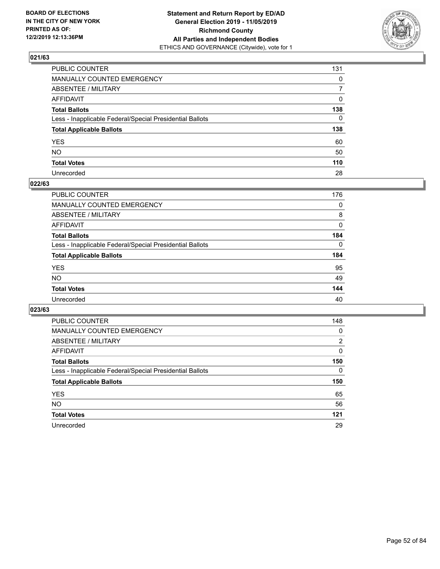

| PUBLIC COUNTER                                           | 131            |
|----------------------------------------------------------|----------------|
| MANUALLY COUNTED EMERGENCY                               | $\mathbf{0}$   |
| ABSENTEE / MILITARY                                      | $\overline{7}$ |
| AFFIDAVIT                                                | 0              |
| Total Ballots                                            | 138            |
| Less - Inapplicable Federal/Special Presidential Ballots | $\mathbf{0}$   |
| <b>Total Applicable Ballots</b>                          | 138            |
| YES                                                      | 60             |
| NO.                                                      | 50             |
| <b>Total Votes</b>                                       | 110            |
| Unrecorded                                               | 28             |

#### **022/63**

| <b>PUBLIC COUNTER</b>                                    | 176      |
|----------------------------------------------------------|----------|
| <b>MANUALLY COUNTED EMERGENCY</b>                        | $\Omega$ |
| ABSENTEE / MILITARY                                      | 8        |
| AFFIDAVIT                                                | 0        |
| <b>Total Ballots</b>                                     | 184      |
| Less - Inapplicable Federal/Special Presidential Ballots | $\Omega$ |
| <b>Total Applicable Ballots</b>                          | 184      |
| <b>YES</b>                                               | 95       |
| <b>NO</b>                                                | 49       |
| <b>Total Votes</b>                                       | 144      |
| Unrecorded                                               | 40       |
|                                                          |          |

| PUBLIC COUNTER                                           | 148 |
|----------------------------------------------------------|-----|
| MANUALLY COUNTED EMERGENCY                               | 0   |
| ABSENTEE / MILITARY                                      | 2   |
| AFFIDAVIT                                                | 0   |
| <b>Total Ballots</b>                                     | 150 |
| Less - Inapplicable Federal/Special Presidential Ballots | 0   |
| <b>Total Applicable Ballots</b>                          | 150 |
|                                                          |     |
| <b>YES</b>                                               | 65  |
| NO.                                                      | 56  |
| <b>Total Votes</b>                                       | 121 |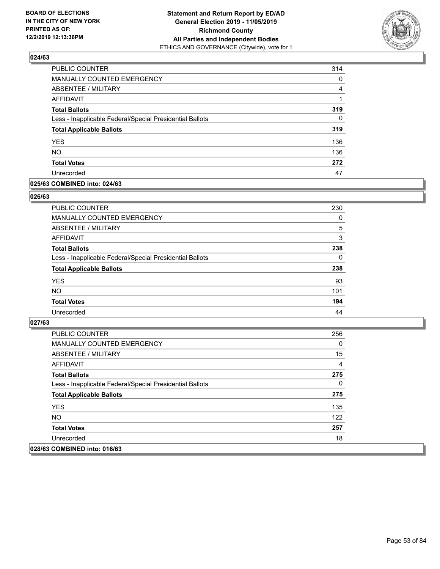

| PUBLIC COUNTER                                           | 314      |
|----------------------------------------------------------|----------|
| MANUALLY COUNTED EMERGENCY                               | 0        |
| ABSENTEE / MILITARY                                      | 4        |
| AFFIDAVIT                                                | 1        |
| <b>Total Ballots</b>                                     | 319      |
| Less - Inapplicable Federal/Special Presidential Ballots | $\Omega$ |
| <b>Total Applicable Ballots</b>                          | 319      |
| <b>YES</b>                                               | 136      |
| <b>NO</b>                                                | 136      |
| <b>Total Votes</b>                                       | 272      |
| Unrecorded                                               | 47       |

### **025/63 COMBINED into: 024/63**

#### **026/63**

| PUBLIC COUNTER                                           | 230      |
|----------------------------------------------------------|----------|
| <b>MANUALLY COUNTED EMERGENCY</b>                        | 0        |
| ABSENTEE / MILITARY                                      | 5        |
| AFFIDAVIT                                                | 3        |
| <b>Total Ballots</b>                                     | 238      |
| Less - Inapplicable Federal/Special Presidential Ballots | $\Omega$ |
| <b>Total Applicable Ballots</b>                          | 238      |
| <b>YES</b>                                               | 93       |
| <b>NO</b>                                                | 101      |
| <b>Total Votes</b>                                       | 194      |
| Unrecorded                                               | 44       |

| PUBLIC COUNTER                                           | 256 |
|----------------------------------------------------------|-----|
| MANUALLY COUNTED EMERGENCY                               | 0   |
| ABSENTEE / MILITARY                                      | 15  |
| AFFIDAVIT                                                | 4   |
| <b>Total Ballots</b>                                     | 275 |
| Less - Inapplicable Federal/Special Presidential Ballots | 0   |
| <b>Total Applicable Ballots</b>                          | 275 |
| <b>YES</b>                                               | 135 |
| NO.                                                      | 122 |
| <b>Total Votes</b>                                       | 257 |
| Unrecorded                                               | 18  |
| 028/63 COMBINED into: 016/63                             |     |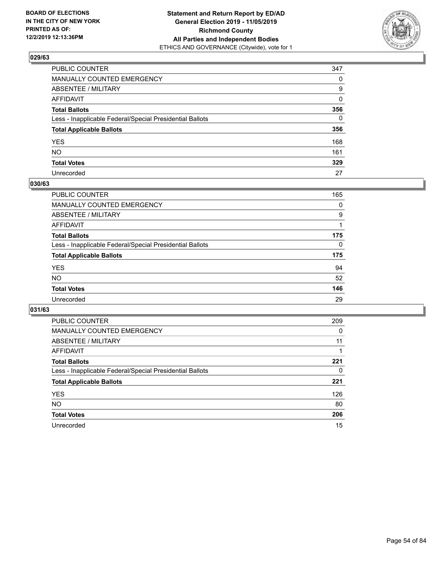

| PUBLIC COUNTER                                           | 347      |
|----------------------------------------------------------|----------|
| MANUALLY COUNTED EMERGENCY                               | $\Omega$ |
| ABSENTEE / MILITARY                                      | 9        |
| AFFIDAVIT                                                | $\Omega$ |
| Total Ballots                                            | 356      |
| Less - Inapplicable Federal/Special Presidential Ballots | $\Omega$ |
| <b>Total Applicable Ballots</b>                          | 356      |
| YES                                                      | 168      |
| NO.                                                      | 161      |
| <b>Total Votes</b>                                       | 329      |
| Unrecorded                                               | 27       |

### **030/63**

| <b>PUBLIC COUNTER</b>                                    | 165      |
|----------------------------------------------------------|----------|
| MANUALLY COUNTED EMERGENCY                               | 0        |
| ABSENTEE / MILITARY                                      | 9        |
| AFFIDAVIT                                                |          |
| <b>Total Ballots</b>                                     | 175      |
| Less - Inapplicable Federal/Special Presidential Ballots | $\Omega$ |
| <b>Total Applicable Ballots</b>                          | 175      |
| <b>YES</b>                                               | 94       |
| <b>NO</b>                                                | 52       |
| <b>Total Votes</b>                                       | 146      |
| Unrecorded                                               | 29       |

| PUBLIC COUNTER                                           | 209 |
|----------------------------------------------------------|-----|
| MANUALLY COUNTED EMERGENCY                               | 0   |
| ABSENTEE / MILITARY                                      | 11  |
| AFFIDAVIT                                                |     |
| <b>Total Ballots</b>                                     | 221 |
| Less - Inapplicable Federal/Special Presidential Ballots | 0   |
| <b>Total Applicable Ballots</b>                          | 221 |
| <b>YES</b>                                               | 126 |
| NO.                                                      | 80  |
| <b>Total Votes</b>                                       | 206 |
| Unrecorded                                               | 15  |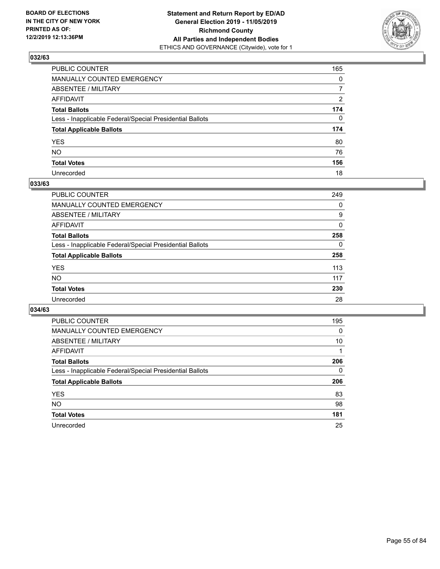

| PUBLIC COUNTER                                           | 165            |
|----------------------------------------------------------|----------------|
| MANUALLY COUNTED EMERGENCY                               | $\mathbf{0}$   |
| ABSENTEE / MILITARY                                      | $\overline{7}$ |
| AFFIDAVIT                                                | 2              |
| Total Ballots                                            | 174            |
| Less - Inapplicable Federal/Special Presidential Ballots | $\mathbf{0}$   |
| <b>Total Applicable Ballots</b>                          | 174            |
| YES                                                      | 80             |
| NO.                                                      | 76             |
| <b>Total Votes</b>                                       | 156            |
| Unrecorded                                               | 18             |

#### **033/63**

| <b>PUBLIC COUNTER</b>                                    | 249      |
|----------------------------------------------------------|----------|
| <b>MANUALLY COUNTED EMERGENCY</b>                        | 0        |
| ABSENTEE / MILITARY                                      | 9        |
| AFFIDAVIT                                                | $\Omega$ |
| <b>Total Ballots</b>                                     | 258      |
| Less - Inapplicable Federal/Special Presidential Ballots | 0        |
| <b>Total Applicable Ballots</b>                          | 258      |
| <b>YES</b>                                               | 113      |
| <b>NO</b>                                                | 117      |
| <b>Total Votes</b>                                       | 230      |
| Unrecorded                                               | 28       |

| PUBLIC COUNTER                                           | 195 |
|----------------------------------------------------------|-----|
| MANUALLY COUNTED EMERGENCY                               | 0   |
| ABSENTEE / MILITARY                                      | 10  |
| AFFIDAVIT                                                |     |
| <b>Total Ballots</b>                                     | 206 |
| Less - Inapplicable Federal/Special Presidential Ballots | 0   |
| <b>Total Applicable Ballots</b>                          | 206 |
| <b>YES</b>                                               | 83  |
| <b>NO</b>                                                | 98  |
| <b>Total Votes</b>                                       | 181 |
| Unrecorded                                               | 25  |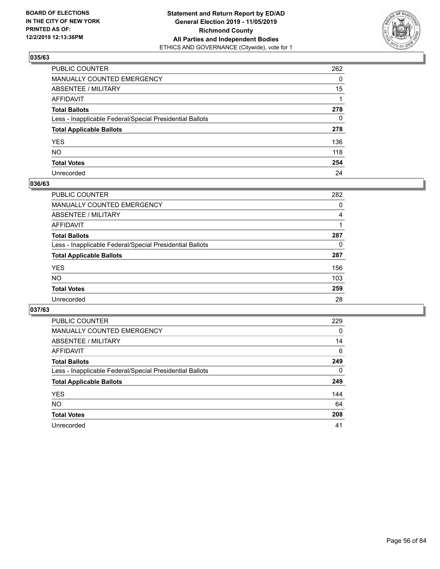

| PUBLIC COUNTER                                           | 262          |
|----------------------------------------------------------|--------------|
| MANUALLY COUNTED EMERGENCY                               | $\mathbf{0}$ |
| ABSENTEE / MILITARY                                      | 15           |
| AFFIDAVIT                                                |              |
| Total Ballots                                            | 278          |
| Less - Inapplicable Federal/Special Presidential Ballots | $\mathbf{0}$ |
| <b>Total Applicable Ballots</b>                          | 278          |
| YES                                                      | 136          |
| NO.                                                      | 118          |
| <b>Total Votes</b>                                       | 254          |
| Unrecorded                                               | 24           |

#### **036/63**

| PUBLIC COUNTER                                           | 282      |
|----------------------------------------------------------|----------|
| MANUALLY COUNTED EMERGENCY                               | 0        |
| ABSENTEE / MILITARY                                      | 4        |
| AFFIDAVIT                                                |          |
| <b>Total Ballots</b>                                     | 287      |
| Less - Inapplicable Federal/Special Presidential Ballots | $\Omega$ |
| <b>Total Applicable Ballots</b>                          | 287      |
| <b>YES</b>                                               | 156      |
| <b>NO</b>                                                | 103      |
| <b>Total Votes</b>                                       | 259      |
| Unrecorded                                               | 28       |

| PUBLIC COUNTER                                           | 229      |
|----------------------------------------------------------|----------|
| <b>MANUALLY COUNTED EMERGENCY</b>                        | 0        |
| ABSENTEE / MILITARY                                      | 14       |
| AFFIDAVIT                                                | 6        |
| <b>Total Ballots</b>                                     | 249      |
| Less - Inapplicable Federal/Special Presidential Ballots | $\Omega$ |
| <b>Total Applicable Ballots</b>                          | 249      |
| <b>YES</b>                                               | 144      |
| <b>NO</b>                                                | 64       |
| <b>Total Votes</b>                                       | 208      |
| Unrecorded                                               | 41       |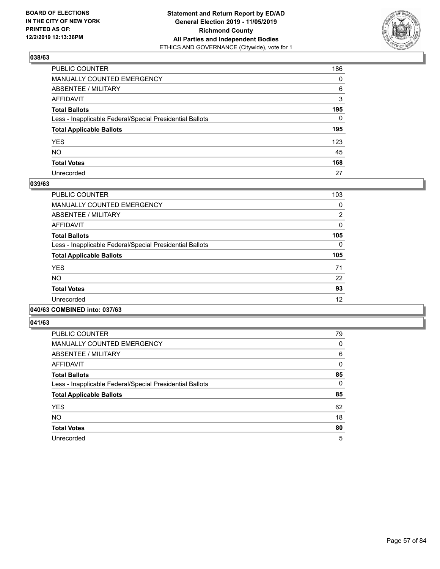

| PUBLIC COUNTER                                           | 186          |
|----------------------------------------------------------|--------------|
| MANUALLY COUNTED EMERGENCY                               | $\mathbf{0}$ |
| ABSENTEE / MILITARY                                      | 6            |
| AFFIDAVIT                                                | 3            |
| Total Ballots                                            | 195          |
| Less - Inapplicable Federal/Special Presidential Ballots | $\Omega$     |
| <b>Total Applicable Ballots</b>                          | 195          |
| YES                                                      | 123          |
| NO.                                                      | 45           |
| <b>Total Votes</b>                                       | 168          |
| Unrecorded                                               | 27           |

#### **039/63**

| <b>PUBLIC COUNTER</b>                                    | 103            |
|----------------------------------------------------------|----------------|
| MANUALLY COUNTED EMERGENCY                               | 0              |
| ABSENTEE / MILITARY                                      | $\overline{2}$ |
| AFFIDAVIT                                                | 0              |
| <b>Total Ballots</b>                                     | 105            |
| Less - Inapplicable Federal/Special Presidential Ballots | $\Omega$       |
| <b>Total Applicable Ballots</b>                          | 105            |
| <b>YES</b>                                               | 71             |
| <b>NO</b>                                                | 22             |
| <b>Total Votes</b>                                       | 93             |
| Unrecorded                                               | 12             |
|                                                          |                |

### **040/63 COMBINED into: 037/63**

| <b>PUBLIC COUNTER</b>                                    | 79       |
|----------------------------------------------------------|----------|
| <b>MANUALLY COUNTED EMERGENCY</b>                        | 0        |
| ABSENTEE / MILITARY                                      | 6        |
| AFFIDAVIT                                                | $\Omega$ |
| <b>Total Ballots</b>                                     | 85       |
| Less - Inapplicable Federal/Special Presidential Ballots | $\Omega$ |
| <b>Total Applicable Ballots</b>                          | 85       |
| <b>YES</b>                                               | 62       |
| <b>NO</b>                                                | 18       |
| <b>Total Votes</b>                                       | 80       |
| Unrecorded                                               | 5        |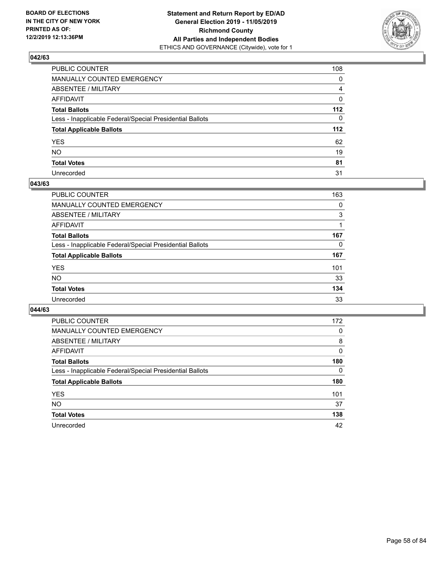

| PUBLIC COUNTER                                           | 108          |
|----------------------------------------------------------|--------------|
| MANUALLY COUNTED EMERGENCY                               | $\mathbf{0}$ |
| ABSENTEE / MILITARY                                      | 4            |
| AFFIDAVIT                                                | $\mathbf 0$  |
| Total Ballots                                            | 112          |
| Less - Inapplicable Federal/Special Presidential Ballots | $\Omega$     |
| <b>Total Applicable Ballots</b>                          | 112          |
| YES                                                      | 62           |
| NO.                                                      | 19           |
| <b>Total Votes</b>                                       | 81           |
| Unrecorded                                               | 31           |

#### **043/63**

| <b>PUBLIC COUNTER</b>                                    | 163      |
|----------------------------------------------------------|----------|
| <b>MANUALLY COUNTED EMERGENCY</b>                        | 0        |
| ABSENTEE / MILITARY                                      | 3        |
| AFFIDAVIT                                                |          |
| <b>Total Ballots</b>                                     | 167      |
| Less - Inapplicable Federal/Special Presidential Ballots | $\Omega$ |
| <b>Total Applicable Ballots</b>                          | 167      |
| <b>YES</b>                                               | 101      |
| <b>NO</b>                                                | 33       |
| <b>Total Votes</b>                                       | 134      |
| Unrecorded                                               | 33       |

| PUBLIC COUNTER                                           | 172      |
|----------------------------------------------------------|----------|
| <b>MANUALLY COUNTED EMERGENCY</b>                        | 0        |
| ABSENTEE / MILITARY                                      | 8        |
| AFFIDAVIT                                                | 0        |
| <b>Total Ballots</b>                                     | 180      |
| Less - Inapplicable Federal/Special Presidential Ballots | $\Omega$ |
| <b>Total Applicable Ballots</b>                          | 180      |
| <b>YES</b>                                               | 101      |
| <b>NO</b>                                                | 37       |
| <b>Total Votes</b>                                       | 138      |
| Unrecorded                                               | 42       |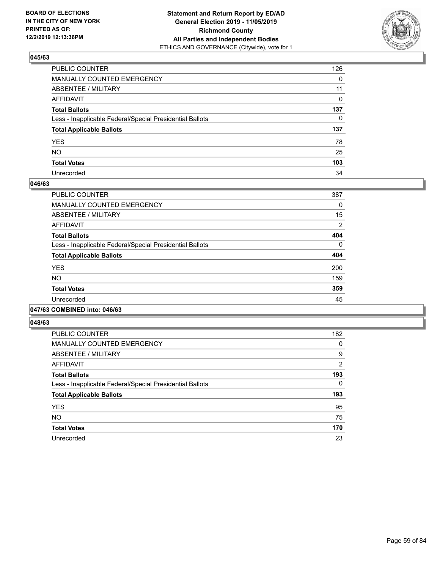

| PUBLIC COUNTER                                           | 126          |
|----------------------------------------------------------|--------------|
| MANUALLY COUNTED EMERGENCY                               | $\mathbf{0}$ |
| ABSENTEE / MILITARY                                      | 11           |
| AFFIDAVIT                                                | 0            |
| Total Ballots                                            | 137          |
| Less - Inapplicable Federal/Special Presidential Ballots | $\mathbf{0}$ |
| <b>Total Applicable Ballots</b>                          | 137          |
| YES                                                      | 78           |
| NO.                                                      | 25           |
| <b>Total Votes</b>                                       | 103          |
| Unrecorded                                               | 34           |

#### **046/63**

| PUBLIC COUNTER                                           | 387      |
|----------------------------------------------------------|----------|
| <b>MANUALLY COUNTED EMERGENCY</b>                        | 0        |
| ABSENTEE / MILITARY                                      | 15       |
| <b>AFFIDAVIT</b>                                         | 2        |
| <b>Total Ballots</b>                                     | 404      |
| Less - Inapplicable Federal/Special Presidential Ballots | $\Omega$ |
| <b>Total Applicable Ballots</b>                          | 404      |
| <b>YES</b>                                               | 200      |
| NO.                                                      | 159      |
| <b>Total Votes</b>                                       | 359      |
| Unrecorded                                               | 45       |
|                                                          |          |

#### **047/63 COMBINED into: 046/63**

| PUBLIC COUNTER                                           | 182            |
|----------------------------------------------------------|----------------|
| <b>MANUALLY COUNTED EMERGENCY</b>                        | 0              |
| ABSENTEE / MILITARY                                      | 9              |
| <b>AFFIDAVIT</b>                                         | $\overline{2}$ |
| <b>Total Ballots</b>                                     | 193            |
| Less - Inapplicable Federal/Special Presidential Ballots | 0              |
| <b>Total Applicable Ballots</b>                          | 193            |
| <b>YES</b>                                               | 95             |
| <b>NO</b>                                                | 75             |
| <b>Total Votes</b>                                       | 170            |
| Unrecorded                                               | 23             |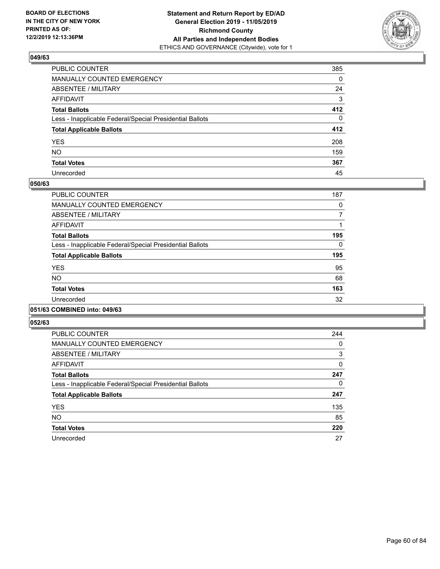

| PUBLIC COUNTER                                           | 385          |
|----------------------------------------------------------|--------------|
| MANUALLY COUNTED EMERGENCY                               | $\mathbf{0}$ |
| ABSENTEE / MILITARY                                      | 24           |
| AFFIDAVIT                                                | 3            |
| Total Ballots                                            | 412          |
| Less - Inapplicable Federal/Special Presidential Ballots | $\Omega$     |
| <b>Total Applicable Ballots</b>                          | 412          |
| YES                                                      | 208          |
| NO.                                                      | 159          |
| <b>Total Votes</b>                                       | 367          |
| Unrecorded                                               | 45           |

#### **050/63**

| <b>PUBLIC COUNTER</b>                                    | 187      |
|----------------------------------------------------------|----------|
| <b>MANUALLY COUNTED EMERGENCY</b>                        | 0        |
| ABSENTEE / MILITARY                                      | 7        |
| <b>AFFIDAVIT</b>                                         |          |
| <b>Total Ballots</b>                                     | 195      |
| Less - Inapplicable Federal/Special Presidential Ballots | $\Omega$ |
| <b>Total Applicable Ballots</b>                          | 195      |
| <b>YES</b>                                               | 95       |
| <b>NO</b>                                                | 68       |
| <b>Total Votes</b>                                       | 163      |
| Unrecorded                                               | 32       |
|                                                          |          |

### **051/63 COMBINED into: 049/63**

| PUBLIC COUNTER                                           | 244 |
|----------------------------------------------------------|-----|
| <b>MANUALLY COUNTED EMERGENCY</b>                        | 0   |
| ABSENTEE / MILITARY                                      | 3   |
| <b>AFFIDAVIT</b>                                         | 0   |
| <b>Total Ballots</b>                                     | 247 |
| Less - Inapplicable Federal/Special Presidential Ballots | 0   |
| <b>Total Applicable Ballots</b>                          | 247 |
| <b>YES</b>                                               | 135 |
| <b>NO</b>                                                | 85  |
| <b>Total Votes</b>                                       | 220 |
| Unrecorded                                               | 27  |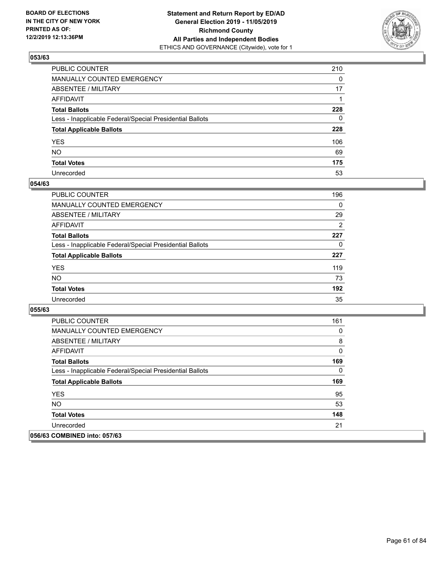

| PUBLIC COUNTER                                           | 210      |
|----------------------------------------------------------|----------|
| MANUALLY COUNTED EMERGENCY                               | $\Omega$ |
| ABSENTEE / MILITARY                                      | 17       |
| AFFIDAVIT                                                |          |
| Total Ballots                                            | 228      |
| Less - Inapplicable Federal/Special Presidential Ballots | 0        |
| <b>Total Applicable Ballots</b>                          | 228      |
| YES                                                      | 106      |
| NO.                                                      | 69       |
| <b>Total Votes</b>                                       | 175      |
| Unrecorded                                               | 53       |

#### **054/63**

| <b>PUBLIC COUNTER</b>                                    | 196            |
|----------------------------------------------------------|----------------|
| <b>MANUALLY COUNTED EMERGENCY</b>                        | $\Omega$       |
| ABSENTEE / MILITARY                                      | 29             |
| AFFIDAVIT                                                | $\overline{2}$ |
| <b>Total Ballots</b>                                     | 227            |
| Less - Inapplicable Federal/Special Presidential Ballots | 0              |
| <b>Total Applicable Ballots</b>                          | 227            |
| <b>YES</b>                                               | 119            |
| <b>NO</b>                                                | 73             |
| <b>Total Votes</b>                                       | 192            |
| Unrecorded                                               | 35             |

| <b>PUBLIC COUNTER</b>                                    | 161      |
|----------------------------------------------------------|----------|
| <b>MANUALLY COUNTED EMERGENCY</b>                        | 0        |
| ABSENTEE / MILITARY                                      | 8        |
| AFFIDAVIT                                                | 0        |
| <b>Total Ballots</b>                                     | 169      |
| Less - Inapplicable Federal/Special Presidential Ballots | $\Omega$ |
| <b>Total Applicable Ballots</b>                          | 169      |
| <b>YES</b>                                               | 95       |
| NO.                                                      | 53       |
| <b>Total Votes</b>                                       | 148      |
| Unrecorded                                               | 21       |
| 056/63 COMBINED into: 057/63                             |          |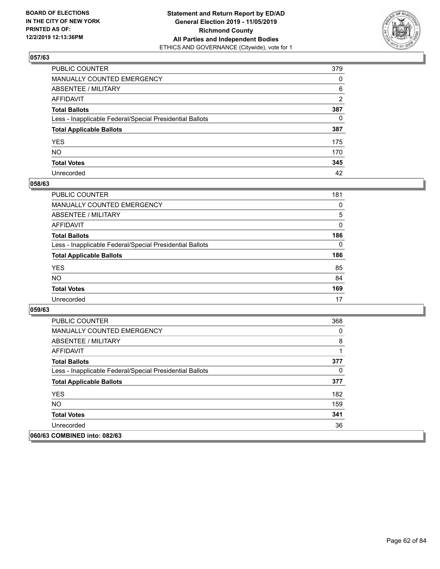

| PUBLIC COUNTER                                           | 379            |
|----------------------------------------------------------|----------------|
| MANUALLY COUNTED EMERGENCY                               | $\mathbf{0}$   |
| ABSENTEE / MILITARY                                      | 6              |
| AFFIDAVIT                                                | $\overline{2}$ |
| Total Ballots                                            | 387            |
| Less - Inapplicable Federal/Special Presidential Ballots | $\mathbf{0}$   |
| <b>Total Applicable Ballots</b>                          | 387            |
| YES                                                      | 175            |
| NO.                                                      | 170            |
| <b>Total Votes</b>                                       | 345            |
| Unrecorded                                               | 42             |

#### **058/63**

| <b>PUBLIC COUNTER</b>                                    | 181      |
|----------------------------------------------------------|----------|
| MANUALLY COUNTED EMERGENCY                               | $\Omega$ |
| ABSENTEE / MILITARY                                      | 5        |
| AFFIDAVIT                                                | $\Omega$ |
| <b>Total Ballots</b>                                     | 186      |
| Less - Inapplicable Federal/Special Presidential Ballots | $\Omega$ |
| <b>Total Applicable Ballots</b>                          | 186      |
| <b>YES</b>                                               | 85       |
| <b>NO</b>                                                | 84       |
| <b>Total Votes</b>                                       | 169      |
| Unrecorded                                               | 17       |

| <b>PUBLIC COUNTER</b>                                    | 368 |
|----------------------------------------------------------|-----|
| <b>MANUALLY COUNTED EMERGENCY</b>                        | 0   |
| ABSENTEE / MILITARY                                      | 8   |
| AFFIDAVIT                                                |     |
| <b>Total Ballots</b>                                     | 377 |
| Less - Inapplicable Federal/Special Presidential Ballots | 0   |
| <b>Total Applicable Ballots</b>                          | 377 |
| <b>YES</b>                                               | 182 |
| <b>NO</b>                                                | 159 |
| <b>Total Votes</b>                                       | 341 |
| Unrecorded                                               | 36  |
| 060/63 COMBINED into: 082/63                             |     |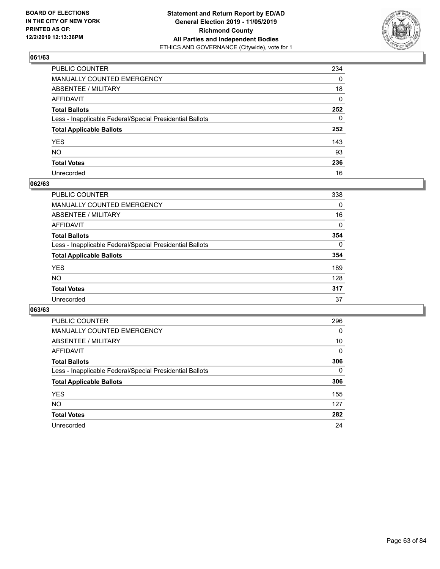

| PUBLIC COUNTER                                           | 234          |
|----------------------------------------------------------|--------------|
| MANUALLY COUNTED EMERGENCY                               | $\mathbf{0}$ |
| ABSENTEE / MILITARY                                      | 18           |
| AFFIDAVIT                                                | $\mathbf{0}$ |
| Total Ballots                                            | 252          |
| Less - Inapplicable Federal/Special Presidential Ballots | $\mathbf{0}$ |
| <b>Total Applicable Ballots</b>                          | 252          |
| YES                                                      | 143          |
| NO.                                                      | 93           |
| <b>Total Votes</b>                                       | 236          |
| Unrecorded                                               | 16           |

#### **062/63**

| <b>PUBLIC COUNTER</b>                                    | 338      |
|----------------------------------------------------------|----------|
| <b>MANUALLY COUNTED EMERGENCY</b>                        | 0        |
| ABSENTEE / MILITARY                                      | 16       |
| AFFIDAVIT                                                | 0        |
| <b>Total Ballots</b>                                     | 354      |
| Less - Inapplicable Federal/Special Presidential Ballots | $\Omega$ |
| <b>Total Applicable Ballots</b>                          | 354      |
| <b>YES</b>                                               | 189      |
| <b>NO</b>                                                | 128      |
| <b>Total Votes</b>                                       | 317      |
| Unrecorded                                               | 37       |

| <b>PUBLIC COUNTER</b>                                    | 296      |
|----------------------------------------------------------|----------|
| MANUALLY COUNTED EMERGENCY                               | 0        |
| ABSENTEE / MILITARY                                      | 10       |
| AFFIDAVIT                                                | $\Omega$ |
| <b>Total Ballots</b>                                     | 306      |
| Less - Inapplicable Federal/Special Presidential Ballots | $\Omega$ |
| <b>Total Applicable Ballots</b>                          | 306      |
| <b>YES</b>                                               | 155      |
| <b>NO</b>                                                | 127      |
| <b>Total Votes</b>                                       | 282      |
| Unrecorded                                               | 24       |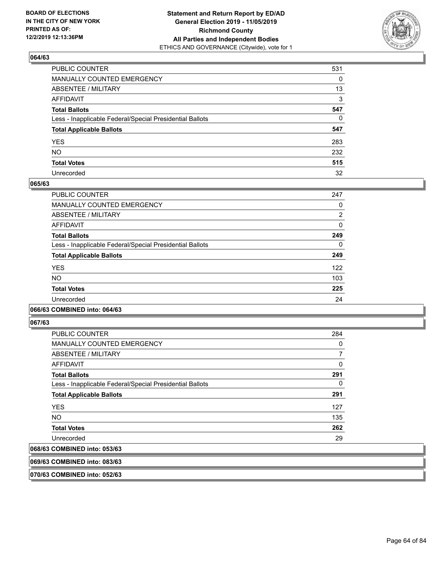

| PUBLIC COUNTER                                           | 531 |
|----------------------------------------------------------|-----|
| MANUALLY COUNTED EMERGENCY                               | 0   |
| ABSENTEE / MILITARY                                      | 13  |
| AFFIDAVIT                                                | 3   |
| Total Ballots                                            | 547 |
| Less - Inapplicable Federal/Special Presidential Ballots | 0   |
| <b>Total Applicable Ballots</b>                          | 547 |
| YES                                                      | 283 |
| NO.                                                      | 232 |
| <b>Total Votes</b>                                       | 515 |
| Unrecorded                                               | 32  |

#### **065/63**

| PUBLIC COUNTER                                           | 247      |
|----------------------------------------------------------|----------|
| <b>MANUALLY COUNTED EMERGENCY</b>                        | 0        |
| ABSENTEE / MILITARY                                      | 2        |
| <b>AFFIDAVIT</b>                                         | 0        |
| <b>Total Ballots</b>                                     | 249      |
| Less - Inapplicable Federal/Special Presidential Ballots | $\Omega$ |
| <b>Total Applicable Ballots</b>                          | 249      |
| <b>YES</b>                                               | 122      |
| <b>NO</b>                                                | 103      |
| <b>Total Votes</b>                                       | 225      |
| Unrecorded                                               | 24       |
|                                                          |          |

#### **066/63 COMBINED into: 064/63**

**067/63** 

| <b>PUBLIC COUNTER</b>                                    | 284 |
|----------------------------------------------------------|-----|
| <b>MANUALLY COUNTED EMERGENCY</b>                        | 0   |
| ABSENTEE / MILITARY                                      |     |
| AFFIDAVIT                                                | 0   |
| <b>Total Ballots</b>                                     | 291 |
| Less - Inapplicable Federal/Special Presidential Ballots | 0   |
| <b>Total Applicable Ballots</b>                          | 291 |
| <b>YES</b>                                               | 127 |
| <b>NO</b>                                                | 135 |
| <b>Total Votes</b>                                       | 262 |
| Unrecorded                                               | 29  |
| 068/63 COMBINED into: 053/63                             |     |

## **069/63 COMBINED into: 083/63**

**070/63 COMBINED into: 052/63**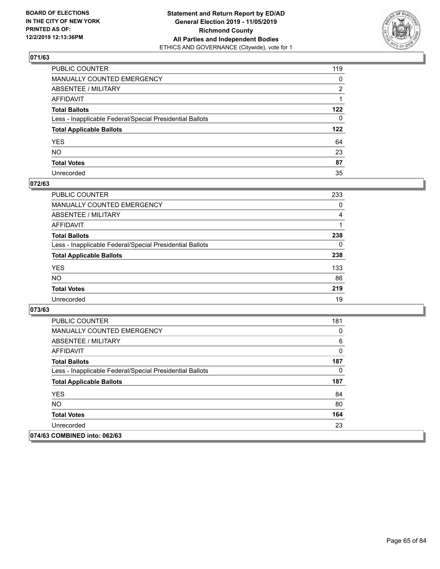

| PUBLIC COUNTER                                           | 119          |
|----------------------------------------------------------|--------------|
| MANUALLY COUNTED EMERGENCY                               | 0            |
| ABSENTEE / MILITARY                                      | 2            |
| AFFIDAVIT                                                |              |
| Total Ballots                                            | 122          |
| Less - Inapplicable Federal/Special Presidential Ballots | $\mathbf{0}$ |
| <b>Total Applicable Ballots</b>                          | 122          |
| YES                                                      | 64           |
| NO.                                                      | 23           |
| <b>Total Votes</b>                                       | 87           |
| Unrecorded                                               | 35           |

### **072/63**

| <b>PUBLIC COUNTER</b>                                    | 233      |
|----------------------------------------------------------|----------|
| <b>MANUALLY COUNTED EMERGENCY</b>                        | 0        |
| ABSENTEE / MILITARY                                      | 4        |
| AFFIDAVIT                                                |          |
| <b>Total Ballots</b>                                     | 238      |
| Less - Inapplicable Federal/Special Presidential Ballots | $\Omega$ |
| <b>Total Applicable Ballots</b>                          | 238      |
| <b>YES</b>                                               | 133      |
| <b>NO</b>                                                | 86       |
| <b>Total Votes</b>                                       | 219      |
| Unrecorded                                               | 19       |

| <b>PUBLIC COUNTER</b>                                    | 181 |
|----------------------------------------------------------|-----|
| <b>MANUALLY COUNTED EMERGENCY</b>                        | 0   |
| ABSENTEE / MILITARY                                      | 6   |
| AFFIDAVIT                                                | 0   |
| <b>Total Ballots</b>                                     | 187 |
| Less - Inapplicable Federal/Special Presidential Ballots | 0   |
| <b>Total Applicable Ballots</b>                          | 187 |
| <b>YES</b>                                               | 84  |
| NO.                                                      | 80  |
| <b>Total Votes</b>                                       | 164 |
| Unrecorded                                               | 23  |
| 074/63 COMBINED into: 062/63                             |     |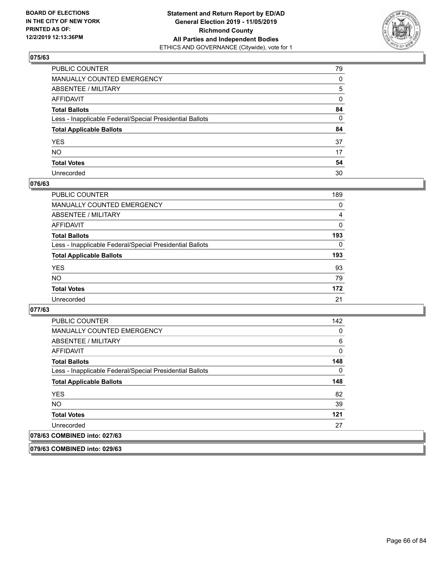

| PUBLIC COUNTER                                           | 79           |
|----------------------------------------------------------|--------------|
| MANUALLY COUNTED EMERGENCY                               | 0            |
| ABSENTEE / MILITARY                                      | 5            |
| AFFIDAVIT                                                | 0            |
| Total Ballots                                            | 84           |
| Less - Inapplicable Federal/Special Presidential Ballots | $\mathbf{0}$ |
| <b>Total Applicable Ballots</b>                          | 84           |
| YES                                                      | 37           |
| NO.                                                      | 17           |
| <b>Total Votes</b>                                       | 54           |
| Unrecorded                                               | 30           |

#### **076/63**

| <b>PUBLIC COUNTER</b>                                    | 189      |
|----------------------------------------------------------|----------|
| <b>MANUALLY COUNTED EMERGENCY</b>                        | 0        |
| ABSENTEE / MILITARY                                      | 4        |
| AFFIDAVIT                                                | 0        |
| <b>Total Ballots</b>                                     | 193      |
| Less - Inapplicable Federal/Special Presidential Ballots | $\Omega$ |
| <b>Total Applicable Ballots</b>                          | 193      |
| <b>YES</b>                                               | 93       |
| <b>NO</b>                                                | 79       |
| <b>Total Votes</b>                                       | 172      |
| Unrecorded                                               | 21       |

#### **077/63**

**079/63 COMBINED into: 029/63**

| <b>PUBLIC COUNTER</b>                                    | 142 |
|----------------------------------------------------------|-----|
| <b>MANUALLY COUNTED EMERGENCY</b>                        | 0   |
| ABSENTEE / MILITARY                                      | 6   |
| <b>AFFIDAVIT</b>                                         | 0   |
| <b>Total Ballots</b>                                     | 148 |
| Less - Inapplicable Federal/Special Presidential Ballots | 0   |
| <b>Total Applicable Ballots</b>                          | 148 |
| <b>YES</b>                                               | 82  |
| NO.                                                      | 39  |
| <b>Total Votes</b>                                       | 121 |
| Unrecorded                                               | 27  |
| 078/63 COMBINED into: 027/63                             |     |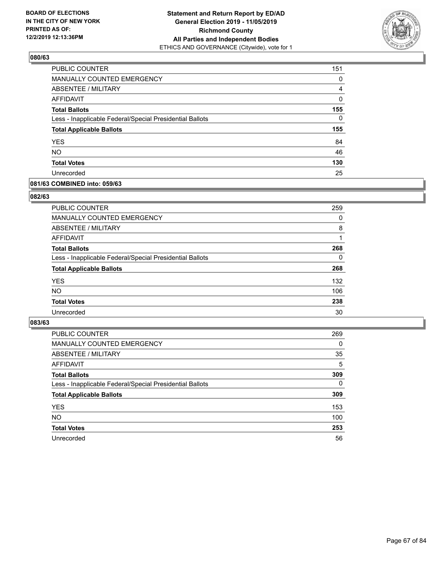

| PUBLIC COUNTER                                           | 151      |
|----------------------------------------------------------|----------|
| MANUALLY COUNTED EMERGENCY                               | 0        |
| ABSENTEE / MILITARY                                      | 4        |
| AFFIDAVIT                                                | 0        |
| <b>Total Ballots</b>                                     | 155      |
| Less - Inapplicable Federal/Special Presidential Ballots | $\Omega$ |
| <b>Total Applicable Ballots</b>                          | 155      |
| <b>YES</b>                                               | 84       |
| <b>NO</b>                                                | 46       |
| <b>Total Votes</b>                                       | 130      |
| Unrecorded                                               | 25       |

#### **081/63 COMBINED into: 059/63**

#### **082/63**

| <b>PUBLIC COUNTER</b>                                    | 259 |
|----------------------------------------------------------|-----|
| <b>MANUALLY COUNTED EMERGENCY</b>                        | 0   |
| ABSENTEE / MILITARY                                      | 8   |
| AFFIDAVIT                                                |     |
| <b>Total Ballots</b>                                     | 268 |
| Less - Inapplicable Federal/Special Presidential Ballots | 0   |
| <b>Total Applicable Ballots</b>                          | 268 |
| <b>YES</b>                                               | 132 |
| <b>NO</b>                                                | 106 |
| <b>Total Votes</b>                                       | 238 |
| Unrecorded                                               | 30  |
|                                                          |     |

| <b>PUBLIC COUNTER</b>                                    | 269      |
|----------------------------------------------------------|----------|
| MANUALLY COUNTED EMERGENCY                               | $\Omega$ |
| ABSENTEE / MILITARY                                      | 35       |
| AFFIDAVIT                                                | 5        |
| <b>Total Ballots</b>                                     | 309      |
| Less - Inapplicable Federal/Special Presidential Ballots | $\Omega$ |
| <b>Total Applicable Ballots</b>                          | 309      |
| <b>YES</b>                                               | 153      |
| <b>NO</b>                                                | 100      |
| <b>Total Votes</b>                                       | 253      |
| Unrecorded                                               | 56       |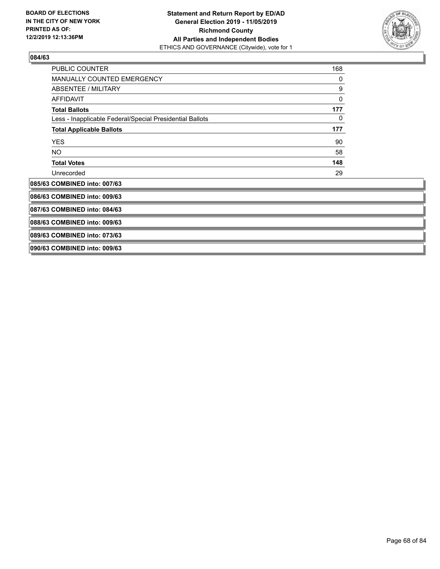

| PUBLIC COUNTER                                           | 168 |
|----------------------------------------------------------|-----|
| MANUALLY COUNTED EMERGENCY                               | 0   |
| ABSENTEE / MILITARY                                      | 9   |
| <b>AFFIDAVIT</b>                                         | 0   |
| <b>Total Ballots</b>                                     | 177 |
| Less - Inapplicable Federal/Special Presidential Ballots | 0   |
| <b>Total Applicable Ballots</b>                          | 177 |
| <b>YES</b>                                               | 90  |
| NO                                                       | 58  |
| <b>Total Votes</b>                                       | 148 |
| Unrecorded                                               | 29  |
| 085/63 COMBINED into: 007/63                             |     |
| 086/63 COMBINED into: 009/63                             |     |
| 087/63 COMBINED into: 084/63                             |     |
| 088/63 COMBINED into: 009/63                             |     |
| 089/63 COMBINED into: 073/63                             |     |
| 090/63 COMBINED into: 009/63                             |     |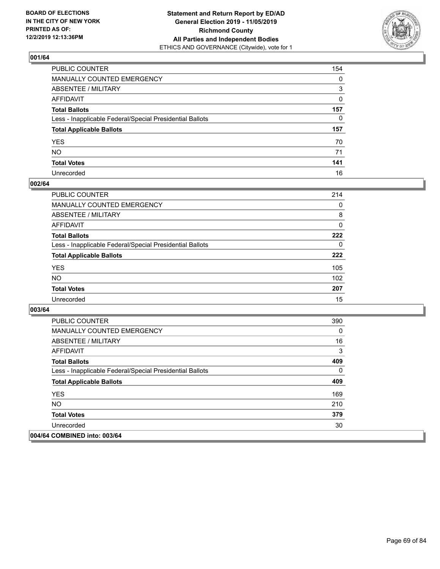

| PUBLIC COUNTER                                           | 154          |
|----------------------------------------------------------|--------------|
| MANUALLY COUNTED EMERGENCY                               | 0            |
| ABSENTEE / MILITARY                                      | 3            |
| AFFIDAVIT                                                | $\mathbf{0}$ |
| Total Ballots                                            | 157          |
| Less - Inapplicable Federal/Special Presidential Ballots | $\Omega$     |
| <b>Total Applicable Ballots</b>                          | 157          |
| YES                                                      | 70           |
| NO.                                                      | 71           |
| <b>Total Votes</b>                                       | 141          |
| Unrecorded                                               | 16           |

#### **002/64**

| <b>PUBLIC COUNTER</b>                                    | 214      |
|----------------------------------------------------------|----------|
| <b>MANUALLY COUNTED EMERGENCY</b>                        | $\Omega$ |
| ABSENTEE / MILITARY                                      | 8        |
| AFFIDAVIT                                                | $\Omega$ |
| <b>Total Ballots</b>                                     | 222      |
| Less - Inapplicable Federal/Special Presidential Ballots | $\Omega$ |
| <b>Total Applicable Ballots</b>                          | 222      |
| <b>YES</b>                                               | 105      |
| <b>NO</b>                                                | 102      |
| <b>Total Votes</b>                                       | 207      |
| Unrecorded                                               | 15       |

| <b>PUBLIC COUNTER</b>                                    | 390 |
|----------------------------------------------------------|-----|
| <b>MANUALLY COUNTED EMERGENCY</b>                        | 0   |
| ABSENTEE / MILITARY                                      | 16  |
| AFFIDAVIT                                                | 3   |
| <b>Total Ballots</b>                                     | 409 |
| Less - Inapplicable Federal/Special Presidential Ballots | 0   |
| <b>Total Applicable Ballots</b>                          | 409 |
| <b>YES</b>                                               | 169 |
| <b>NO</b>                                                | 210 |
| <b>Total Votes</b>                                       | 379 |
| Unrecorded                                               | 30  |
| 004/64 COMBINED into: 003/64                             |     |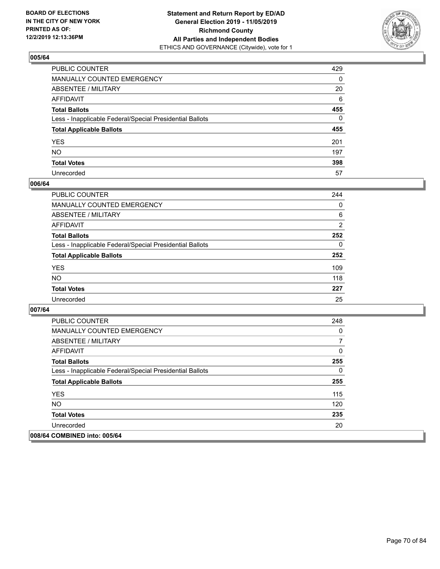

| PUBLIC COUNTER                                           | 429          |
|----------------------------------------------------------|--------------|
| MANUALLY COUNTED EMERGENCY                               | $\mathbf{0}$ |
| ABSENTEE / MILITARY                                      | 20           |
| AFFIDAVIT                                                | 6            |
| Total Ballots                                            | 455          |
| Less - Inapplicable Federal/Special Presidential Ballots | $\Omega$     |
| <b>Total Applicable Ballots</b>                          | 455          |
| YES                                                      | 201          |
| NO.                                                      | 197          |
| <b>Total Votes</b>                                       | 398          |
| Unrecorded                                               | 57           |

#### **006/64**

| <b>PUBLIC COUNTER</b>                                    | 244            |
|----------------------------------------------------------|----------------|
| <b>MANUALLY COUNTED EMERGENCY</b>                        | $\Omega$       |
| ABSENTEE / MILITARY                                      | 6              |
| AFFIDAVIT                                                | $\overline{2}$ |
| <b>Total Ballots</b>                                     | 252            |
| Less - Inapplicable Federal/Special Presidential Ballots | $\Omega$       |
| <b>Total Applicable Ballots</b>                          | 252            |
| <b>YES</b>                                               | 109            |
| <b>NO</b>                                                | 118            |
| <b>Total Votes</b>                                       | 227            |
| Unrecorded                                               | 25             |

| <b>PUBLIC COUNTER</b>                                    | 248 |
|----------------------------------------------------------|-----|
| <b>MANUALLY COUNTED EMERGENCY</b>                        | 0   |
| ABSENTEE / MILITARY                                      | 7   |
| AFFIDAVIT                                                | 0   |
| <b>Total Ballots</b>                                     | 255 |
| Less - Inapplicable Federal/Special Presidential Ballots | 0   |
| <b>Total Applicable Ballots</b>                          | 255 |
| <b>YES</b>                                               | 115 |
| <b>NO</b>                                                | 120 |
| <b>Total Votes</b>                                       | 235 |
| Unrecorded                                               | 20  |
| 008/64 COMBINED into: 005/64                             |     |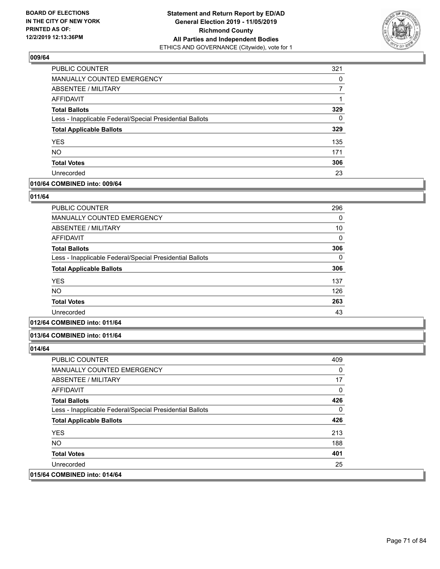

| PUBLIC COUNTER                                           | 321      |
|----------------------------------------------------------|----------|
| <b>MANUALLY COUNTED EMERGENCY</b>                        | $\Omega$ |
| ABSENTEE / MILITARY                                      |          |
| AFFIDAVIT                                                |          |
| <b>Total Ballots</b>                                     | 329      |
| Less - Inapplicable Federal/Special Presidential Ballots | 0        |
| <b>Total Applicable Ballots</b>                          | 329      |
| <b>YES</b>                                               | 135      |
| <b>NO</b>                                                | 171      |
| <b>Total Votes</b>                                       | 306      |
| Unrecorded                                               | 23       |

### **010/64 COMBINED into: 009/64**

### **011/64**

| <b>PUBLIC COUNTER</b>                                    | 296 |
|----------------------------------------------------------|-----|
| <b>MANUALLY COUNTED EMERGENCY</b>                        | 0   |
| <b>ABSENTEE / MILITARY</b>                               | 10  |
| AFFIDAVIT                                                | 0   |
| <b>Total Ballots</b>                                     | 306 |
| Less - Inapplicable Federal/Special Presidential Ballots | 0   |
| <b>Total Applicable Ballots</b>                          | 306 |
| <b>YES</b>                                               | 137 |
| <b>NO</b>                                                | 126 |
| <b>Total Votes</b>                                       | 263 |
| Unrecorded                                               | 43  |
|                                                          |     |

## **012/64 COMBINED into: 011/64**

#### **013/64 COMBINED into: 011/64**

| <b>PUBLIC COUNTER</b>                                    | 409 |
|----------------------------------------------------------|-----|
| <b>MANUALLY COUNTED EMERGENCY</b>                        | 0   |
| ABSENTEE / MILITARY                                      | 17  |
| AFFIDAVIT                                                | 0   |
| <b>Total Ballots</b>                                     | 426 |
| Less - Inapplicable Federal/Special Presidential Ballots | 0   |
| <b>Total Applicable Ballots</b>                          | 426 |
| <b>YES</b>                                               | 213 |
| NO.                                                      | 188 |
| <b>Total Votes</b>                                       | 401 |
| Unrecorded                                               | 25  |
| 015/64 COMBINED into: 014/64                             |     |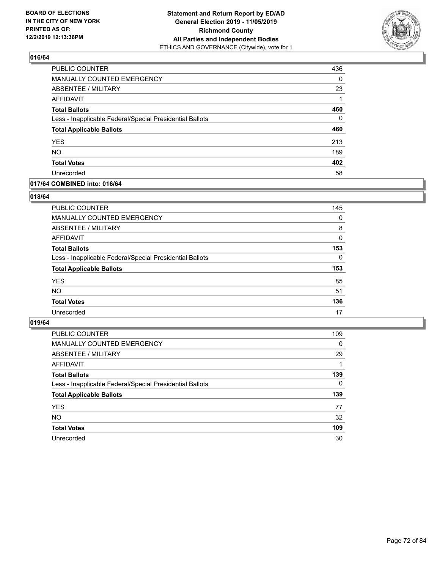

| <b>PUBLIC COUNTER</b>                                    | 436      |
|----------------------------------------------------------|----------|
| MANUALLY COUNTED EMERGENCY                               | $\Omega$ |
| <b>ABSENTEE / MILITARY</b>                               | 23       |
| AFFIDAVIT                                                |          |
| <b>Total Ballots</b>                                     | 460      |
| Less - Inapplicable Federal/Special Presidential Ballots | $\Omega$ |
| <b>Total Applicable Ballots</b>                          | 460      |
| <b>YES</b>                                               | 213      |
| <b>NO</b>                                                | 189      |
| <b>Total Votes</b>                                       | 402      |
| Unrecorded                                               | 58       |

### **017/64 COMBINED into: 016/64**

### **018/64**

| PUBLIC COUNTER                                           | 145      |
|----------------------------------------------------------|----------|
| MANUALLY COUNTED EMERGENCY                               | $\Omega$ |
| ABSENTEE / MILITARY                                      | 8        |
| AFFIDAVIT                                                | 0        |
| <b>Total Ballots</b>                                     | 153      |
| Less - Inapplicable Federal/Special Presidential Ballots | $\Omega$ |
| <b>Total Applicable Ballots</b>                          | 153      |
| <b>YES</b>                                               | 85       |
| <b>NO</b>                                                | 51       |
| <b>Total Votes</b>                                       | 136      |
| Unrecorded                                               | 17       |
|                                                          |          |

| <b>PUBLIC COUNTER</b>                                    | 109      |
|----------------------------------------------------------|----------|
| MANUALLY COUNTED EMERGENCY                               | 0        |
| ABSENTEE / MILITARY                                      | 29       |
| AFFIDAVIT                                                |          |
| <b>Total Ballots</b>                                     | 139      |
| Less - Inapplicable Federal/Special Presidential Ballots | $\Omega$ |
| <b>Total Applicable Ballots</b>                          | 139      |
| <b>YES</b>                                               | 77       |
| <b>NO</b>                                                | 32       |
| <b>Total Votes</b>                                       | 109      |
| Unrecorded                                               | 30       |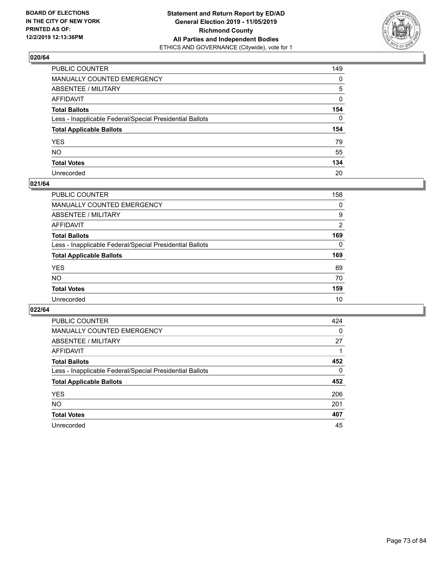

| PUBLIC COUNTER                                           | 149          |
|----------------------------------------------------------|--------------|
| MANUALLY COUNTED EMERGENCY                               | $\mathbf{0}$ |
| ABSENTEE / MILITARY                                      | 5            |
| AFFIDAVIT                                                | $\mathbf 0$  |
| Total Ballots                                            | 154          |
| Less - Inapplicable Federal/Special Presidential Ballots | $\Omega$     |
| <b>Total Applicable Ballots</b>                          | 154          |
| YES                                                      | 79           |
| NO.                                                      | 55           |
| <b>Total Votes</b>                                       | 134          |
| Unrecorded                                               | 20           |

### **021/64**

| <b>PUBLIC COUNTER</b>                                    | 158      |
|----------------------------------------------------------|----------|
| <b>MANUALLY COUNTED EMERGENCY</b>                        | 0        |
| ABSENTEE / MILITARY                                      | 9        |
| AFFIDAVIT                                                | 2        |
| <b>Total Ballots</b>                                     | 169      |
| Less - Inapplicable Federal/Special Presidential Ballots | $\Omega$ |
| <b>Total Applicable Ballots</b>                          | 169      |
| <b>YES</b>                                               | 89       |
| <b>NO</b>                                                | 70       |
| <b>Total Votes</b>                                       | 159      |
| Unrecorded                                               | 10       |

| PUBLIC COUNTER                                           | 424      |
|----------------------------------------------------------|----------|
| MANUALLY COUNTED EMERGENCY                               | $\Omega$ |
| ABSENTEE / MILITARY                                      | 27       |
| AFFIDAVIT                                                |          |
| <b>Total Ballots</b>                                     | 452      |
| Less - Inapplicable Federal/Special Presidential Ballots | $\Omega$ |
| <b>Total Applicable Ballots</b>                          | 452      |
| <b>YES</b>                                               | 206      |
| NO.                                                      | 201      |
| <b>Total Votes</b>                                       | 407      |
| Unrecorded                                               | 45       |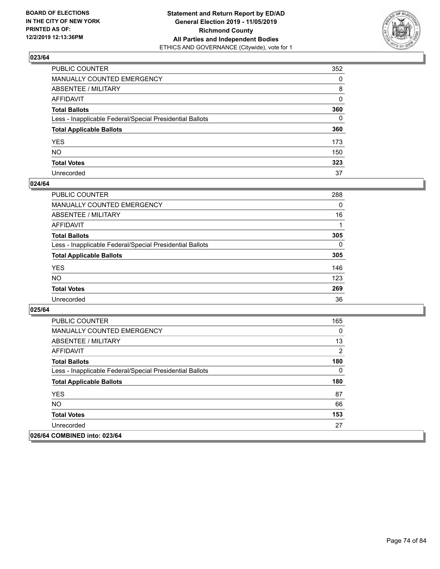

| PUBLIC COUNTER                                           | 352          |
|----------------------------------------------------------|--------------|
| MANUALLY COUNTED EMERGENCY                               | $\mathbf{0}$ |
| ABSENTEE / MILITARY                                      | 8            |
| AFFIDAVIT                                                | $\mathbf{0}$ |
| Total Ballots                                            | 360          |
| Less - Inapplicable Federal/Special Presidential Ballots | $\mathbf{0}$ |
| <b>Total Applicable Ballots</b>                          | 360          |
| YES                                                      | 173          |
| NO.                                                      | 150          |
| <b>Total Votes</b>                                       | 323          |
| Unrecorded                                               | 37           |

### **024/64**

| PUBLIC COUNTER                                           | 288      |
|----------------------------------------------------------|----------|
| <b>MANUALLY COUNTED EMERGENCY</b>                        | $\Omega$ |
| ABSENTEE / MILITARY                                      | 16       |
| <b>AFFIDAVIT</b>                                         |          |
| <b>Total Ballots</b>                                     | 305      |
| Less - Inapplicable Federal/Special Presidential Ballots | $\Omega$ |
| <b>Total Applicable Ballots</b>                          | 305      |
| <b>YES</b>                                               | 146      |
| <b>NO</b>                                                | 123      |
| <b>Total Votes</b>                                       | 269      |
| Unrecorded                                               | 36       |

| <b>PUBLIC COUNTER</b>                                    | 165      |
|----------------------------------------------------------|----------|
| <b>MANUALLY COUNTED EMERGENCY</b>                        | $\Omega$ |
| ABSENTEE / MILITARY                                      | 13       |
| AFFIDAVIT                                                | 2        |
| <b>Total Ballots</b>                                     | 180      |
| Less - Inapplicable Federal/Special Presidential Ballots | 0        |
| <b>Total Applicable Ballots</b>                          | 180      |
| <b>YES</b>                                               | 87       |
| NO.                                                      | 66       |
| <b>Total Votes</b>                                       | 153      |
| Unrecorded                                               | 27       |
| 026/64 COMBINED into: 023/64                             |          |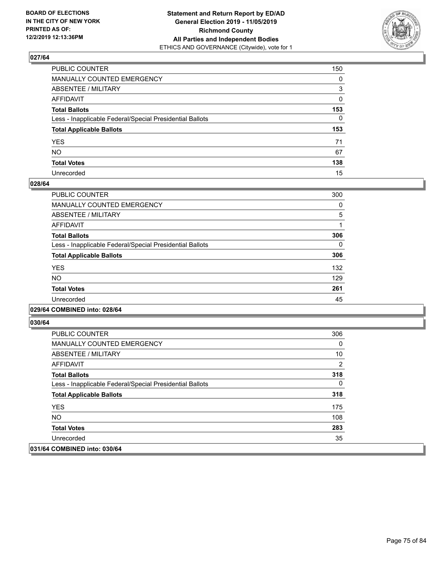

| PUBLIC COUNTER                                           | 150          |
|----------------------------------------------------------|--------------|
| MANUALLY COUNTED EMERGENCY                               | 0            |
| ABSENTEE / MILITARY                                      | 3            |
| AFFIDAVIT                                                | 0            |
| Total Ballots                                            | 153          |
| Less - Inapplicable Federal/Special Presidential Ballots | $\mathbf{0}$ |
| <b>Total Applicable Ballots</b>                          | 153          |
| YES                                                      | 71           |
| NO.                                                      | 67           |
| <b>Total Votes</b>                                       | 138          |
| Unrecorded                                               | 15           |

### **028/64**

| PUBLIC COUNTER                                           | 300 |
|----------------------------------------------------------|-----|
| MANUALLY COUNTED EMERGENCY                               | 0   |
| ABSENTEE / MILITARY                                      | 5   |
| AFFIDAVIT                                                |     |
| <b>Total Ballots</b>                                     | 306 |
| Less - Inapplicable Federal/Special Presidential Ballots | 0   |
| <b>Total Applicable Ballots</b>                          | 306 |
| <b>YES</b>                                               | 132 |
| NO.                                                      | 129 |
| <b>Total Votes</b>                                       | 261 |
| Unrecorded                                               | 45  |
|                                                          |     |

### **029/64 COMBINED into: 028/64**

| PUBLIC COUNTER                                           | 306 |
|----------------------------------------------------------|-----|
| <b>MANUALLY COUNTED EMERGENCY</b>                        | 0   |
| ABSENTEE / MILITARY                                      | 10  |
| AFFIDAVIT                                                | 2   |
| <b>Total Ballots</b>                                     | 318 |
| Less - Inapplicable Federal/Special Presidential Ballots | 0   |
| <b>Total Applicable Ballots</b>                          | 318 |
| <b>YES</b>                                               | 175 |
| NO.                                                      | 108 |
| <b>Total Votes</b>                                       | 283 |
| Unrecorded                                               | 35  |
| 031/64 COMBINED into: 030/64                             |     |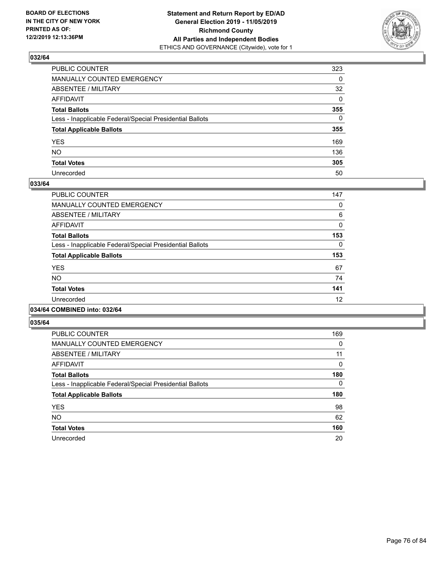

| PUBLIC COUNTER                                           | 323          |
|----------------------------------------------------------|--------------|
| MANUALLY COUNTED EMERGENCY                               | 0            |
| ABSENTEE / MILITARY                                      | 32           |
| AFFIDAVIT                                                | $\mathbf{0}$ |
| Total Ballots                                            | 355          |
| Less - Inapplicable Federal/Special Presidential Ballots | $\mathbf{0}$ |
| <b>Total Applicable Ballots</b>                          | 355          |
| YES                                                      | 169          |
| NO.                                                      | 136          |
| <b>Total Votes</b>                                       | 305          |
| Unrecorded                                               | 50           |

### **033/64**

| PUBLIC COUNTER                                           | 147 |
|----------------------------------------------------------|-----|
| <b>MANUALLY COUNTED EMERGENCY</b>                        | 0   |
| ABSENTEE / MILITARY                                      | 6   |
| <b>AFFIDAVIT</b>                                         | 0   |
| <b>Total Ballots</b>                                     | 153 |
| Less - Inapplicable Federal/Special Presidential Ballots | 0   |
| <b>Total Applicable Ballots</b>                          | 153 |
| <b>YES</b>                                               | 67  |
| <b>NO</b>                                                | 74  |
| <b>Total Votes</b>                                       | 141 |
| Unrecorded                                               | 12  |
|                                                          |     |

# **034/64 COMBINED into: 032/64**

| <b>PUBLIC COUNTER</b>                                    | 169      |
|----------------------------------------------------------|----------|
| <b>MANUALLY COUNTED EMERGENCY</b>                        | 0        |
| ABSENTEE / MILITARY                                      | 11       |
| <b>AFFIDAVIT</b>                                         | $\Omega$ |
| <b>Total Ballots</b>                                     | 180      |
| Less - Inapplicable Federal/Special Presidential Ballots | 0        |
| <b>Total Applicable Ballots</b>                          | 180      |
| <b>YES</b>                                               | 98       |
| <b>NO</b>                                                | 62       |
| <b>Total Votes</b>                                       | 160      |
| Unrecorded                                               | 20       |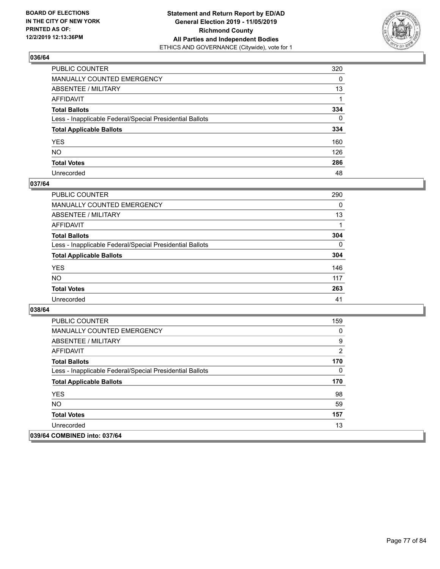

| PUBLIC COUNTER                                           | 320      |
|----------------------------------------------------------|----------|
| MANUALLY COUNTED EMERGENCY                               | $\Omega$ |
| ABSENTEE / MILITARY                                      | 13       |
| AFFIDAVIT                                                |          |
| Total Ballots                                            | 334      |
| Less - Inapplicable Federal/Special Presidential Ballots | $\Omega$ |
| <b>Total Applicable Ballots</b>                          | 334      |
| YES                                                      | 160      |
| NO.                                                      | 126      |
| <b>Total Votes</b>                                       | 286      |
| Unrecorded                                               | 48       |

### **037/64**

| PUBLIC COUNTER                                           | 290      |
|----------------------------------------------------------|----------|
| <b>MANUALLY COUNTED EMERGENCY</b>                        | 0        |
| <b>ABSENTEE / MILITARY</b>                               | 13       |
| <b>AFFIDAVIT</b>                                         |          |
| <b>Total Ballots</b>                                     | 304      |
| Less - Inapplicable Federal/Special Presidential Ballots | $\Omega$ |
| <b>Total Applicable Ballots</b>                          | 304      |
| <b>YES</b>                                               | 146      |
| <b>NO</b>                                                | 117      |
| <b>Total Votes</b>                                       | 263      |
| Unrecorded                                               | 41       |

| <b>PUBLIC COUNTER</b>                                    | 159 |
|----------------------------------------------------------|-----|
| <b>MANUALLY COUNTED EMERGENCY</b>                        | 0   |
| ABSENTEE / MILITARY                                      | 9   |
| AFFIDAVIT                                                | 2   |
| <b>Total Ballots</b>                                     | 170 |
| Less - Inapplicable Federal/Special Presidential Ballots | 0   |
| <b>Total Applicable Ballots</b>                          | 170 |
| <b>YES</b>                                               | 98  |
| NO.                                                      | 59  |
| <b>Total Votes</b>                                       | 157 |
| Unrecorded                                               | 13  |
| 039/64 COMBINED into: 037/64                             |     |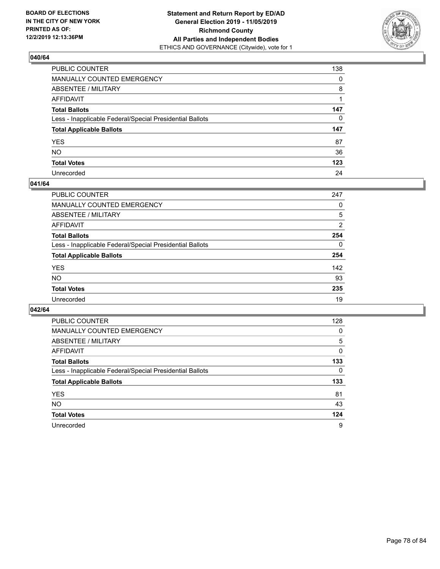

| PUBLIC COUNTER                                           | 138          |
|----------------------------------------------------------|--------------|
| MANUALLY COUNTED EMERGENCY                               | $\mathbf{0}$ |
| ABSENTEE / MILITARY                                      | 8            |
| AFFIDAVIT                                                |              |
| Total Ballots                                            | 147          |
| Less - Inapplicable Federal/Special Presidential Ballots | $\mathbf{0}$ |
| <b>Total Applicable Ballots</b>                          | 147          |
| YES                                                      | 87           |
| NO.                                                      | 36           |
| <b>Total Votes</b>                                       | 123          |
| Unrecorded                                               | 24           |

### **041/64**

| <b>PUBLIC COUNTER</b>                                    | 247      |
|----------------------------------------------------------|----------|
| <b>MANUALLY COUNTED EMERGENCY</b>                        | 0        |
| ABSENTEE / MILITARY                                      | 5        |
| AFFIDAVIT                                                | 2        |
| <b>Total Ballots</b>                                     | 254      |
| Less - Inapplicable Federal/Special Presidential Ballots | $\Omega$ |
| <b>Total Applicable Ballots</b>                          | 254      |
| <b>YES</b>                                               | 142      |
| <b>NO</b>                                                | 93       |
| <b>Total Votes</b>                                       | 235      |
| Unrecorded                                               | 19       |

| PUBLIC COUNTER                                           | 128      |
|----------------------------------------------------------|----------|
| <b>MANUALLY COUNTED EMERGENCY</b>                        | $\Omega$ |
| ABSENTEE / MILITARY                                      | 5        |
| AFFIDAVIT                                                | 0        |
| <b>Total Ballots</b>                                     | 133      |
| Less - Inapplicable Federal/Special Presidential Ballots | $\Omega$ |
| <b>Total Applicable Ballots</b>                          | 133      |
| <b>YES</b>                                               | 81       |
| <b>NO</b>                                                | 43       |
| <b>Total Votes</b>                                       | 124      |
| Unrecorded                                               | 9        |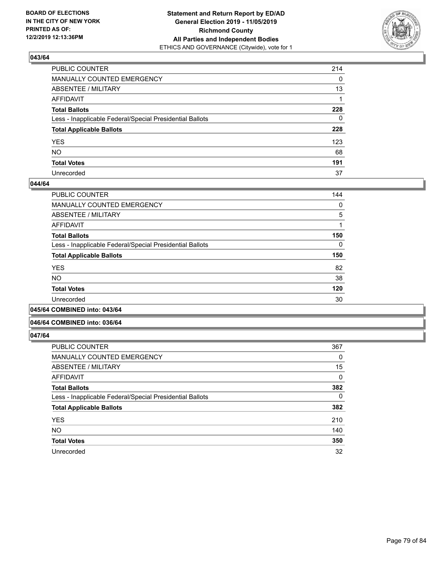

| PUBLIC COUNTER                                           | 214          |
|----------------------------------------------------------|--------------|
| MANUALLY COUNTED EMERGENCY                               | $\mathbf{0}$ |
| ABSENTEE / MILITARY                                      | 13           |
| AFFIDAVIT                                                |              |
| Total Ballots                                            | 228          |
| Less - Inapplicable Federal/Special Presidential Ballots | $\mathbf{0}$ |
| <b>Total Applicable Ballots</b>                          | 228          |
| YES                                                      | 123          |
| NO.                                                      | 68           |
| <b>Total Votes</b>                                       | 191          |
| Unrecorded                                               | 37           |

### **044/64**

| PUBLIC COUNTER                                           | 144      |
|----------------------------------------------------------|----------|
| MANUALLY COUNTED EMERGENCY                               | 0        |
| ABSENTEE / MILITARY                                      | 5        |
| AFFIDAVIT                                                |          |
| <b>Total Ballots</b>                                     | 150      |
| Less - Inapplicable Federal/Special Presidential Ballots | $\Omega$ |
| <b>Total Applicable Ballots</b>                          | 150      |
| <b>YES</b>                                               | 82       |
| <b>NO</b>                                                | 38       |
| <b>Total Votes</b>                                       | 120      |
| Unrecorded                                               | 30       |
|                                                          |          |

#### **045/64 COMBINED into: 043/64**

### **046/64 COMBINED into: 036/64**

| <b>PUBLIC COUNTER</b>                                    | 367      |
|----------------------------------------------------------|----------|
| <b>MANUALLY COUNTED EMERGENCY</b>                        | 0        |
| ABSENTEE / MILITARY                                      | 15       |
| <b>AFFIDAVIT</b>                                         | 0        |
| <b>Total Ballots</b>                                     | 382      |
| Less - Inapplicable Federal/Special Presidential Ballots | $\Omega$ |
| <b>Total Applicable Ballots</b>                          | 382      |
| <b>YES</b>                                               | 210      |
| <b>NO</b>                                                | 140      |
| <b>Total Votes</b>                                       | 350      |
| Unrecorded                                               | 32       |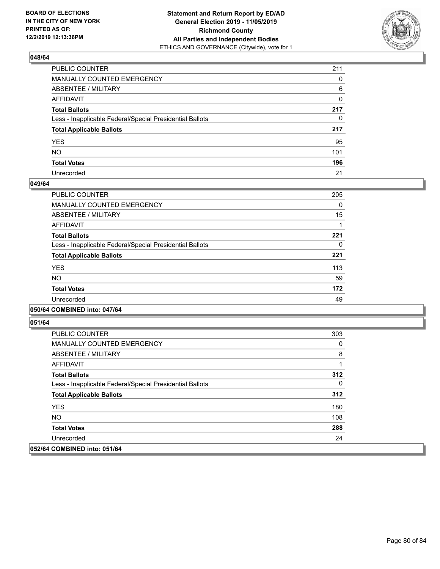

| PUBLIC COUNTER                                           | 211 |
|----------------------------------------------------------|-----|
| MANUALLY COUNTED EMERGENCY                               | 0   |
| ABSENTEE / MILITARY                                      | 6   |
| AFFIDAVIT                                                | 0   |
| Total Ballots                                            | 217 |
| Less - Inapplicable Federal/Special Presidential Ballots | 0   |
| <b>Total Applicable Ballots</b>                          | 217 |
| YES                                                      | 95  |
| NO.                                                      | 101 |
| <b>Total Votes</b>                                       | 196 |
| Unrecorded                                               | 21  |

### **049/64**

| PUBLIC COUNTER                                           | 205 |
|----------------------------------------------------------|-----|
| <b>MANUALLY COUNTED EMERGENCY</b>                        | 0   |
| ABSENTEE / MILITARY                                      | 15  |
| AFFIDAVIT                                                |     |
| <b>Total Ballots</b>                                     | 221 |
| Less - Inapplicable Federal/Special Presidential Ballots | 0   |
| <b>Total Applicable Ballots</b>                          | 221 |
| <b>YES</b>                                               | 113 |
| NO.                                                      | 59  |
| <b>Total Votes</b>                                       | 172 |
| Unrecorded                                               | 49  |
|                                                          |     |

### **050/64 COMBINED into: 047/64**

| PUBLIC COUNTER                                           | 303 |
|----------------------------------------------------------|-----|
| <b>MANUALLY COUNTED EMERGENCY</b>                        | 0   |
| ABSENTEE / MILITARY                                      | 8   |
| AFFIDAVIT                                                |     |
| <b>Total Ballots</b>                                     | 312 |
| Less - Inapplicable Federal/Special Presidential Ballots | 0   |
| <b>Total Applicable Ballots</b>                          | 312 |
| <b>YES</b>                                               | 180 |
| NO.                                                      | 108 |
| <b>Total Votes</b>                                       | 288 |
| Unrecorded                                               | 24  |
| 052/64 COMBINED into: 051/64                             |     |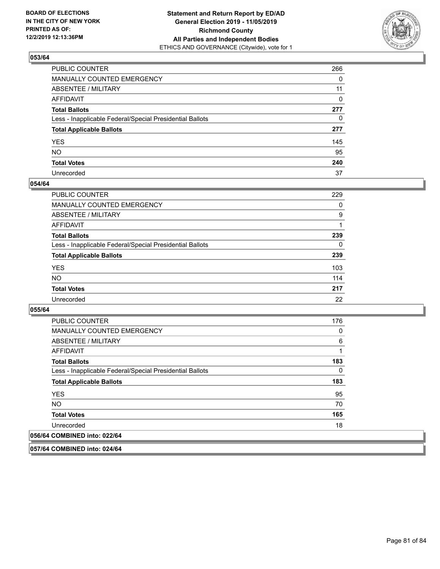

| PUBLIC COUNTER                                           | 266          |
|----------------------------------------------------------|--------------|
| MANUALLY COUNTED EMERGENCY                               | $\Omega$     |
| ABSENTEE / MILITARY                                      | 11           |
| AFFIDAVIT                                                | $\Omega$     |
| Total Ballots                                            | 277          |
| Less - Inapplicable Federal/Special Presidential Ballots | $\mathbf{0}$ |
| <b>Total Applicable Ballots</b>                          | 277          |
| YES                                                      | 145          |
| NO.                                                      | 95           |
| <b>Total Votes</b>                                       | 240          |
| Unrecorded                                               | 37           |

### **054/64**

| <b>PUBLIC COUNTER</b>                                    | 229      |
|----------------------------------------------------------|----------|
| <b>MANUALLY COUNTED EMERGENCY</b>                        | 0        |
| ABSENTEE / MILITARY                                      | 9        |
| AFFIDAVIT                                                |          |
| <b>Total Ballots</b>                                     | 239      |
| Less - Inapplicable Federal/Special Presidential Ballots | $\Omega$ |
| <b>Total Applicable Ballots</b>                          | 239      |
| <b>YES</b>                                               | 103      |
| <b>NO</b>                                                | 114      |
| <b>Total Votes</b>                                       | 217      |
| Unrecorded                                               | 22       |

**055/64** 

| PUBLIC COUNTER                                           | 176 |
|----------------------------------------------------------|-----|
| <b>MANUALLY COUNTED EMERGENCY</b>                        | 0   |
| ABSENTEE / MILITARY                                      | 6   |
| AFFIDAVIT                                                | 1   |
| <b>Total Ballots</b>                                     | 183 |
| Less - Inapplicable Federal/Special Presidential Ballots | 0   |
| <b>Total Applicable Ballots</b>                          | 183 |
| <b>YES</b>                                               | 95  |
| NO.                                                      | 70  |
| <b>Total Votes</b>                                       | 165 |
| Unrecorded                                               | 18  |
| 056/64 COMBINED into: 022/64                             |     |

**057/64 COMBINED into: 024/64**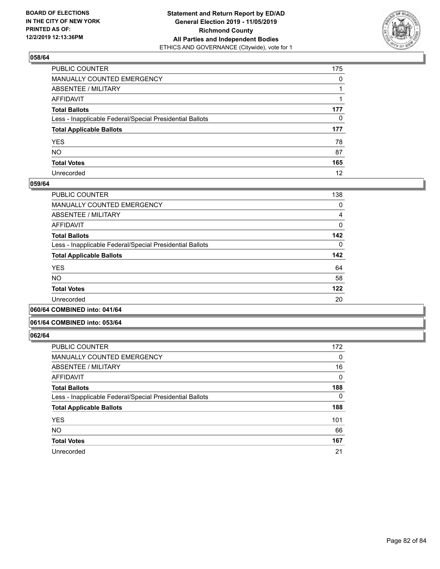

| PUBLIC COUNTER                                           | 175          |
|----------------------------------------------------------|--------------|
| MANUALLY COUNTED EMERGENCY                               | $\mathbf{0}$ |
| ABSENTEE / MILITARY                                      |              |
| AFFIDAVIT                                                |              |
| Total Ballots                                            | 177          |
| Less - Inapplicable Federal/Special Presidential Ballots | $\mathbf{0}$ |
| <b>Total Applicable Ballots</b>                          | 177          |
| YES                                                      | 78           |
| NO.                                                      | 87           |
| <b>Total Votes</b>                                       | 165          |
| Unrecorded                                               | 12           |

### **059/64**

| PUBLIC COUNTER                                           | 138      |
|----------------------------------------------------------|----------|
|                                                          |          |
| MANUALLY COUNTED EMERGENCY                               | 0        |
| ABSENTEE / MILITARY                                      | 4        |
| AFFIDAVIT                                                | $\Omega$ |
| <b>Total Ballots</b>                                     | 142      |
| Less - Inapplicable Federal/Special Presidential Ballots | $\Omega$ |
| <b>Total Applicable Ballots</b>                          | 142      |
| <b>YES</b>                                               | 64       |
| <b>NO</b>                                                | 58       |
| <b>Total Votes</b>                                       | 122      |
| Unrecorded                                               | 20       |
|                                                          |          |

**060/64 COMBINED into: 041/64**

### **061/64 COMBINED into: 053/64**

| <b>PUBLIC COUNTER</b>                                    | 172      |
|----------------------------------------------------------|----------|
| <b>MANUALLY COUNTED EMERGENCY</b>                        | 0        |
| ABSENTEE / MILITARY                                      | 16       |
| AFFIDAVIT                                                | 0        |
| <b>Total Ballots</b>                                     | 188      |
| Less - Inapplicable Federal/Special Presidential Ballots | $\Omega$ |
| <b>Total Applicable Ballots</b>                          | 188      |
| <b>YES</b>                                               | 101      |
| <b>NO</b>                                                | 66       |
| <b>Total Votes</b>                                       | 167      |
| Unrecorded                                               | 21       |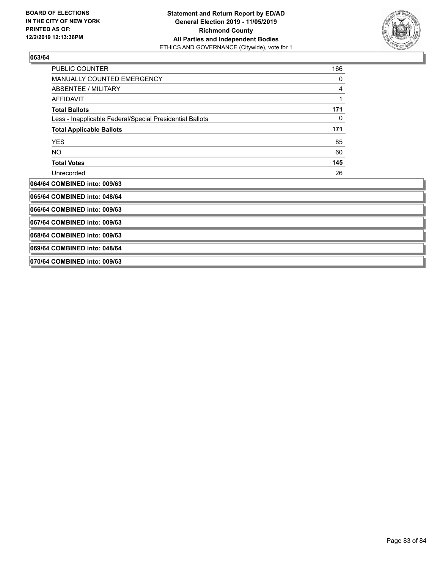

| <b>PUBLIC COUNTER</b>                                    | 166 |
|----------------------------------------------------------|-----|
| <b>MANUALLY COUNTED EMERGENCY</b>                        | 0   |
| ABSENTEE / MILITARY                                      | 4   |
| <b>AFFIDAVIT</b>                                         | 1   |
| <b>Total Ballots</b>                                     | 171 |
| Less - Inapplicable Federal/Special Presidential Ballots | 0   |
| <b>Total Applicable Ballots</b>                          | 171 |
| <b>YES</b>                                               | 85  |
| NO.                                                      | 60  |
| <b>Total Votes</b>                                       | 145 |
| Unrecorded                                               | 26  |
| 064/64 COMBINED into: 009/63                             |     |
| 065/64 COMBINED into: 048/64                             |     |
| 066/64 COMBINED into: 009/63                             |     |
| 067/64 COMBINED into: 009/63                             |     |
| 068/64 COMBINED into: 009/63                             |     |
| 069/64 COMBINED into: 048/64                             |     |

**070/64 COMBINED into: 009/63**